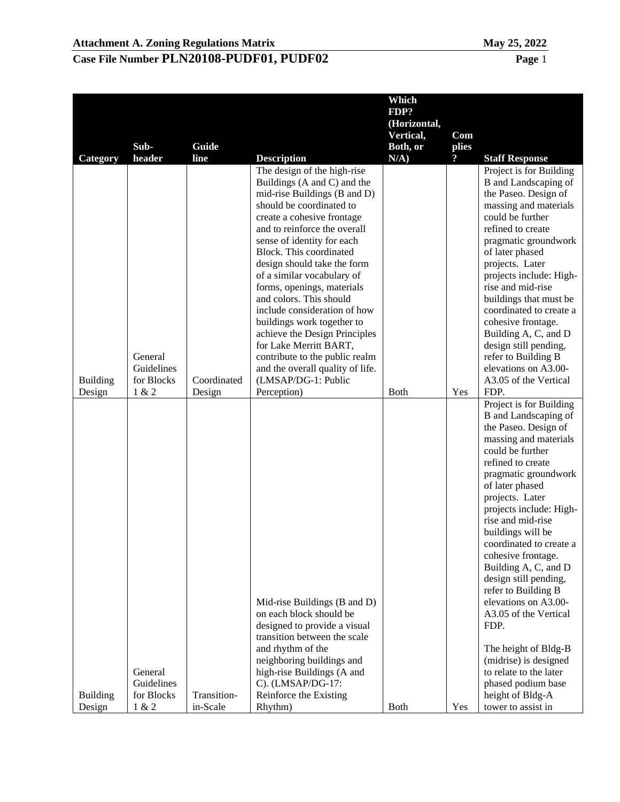|                 |            |             |                                                             | Which        |                         |                                                        |
|-----------------|------------|-------------|-------------------------------------------------------------|--------------|-------------------------|--------------------------------------------------------|
|                 |            |             |                                                             | FDP?         |                         |                                                        |
|                 |            |             |                                                             | (Horizontal, |                         |                                                        |
|                 |            |             |                                                             | Vertical,    | Com                     |                                                        |
|                 | Sub-       | Guide       |                                                             | Both, or     | plies                   |                                                        |
| Category        | header     | line        | <b>Description</b>                                          | $N/A$ )      | $\overline{\mathbf{?}}$ | <b>Staff Response</b>                                  |
|                 |            |             | The design of the high-rise<br>Buildings (A and C) and the  |              |                         | Project is for Building<br><b>B</b> and Landscaping of |
|                 |            |             | mid-rise Buildings (B and D)                                |              |                         | the Paseo. Design of                                   |
|                 |            |             | should be coordinated to                                    |              |                         | massing and materials                                  |
|                 |            |             | create a cohesive frontage                                  |              |                         | could be further                                       |
|                 |            |             | and to reinforce the overall                                |              |                         | refined to create                                      |
|                 |            |             | sense of identity for each                                  |              |                         | pragmatic groundwork                                   |
|                 |            |             | Block. This coordinated                                     |              |                         | of later phased                                        |
|                 |            |             | design should take the form                                 |              |                         | projects. Later                                        |
|                 |            |             | of a similar vocabulary of                                  |              |                         | projects include: High-                                |
|                 |            |             | forms, openings, materials                                  |              |                         | rise and mid-rise                                      |
|                 |            |             | and colors. This should                                     |              |                         | buildings that must be                                 |
|                 |            |             | include consideration of how                                |              |                         | coordinated to create a                                |
|                 |            |             | buildings work together to<br>achieve the Design Principles |              |                         | cohesive frontage.<br>Building A, C, and D             |
|                 |            |             | for Lake Merritt BART,                                      |              |                         | design still pending,                                  |
|                 | General    |             | contribute to the public realm                              |              |                         | refer to Building B                                    |
|                 | Guidelines |             | and the overall quality of life.                            |              |                         | elevations on A3.00-                                   |
| <b>Building</b> | for Blocks | Coordinated | (LMSAP/DG-1: Public                                         |              |                         | A3.05 of the Vertical                                  |
| Design          | 1 & 2      | Design      | Perception)                                                 | <b>Both</b>  | Yes                     | FDP.                                                   |
|                 |            |             |                                                             |              |                         | Project is for Building                                |
|                 |            |             |                                                             |              |                         | B and Landscaping of                                   |
|                 |            |             |                                                             |              |                         | the Paseo. Design of                                   |
|                 |            |             |                                                             |              |                         | massing and materials                                  |
|                 |            |             |                                                             |              |                         | could be further<br>refined to create                  |
|                 |            |             |                                                             |              |                         | pragmatic groundwork                                   |
|                 |            |             |                                                             |              |                         | of later phased                                        |
|                 |            |             |                                                             |              |                         | projects. Later                                        |
|                 |            |             |                                                             |              |                         | projects include: High-                                |
|                 |            |             |                                                             |              |                         | rise and mid-rise                                      |
|                 |            |             |                                                             |              |                         | buildings will be                                      |
|                 |            |             |                                                             |              |                         | coordinated to create a                                |
|                 |            |             |                                                             |              |                         | cohesive frontage.                                     |
|                 |            |             |                                                             |              |                         | Building A, C, and D                                   |
|                 |            |             |                                                             |              |                         | design still pending,                                  |
|                 |            |             | Mid-rise Buildings (B and D)                                |              |                         | refer to Building B<br>elevations on A3.00-            |
|                 |            |             | on each block should be                                     |              |                         | A3.05 of the Vertical                                  |
|                 |            |             | designed to provide a visual                                |              |                         | FDP.                                                   |
|                 |            |             | transition between the scale                                |              |                         |                                                        |
|                 |            |             | and rhythm of the                                           |              |                         | The height of Bldg-B                                   |
|                 |            |             | neighboring buildings and                                   |              |                         | (midrise) is designed                                  |
|                 | General    |             | high-rise Buildings (A and                                  |              |                         | to relate to the later                                 |
|                 | Guidelines |             | C). (LMSAP/DG-17:                                           |              |                         | phased podium base                                     |
| <b>Building</b> | for Blocks | Transition- | Reinforce the Existing                                      |              |                         | height of Bldg-A                                       |
| Design          | 1 & 2      | in-Scale    | Rhythm)                                                     | <b>Both</b>  | Yes                     | tower to assist in                                     |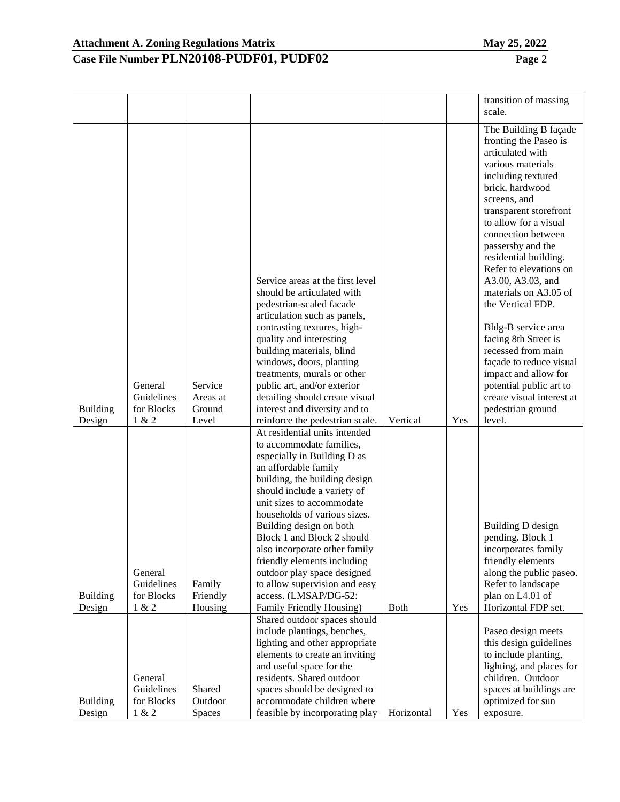|                           |                       |                     |                                                                                                                                                                                                                                                                                                                                               |             |     | transition of massing                                                                                                                                                                                                                                                                                                                                                                                                                                                                                                                                |
|---------------------------|-----------------------|---------------------|-----------------------------------------------------------------------------------------------------------------------------------------------------------------------------------------------------------------------------------------------------------------------------------------------------------------------------------------------|-------------|-----|------------------------------------------------------------------------------------------------------------------------------------------------------------------------------------------------------------------------------------------------------------------------------------------------------------------------------------------------------------------------------------------------------------------------------------------------------------------------------------------------------------------------------------------------------|
|                           |                       |                     |                                                                                                                                                                                                                                                                                                                                               |             |     | scale.                                                                                                                                                                                                                                                                                                                                                                                                                                                                                                                                               |
|                           | General<br>Guidelines | Service<br>Areas at | Service areas at the first level<br>should be articulated with<br>pedestrian-scaled facade<br>articulation such as panels,<br>contrasting textures, high-<br>quality and interesting<br>building materials, blind<br>windows, doors, planting<br>treatments, murals or other<br>public art, and/or exterior<br>detailing should create visual |             |     | The Building B façade<br>fronting the Paseo is<br>articulated with<br>various materials<br>including textured<br>brick, hardwood<br>screens, and<br>transparent storefront<br>to allow for a visual<br>connection between<br>passersby and the<br>residential building.<br>Refer to elevations on<br>A3.00, A3.03, and<br>materials on A3.05 of<br>the Vertical FDP.<br>Bldg-B service area<br>facing 8th Street is<br>recessed from main<br>façade to reduce visual<br>impact and allow for<br>potential public art to<br>create visual interest at |
| <b>Building</b>           | for Blocks            | Ground              | interest and diversity and to                                                                                                                                                                                                                                                                                                                 |             |     | pedestrian ground                                                                                                                                                                                                                                                                                                                                                                                                                                                                                                                                    |
| Design                    | 1 & 2                 | Level               | reinforce the pedestrian scale.                                                                                                                                                                                                                                                                                                               | Vertical    | Yes | level.                                                                                                                                                                                                                                                                                                                                                                                                                                                                                                                                               |
|                           |                       |                     | At residential units intended<br>to accommodate families,<br>especially in Building D as<br>an affordable family<br>building, the building design<br>should include a variety of<br>unit sizes to accommodate<br>households of various sizes.<br>Building design on both                                                                      |             |     | <b>Building D</b> design                                                                                                                                                                                                                                                                                                                                                                                                                                                                                                                             |
|                           |                       |                     | Block 1 and Block 2 should<br>also incorporate other family<br>friendly elements including                                                                                                                                                                                                                                                    |             |     | pending. Block 1<br>incorporates family<br>friendly elements                                                                                                                                                                                                                                                                                                                                                                                                                                                                                         |
|                           | General               |                     | outdoor play space designed                                                                                                                                                                                                                                                                                                                   |             |     | along the public paseo.                                                                                                                                                                                                                                                                                                                                                                                                                                                                                                                              |
|                           | Guidelines            | Family              | to allow supervision and easy                                                                                                                                                                                                                                                                                                                 |             |     | Refer to landscape                                                                                                                                                                                                                                                                                                                                                                                                                                                                                                                                   |
| <b>Building</b><br>Design | for Blocks<br>1 & 2   | Friendly<br>Housing | access. (LMSAP/DG-52:<br>Family Friendly Housing)                                                                                                                                                                                                                                                                                             | <b>Both</b> | Yes | plan on L4.01 of<br>Horizontal FDP set.                                                                                                                                                                                                                                                                                                                                                                                                                                                                                                              |
|                           |                       |                     | Shared outdoor spaces should                                                                                                                                                                                                                                                                                                                  |             |     |                                                                                                                                                                                                                                                                                                                                                                                                                                                                                                                                                      |
|                           |                       |                     | include plantings, benches,<br>lighting and other appropriate                                                                                                                                                                                                                                                                                 |             |     | Paseo design meets<br>this design guidelines                                                                                                                                                                                                                                                                                                                                                                                                                                                                                                         |
|                           |                       |                     | elements to create an inviting                                                                                                                                                                                                                                                                                                                |             |     | to include planting,                                                                                                                                                                                                                                                                                                                                                                                                                                                                                                                                 |
|                           |                       |                     | and useful space for the                                                                                                                                                                                                                                                                                                                      |             |     | lighting, and places for                                                                                                                                                                                                                                                                                                                                                                                                                                                                                                                             |
|                           | General<br>Guidelines | Shared              | residents. Shared outdoor<br>spaces should be designed to                                                                                                                                                                                                                                                                                     |             |     | children. Outdoor<br>spaces at buildings are                                                                                                                                                                                                                                                                                                                                                                                                                                                                                                         |
| <b>Building</b>           | for Blocks            | Outdoor             | accommodate children where                                                                                                                                                                                                                                                                                                                    |             |     | optimized for sun                                                                                                                                                                                                                                                                                                                                                                                                                                                                                                                                    |
| Design                    | 1 & 2                 | <b>Spaces</b>       | feasible by incorporating play                                                                                                                                                                                                                                                                                                                | Horizontal  | Yes | exposure.                                                                                                                                                                                                                                                                                                                                                                                                                                                                                                                                            |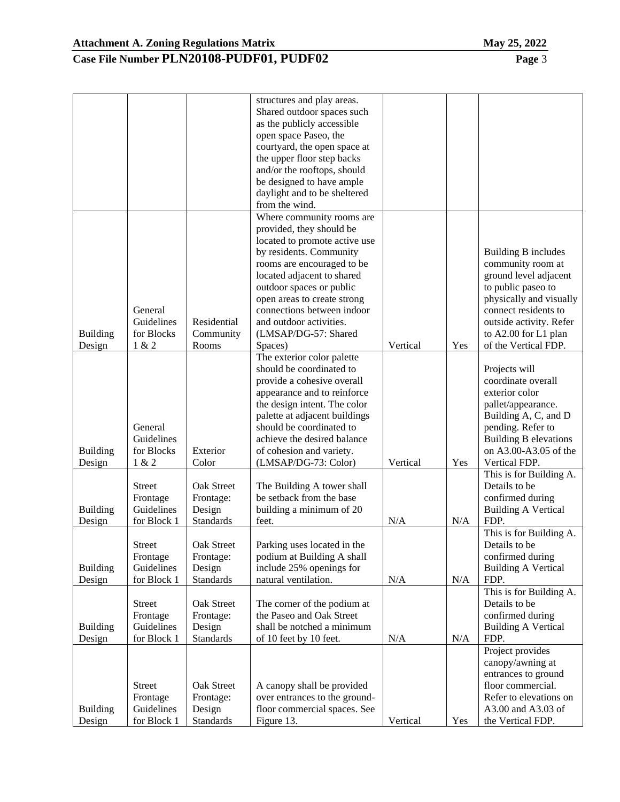#### **Case File Number PLN20108-PUDF01, PUDF02 Page** 3

|                 |               |                  | Shared outdoor spaces such    |          |     |                              |
|-----------------|---------------|------------------|-------------------------------|----------|-----|------------------------------|
|                 |               |                  | as the publicly accessible    |          |     |                              |
|                 |               |                  | open space Paseo, the         |          |     |                              |
|                 |               |                  | courtyard, the open space at  |          |     |                              |
|                 |               |                  | the upper floor step backs    |          |     |                              |
|                 |               |                  | and/or the rooftops, should   |          |     |                              |
|                 |               |                  | be designed to have ample     |          |     |                              |
|                 |               |                  | daylight and to be sheltered  |          |     |                              |
|                 |               |                  | from the wind.                |          |     |                              |
|                 |               |                  | Where community rooms are     |          |     |                              |
|                 |               |                  | provided, they should be      |          |     |                              |
|                 |               |                  | located to promote active use |          |     |                              |
|                 |               |                  | by residents. Community       |          |     | <b>Building B includes</b>   |
|                 |               |                  |                               |          |     |                              |
|                 |               |                  | rooms are encouraged to be    |          |     | community room at            |
|                 |               |                  | located adjacent to shared    |          |     | ground level adjacent        |
|                 |               |                  | outdoor spaces or public      |          |     | to public paseo to           |
|                 | General       |                  | open areas to create strong   |          |     | physically and visually      |
|                 | Guidelines    | Residential      | connections between indoor    |          |     | connect residents to         |
|                 |               |                  | and outdoor activities.       |          |     | outside activity. Refer      |
| <b>Building</b> | for Blocks    | Community        | (LMSAP/DG-57: Shared          |          |     | to A2.00 for L1 plan         |
| Design          | 1 & 2         | Rooms            | Spaces)                       | Vertical | Yes | of the Vertical FDP.         |
|                 |               |                  | The exterior color palette    |          |     |                              |
|                 |               |                  | should be coordinated to      |          |     | Projects will                |
|                 |               |                  | provide a cohesive overall    |          |     | coordinate overall           |
|                 |               |                  | appearance and to reinforce   |          |     | exterior color               |
|                 |               |                  | the design intent. The color  |          |     | pallet/appearance.           |
|                 |               |                  | palette at adjacent buildings |          |     | Building A, C, and D         |
|                 | General       |                  | should be coordinated to      |          |     | pending. Refer to            |
|                 | Guidelines    |                  | achieve the desired balance   |          |     | <b>Building B elevations</b> |
| <b>Building</b> | for Blocks    | Exterior         | of cohesion and variety.      |          |     | on A3.00-A3.05 of the        |
| Design          | 1 & 2         | Color            | (LMSAP/DG-73: Color)          | Vertical | Yes | Vertical FDP.                |
|                 |               |                  |                               |          |     | This is for Building A.      |
|                 | <b>Street</b> | Oak Street       | The Building A tower shall    |          |     | Details to be                |
|                 | Frontage      | Frontage:        | be setback from the base      |          |     | confirmed during             |
| <b>Building</b> | Guidelines    | Design           | building a minimum of 20      |          |     | <b>Building A Vertical</b>   |
| Design          | for Block 1   | Standards        | feet.                         | N/A      | N/A | FDP.                         |
|                 |               |                  |                               |          |     | This is for Building A.      |
|                 | <b>Street</b> | Oak Street       | Parking uses located in the   |          |     | Details to be                |
|                 | Frontage      | Frontage:        | podium at Building A shall    |          |     | confirmed during             |
| <b>Building</b> | Guidelines    | Design           | include 25% openings for      |          |     | <b>Building A Vertical</b>   |
| Design          | for Block 1   | Standards        | natural ventilation.          | N/A      | N/A | FDP.                         |
|                 |               |                  |                               |          |     | This is for Building A.      |
|                 | <b>Street</b> | Oak Street       | The corner of the podium at   |          |     | Details to be                |
|                 | Frontage      | Frontage:        | the Paseo and Oak Street      |          |     | confirmed during             |
| <b>Building</b> | Guidelines    | Design           | shall be notched a minimum    |          |     | <b>Building A Vertical</b>   |
| Design          | for Block 1   | Standards        | of 10 feet by 10 feet.        | N/A      | N/A | FDP.                         |
|                 |               |                  |                               |          |     | Project provides             |
|                 |               |                  |                               |          |     | canopy/awning at             |
|                 |               |                  |                               |          |     | entrances to ground          |
|                 | <b>Street</b> | Oak Street       | A canopy shall be provided    |          |     | floor commercial.            |
|                 | Frontage      | Frontage:        | over entrances to the ground- |          |     | Refer to elevations on       |
| <b>Building</b> | Guidelines    | Design           | floor commercial spaces. See  |          |     | A3.00 and A3.03 of           |
| Design          | for Block 1   | <b>Standards</b> | Figure 13.                    | Vertical | Yes | the Vertical FDP.            |
|                 |               |                  |                               |          |     |                              |

structures and play areas.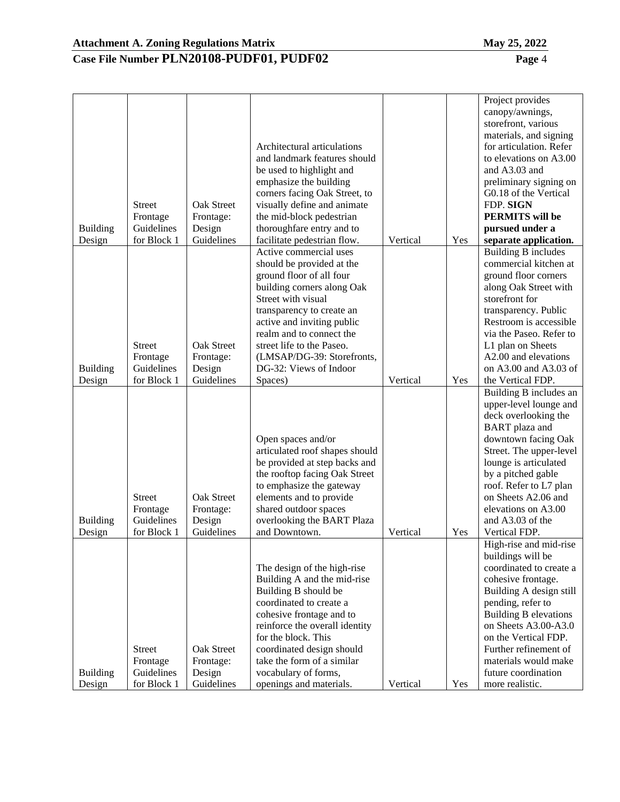| <b>Building</b><br>Design | <b>Street</b><br>Frontage<br>Guidelines<br>for Block 1 | Oak Street<br>Frontage:<br>Design<br>Guidelines | Architectural articulations<br>and landmark features should<br>be used to highlight and<br>emphasize the building<br>corners facing Oak Street, to<br>visually define and animate<br>the mid-block pedestrian<br>thoroughfare entry and to<br>facilitate pedestrian flow.                                                  | Vertical | Yes | Project provides<br>canopy/awnings,<br>storefront, various<br>materials, and signing<br>for articulation. Refer<br>to elevations on A3.00<br>and A3.03 and<br>preliminary signing on<br>G0.18 of the Vertical<br>FDP. SIGN<br><b>PERMITS</b> will be<br>pursued under a<br>separate application.                        |
|---------------------------|--------------------------------------------------------|-------------------------------------------------|----------------------------------------------------------------------------------------------------------------------------------------------------------------------------------------------------------------------------------------------------------------------------------------------------------------------------|----------|-----|-------------------------------------------------------------------------------------------------------------------------------------------------------------------------------------------------------------------------------------------------------------------------------------------------------------------------|
| <b>Building</b><br>Design | <b>Street</b><br>Frontage<br>Guidelines<br>for Block 1 | Oak Street<br>Frontage:<br>Design<br>Guidelines | Active commercial uses<br>should be provided at the<br>ground floor of all four<br>building corners along Oak<br>Street with visual<br>transparency to create an<br>active and inviting public<br>realm and to connect the<br>street life to the Paseo.<br>(LMSAP/DG-39: Storefronts,<br>DG-32: Views of Indoor<br>Spaces) | Vertical | Yes | <b>Building B includes</b><br>commercial kitchen at<br>ground floor corners<br>along Oak Street with<br>storefront for<br>transparency. Public<br>Restroom is accessible<br>via the Paseo. Refer to<br>L1 plan on Sheets<br>A2.00 and elevations<br>on A3.00 and A3.03 of<br>the Vertical FDP.                          |
| <b>Building</b><br>Design | <b>Street</b><br>Frontage<br>Guidelines<br>for Block 1 | Oak Street<br>Frontage:<br>Design<br>Guidelines | Open spaces and/or<br>articulated roof shapes should<br>be provided at step backs and<br>the rooftop facing Oak Street<br>to emphasize the gateway<br>elements and to provide<br>shared outdoor spaces<br>overlooking the BART Plaza<br>and Downtown.                                                                      | Vertical | Yes | Building B includes an<br>upper-level lounge and<br>deck overlooking the<br><b>BART</b> plaza and<br>downtown facing Oak<br>Street. The upper-level<br>lounge is articulated<br>by a pitched gable<br>roof. Refer to L7 plan<br>on Sheets A2.06 and<br>elevations on A3.00<br>and A3.03 of the<br>Vertical FDP.         |
| <b>Building</b><br>Design | <b>Street</b><br>Frontage<br>Guidelines<br>for Block 1 | Oak Street<br>Frontage:<br>Design<br>Guidelines | The design of the high-rise<br>Building A and the mid-rise<br>Building B should be<br>coordinated to create a<br>cohesive frontage and to<br>reinforce the overall identity<br>for the block. This<br>coordinated design should<br>take the form of a similar<br>vocabulary of forms,<br>openings and materials.           | Vertical | Yes | High-rise and mid-rise<br>buildings will be<br>coordinated to create a<br>cohesive frontage.<br>Building A design still<br>pending, refer to<br><b>Building B elevations</b><br>on Sheets A3.00-A3.0<br>on the Vertical FDP.<br>Further refinement of<br>materials would make<br>future coordination<br>more realistic. |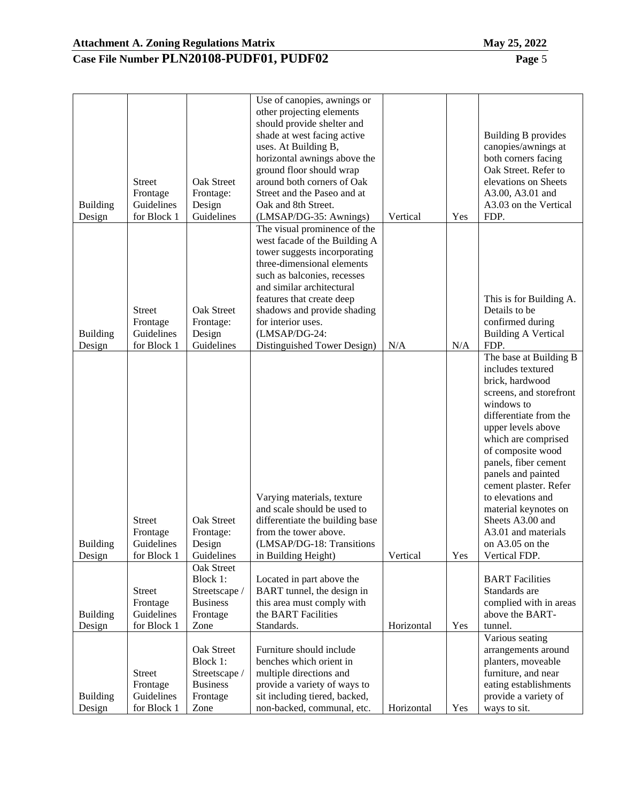| <b>Building</b><br>Design | <b>Street</b><br>Frontage<br>Guidelines<br>for Block 1 | Oak Street<br>Frontage:<br>Design<br>Guidelines                                | Use of canopies, awnings or<br>other projecting elements<br>should provide shelter and<br>shade at west facing active<br>uses. At Building B,<br>horizontal awnings above the<br>ground floor should wrap<br>around both corners of Oak<br>Street and the Paseo and at<br>Oak and 8th Street.<br>(LMSAP/DG-35: Awnings)   | Vertical   | Yes | Building B provides<br>canopies/awnings at<br>both corners facing<br>Oak Street. Refer to<br>elevations on Sheets<br>A3.00, A3.01 and<br>A3.03 on the Vertical<br>FDP.                                                                                                                                                                                                                                 |
|---------------------------|--------------------------------------------------------|--------------------------------------------------------------------------------|---------------------------------------------------------------------------------------------------------------------------------------------------------------------------------------------------------------------------------------------------------------------------------------------------------------------------|------------|-----|--------------------------------------------------------------------------------------------------------------------------------------------------------------------------------------------------------------------------------------------------------------------------------------------------------------------------------------------------------------------------------------------------------|
| <b>Building</b><br>Design | <b>Street</b><br>Frontage<br>Guidelines<br>for Block 1 | Oak Street<br>Frontage:<br>Design<br>Guidelines                                | The visual prominence of the<br>west facade of the Building A<br>tower suggests incorporating<br>three-dimensional elements<br>such as balconies, recesses<br>and similar architectural<br>features that create deep<br>shadows and provide shading<br>for interior uses.<br>(LMSAP/DG-24:<br>Distinguished Tower Design) | N/A        | N/A | This is for Building A.<br>Details to be<br>confirmed during<br><b>Building A Vertical</b><br>FDP.                                                                                                                                                                                                                                                                                                     |
| <b>Building</b><br>Design | <b>Street</b><br>Frontage<br>Guidelines<br>for Block 1 | Oak Street<br>Frontage:<br>Design<br>Guidelines                                | Varying materials, texture<br>and scale should be used to<br>differentiate the building base<br>from the tower above.<br>(LMSAP/DG-18: Transitions)<br>in Building Height)                                                                                                                                                | Vertical   | Yes | The base at Building B<br>includes textured<br>brick, hardwood<br>screens, and storefront<br>windows to<br>differentiate from the<br>upper levels above<br>which are comprised<br>of composite wood<br>panels, fiber cement<br>panels and painted<br>cement plaster. Refer<br>to elevations and<br>material keynotes on<br>Sheets A3.00 and<br>A3.01 and materials<br>on A3.05 on the<br>Vertical FDP. |
| <b>Building</b><br>Design | <b>Street</b><br>Frontage<br>Guidelines<br>for Block 1 | Oak Street<br>Block 1:<br>Streetscape /<br><b>Business</b><br>Frontage<br>Zone | Located in part above the<br>BART tunnel, the design in<br>this area must comply with<br>the BART Facilities<br>Standards.                                                                                                                                                                                                | Horizontal | Yes | <b>BART</b> Facilities<br>Standards are<br>complied with in areas<br>above the BART-<br>tunnel.                                                                                                                                                                                                                                                                                                        |
| <b>Building</b><br>Design | <b>Street</b><br>Frontage<br>Guidelines<br>for Block 1 | Oak Street<br>Block 1:<br>Streetscape /<br><b>Business</b><br>Frontage<br>Zone | Furniture should include<br>benches which orient in<br>multiple directions and<br>provide a variety of ways to<br>sit including tiered, backed,<br>non-backed, communal, etc.                                                                                                                                             | Horizontal | Yes | Various seating<br>arrangements around<br>planters, moveable<br>furniture, and near<br>eating establishments<br>provide a variety of<br>ways to sit.                                                                                                                                                                                                                                                   |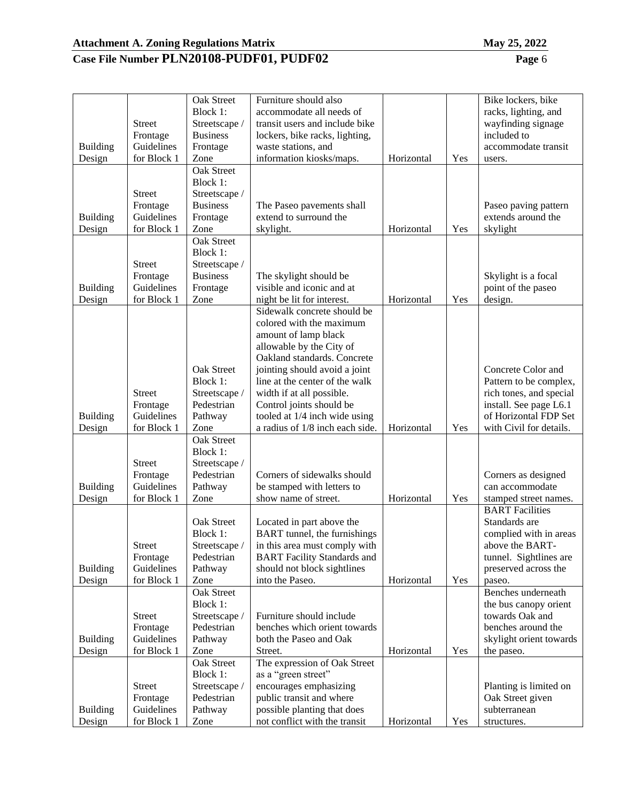|                 |               | Oak Street        | Furniture should also                               |            |     | Bike lockers, bike      |
|-----------------|---------------|-------------------|-----------------------------------------------------|------------|-----|-------------------------|
|                 |               | Block 1:          | accommodate all needs of                            |            |     | racks, lighting, and    |
|                 | <b>Street</b> | Streetscape /     | transit users and include bike                      |            |     | wayfinding signage      |
|                 | Frontage      | <b>Business</b>   | lockers, bike racks, lighting,                      |            |     | included to             |
| <b>Building</b> | Guidelines    | Frontage          | waste stations, and                                 |            |     | accommodate transit     |
| Design          | for Block 1   | Zone              | information kiosks/maps.                            | Horizontal | Yes | users.                  |
|                 |               | <b>Oak Street</b> |                                                     |            |     |                         |
|                 |               | Block 1:          |                                                     |            |     |                         |
|                 | Street        | Streetscape /     |                                                     |            |     |                         |
|                 | Frontage      | <b>Business</b>   | The Paseo pavements shall                           |            |     | Paseo paving pattern    |
| <b>Building</b> | Guidelines    | Frontage          | extend to surround the                              |            |     | extends around the      |
| Design          | for Block 1   | Zone              | skylight.                                           | Horizontal | Yes | skylight                |
|                 |               | <b>Oak Street</b> |                                                     |            |     |                         |
|                 |               | Block 1:          |                                                     |            |     |                         |
|                 | <b>Street</b> | Streetscape /     |                                                     |            |     |                         |
|                 | Frontage      | <b>Business</b>   |                                                     |            |     | Skylight is a focal     |
| <b>Building</b> | Guidelines    | Frontage          | The skylight should be<br>visible and iconic and at |            |     | point of the paseo      |
|                 |               |                   |                                                     |            |     |                         |
| Design          | for Block 1   | Zone              | night be lit for interest.                          | Horizontal | Yes | design.                 |
|                 |               |                   | Sidewalk concrete should be                         |            |     |                         |
|                 |               |                   | colored with the maximum                            |            |     |                         |
|                 |               |                   | amount of lamp black                                |            |     |                         |
|                 |               |                   | allowable by the City of                            |            |     |                         |
|                 |               |                   | Oakland standards. Concrete                         |            |     |                         |
|                 |               | Oak Street        | jointing should avoid a joint                       |            |     | Concrete Color and      |
|                 |               | Block 1:          | line at the center of the walk                      |            |     | Pattern to be complex,  |
|                 | <b>Street</b> | Streetscape /     | width if at all possible.                           |            |     | rich tones, and special |
|                 | Frontage      | Pedestrian        | Control joints should be                            |            |     | install. See page L6.1  |
| <b>Building</b> | Guidelines    | Pathway           | tooled at 1/4 inch wide using                       |            |     | of Horizontal FDP Set   |
| Design          | for Block 1   | Zone              | a radius of 1/8 inch each side.                     | Horizontal | Yes | with Civil for details. |
|                 |               | Oak Street        |                                                     |            |     |                         |
|                 |               | Block 1:          |                                                     |            |     |                         |
|                 | <b>Street</b> | Streetscape /     |                                                     |            |     |                         |
|                 | Frontage      | Pedestrian        | Corners of sidewalks should                         |            |     | Corners as designed     |
| <b>Building</b> | Guidelines    | Pathway           | be stamped with letters to                          |            |     | can accommodate         |
| Design          | for Block 1   | Zone              | show name of street.                                | Horizontal | Yes | stamped street names.   |
|                 |               |                   |                                                     |            |     | <b>BART</b> Facilities  |
|                 |               | Oak Street        | Located in part above the                           |            |     | Standards are           |
|                 |               | Block 1:          | BART tunnel, the furnishings                        |            |     | complied with in areas  |
|                 | <b>Street</b> | Streetscape /     | in this area must comply with                       |            |     | above the BART-         |
|                 | Frontage      | Pedestrian        | <b>BART</b> Facility Standards and                  |            |     | tunnel. Sightlines are  |
| <b>Building</b> | Guidelines    | Pathway           | should not block sightlines                         |            |     | preserved across the    |
| Design          | for Block 1   | Zone              | into the Paseo.                                     | Horizontal | Yes | paseo.                  |
|                 |               | Oak Street        |                                                     |            |     | Benches underneath      |
|                 |               | Block 1:          |                                                     |            |     | the bus canopy orient   |
|                 | <b>Street</b> | Streetscape /     | Furniture should include                            |            |     | towards Oak and         |
|                 | Frontage      | Pedestrian        | benches which orient towards                        |            |     | benches around the      |
|                 |               |                   |                                                     |            |     |                         |
| <b>Building</b> | Guidelines    | Pathway           | both the Paseo and Oak                              |            |     | skylight orient towards |
| Design          | for Block 1   | Zone              | Street.                                             | Horizontal | Yes | the paseo.              |
|                 |               | Oak Street        | The expression of Oak Street                        |            |     |                         |
|                 |               | Block 1:          | as a "green street"                                 |            |     |                         |
|                 | <b>Street</b> | Streetscape /     | encourages emphasizing                              |            |     | Planting is limited on  |
|                 | Frontage      | Pedestrian        | public transit and where                            |            |     | Oak Street given        |
| <b>Building</b> | Guidelines    | Pathway           | possible planting that does                         |            |     | subterranean            |
| Design          | for Block 1   | Zone              | not conflict with the transit                       | Horizontal | Yes | structures.             |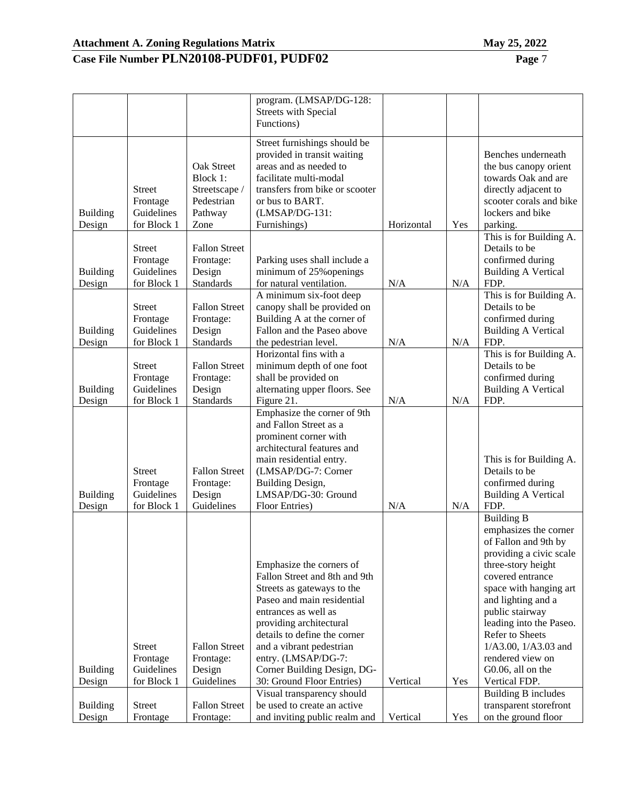| ഹ |  |
|---|--|

|                           |                           |                                   | program. (LMSAP/DG-128:<br><b>Streets with Special</b><br>Functions) |            |     |                                                |
|---------------------------|---------------------------|-----------------------------------|----------------------------------------------------------------------|------------|-----|------------------------------------------------|
|                           |                           |                                   |                                                                      |            |     |                                                |
|                           |                           |                                   | Street furnishings should be                                         |            |     |                                                |
|                           |                           |                                   | provided in transit waiting<br>areas and as needed to                |            |     | Benches underneath                             |
|                           |                           | <b>Oak Street</b>                 |                                                                      |            |     | the bus canopy orient                          |
|                           |                           | Block 1:                          | facilitate multi-modal                                               |            |     | towards Oak and are                            |
|                           | <b>Street</b>             | Streetscape /                     | transfers from bike or scooter                                       |            |     | directly adjacent to                           |
|                           | Frontage<br>Guidelines    | Pedestrian                        | or bus to BART.<br>(LMSAP/DG-131:                                    |            |     | scooter corals and bike<br>lockers and bike    |
| <b>Building</b><br>Design | for Block 1               | Pathway<br>Zone                   | Furnishings)                                                         | Horizontal | Yes | parking.                                       |
|                           |                           |                                   |                                                                      |            |     | This is for Building A.                        |
|                           | <b>Street</b>             | <b>Fallon Street</b>              |                                                                      |            |     | Details to be                                  |
|                           | Frontage                  | Frontage:                         | Parking uses shall include a                                         |            |     | confirmed during                               |
| <b>Building</b>           | Guidelines                | Design                            | minimum of 25% openings                                              |            |     | <b>Building A Vertical</b>                     |
| Design                    | for Block 1               | <b>Standards</b>                  | for natural ventilation.                                             | N/A        | N/A | FDP.                                           |
|                           |                           |                                   | A minimum six-foot deep                                              |            |     | This is for Building A.                        |
|                           | <b>Street</b>             | <b>Fallon Street</b>              | canopy shall be provided on                                          |            |     | Details to be                                  |
|                           | Frontage                  | Frontage:                         | Building A at the corner of                                          |            |     | confirmed during                               |
| <b>Building</b>           | Guidelines                | Design                            | Fallon and the Paseo above                                           |            |     | <b>Building A Vertical</b>                     |
| Design                    | for Block 1               | <b>Standards</b>                  | the pedestrian level.                                                | N/A        | N/A | FDP.                                           |
|                           |                           |                                   | Horizontal fins with a                                               |            |     | This is for Building A.                        |
|                           | Street                    | <b>Fallon Street</b>              | minimum depth of one foot                                            |            |     | Details to be                                  |
|                           | Frontage                  | Frontage:                         | shall be provided on                                                 |            |     | confirmed during                               |
| Building                  | Guidelines                | Design                            | alternating upper floors. See                                        |            |     | <b>Building A Vertical</b>                     |
| Design                    | for Block 1               | <b>Standards</b>                  | Figure 21.                                                           | N/A        | N/A | FDP.                                           |
|                           |                           |                                   | Emphasize the corner of 9th                                          |            |     |                                                |
|                           |                           |                                   | and Fallon Street as a                                               |            |     |                                                |
|                           |                           |                                   | prominent corner with                                                |            |     |                                                |
|                           |                           |                                   | architectural features and                                           |            |     |                                                |
|                           |                           |                                   | main residential entry.                                              |            |     | This is for Building A.                        |
|                           | <b>Street</b>             | <b>Fallon Street</b>              | (LMSAP/DG-7: Corner                                                  |            |     | Details to be                                  |
| <b>Building</b>           | Frontage<br>Guidelines    | Frontage:<br>Design               | <b>Building Design,</b><br>LMSAP/DG-30: Ground                       |            |     | confirmed during<br><b>Building A Vertical</b> |
| Design                    | for Block 1               | Guidelines                        | Floor Entries)                                                       | N/A        | N/A | FDP.                                           |
|                           |                           |                                   |                                                                      |            |     | <b>Building B</b>                              |
|                           |                           |                                   |                                                                      |            |     | emphasizes the corner                          |
|                           |                           |                                   |                                                                      |            |     | of Fallon and 9th by                           |
|                           |                           |                                   |                                                                      |            |     | providing a civic scale                        |
|                           |                           |                                   | Emphasize the corners of                                             |            |     | three-story height                             |
|                           |                           |                                   | Fallon Street and 8th and 9th                                        |            |     | covered entrance                               |
|                           |                           |                                   | Streets as gateways to the                                           |            |     | space with hanging art                         |
|                           |                           |                                   | Paseo and main residential                                           |            |     | and lighting and a                             |
|                           |                           |                                   | entrances as well as                                                 |            |     | public stairway                                |
|                           |                           |                                   | providing architectural                                              |            |     | leading into the Paseo.                        |
|                           |                           |                                   | details to define the corner                                         |            |     | Refer to Sheets                                |
|                           | <b>Street</b>             | <b>Fallon Street</b>              | and a vibrant pedestrian                                             |            |     | 1/A3.00, 1/A3.03 and                           |
|                           | Frontage                  | Frontage:                         | entry. (LMSAP/DG-7:                                                  |            |     | rendered view on                               |
| <b>Building</b>           | Guidelines                | Design                            | Corner Building Design, DG-                                          |            |     | G0.06, all on the                              |
| Design                    | for Block 1               | Guidelines                        | 30: Ground Floor Entries)                                            | Vertical   | Yes | Vertical FDP.                                  |
|                           |                           |                                   | Visual transparency should                                           |            |     | Building B includes                            |
| Building<br>Design        | <b>Street</b><br>Frontage | <b>Fallon Street</b><br>Frontage: | be used to create an active<br>and inviting public realm and         | Vertical   | Yes | transparent storefront<br>on the ground floor  |
|                           |                           |                                   |                                                                      |            |     |                                                |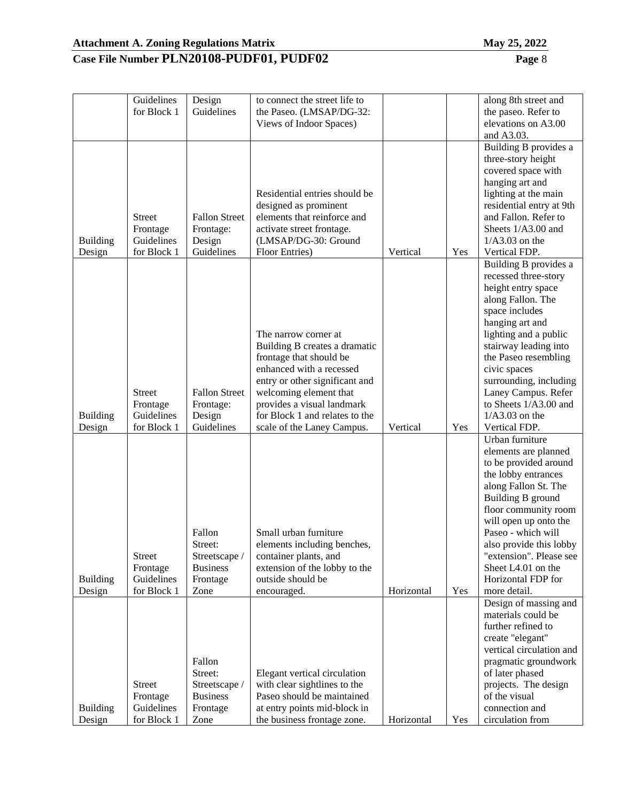|                           | Guidelines                | Design               | to connect the street life to                               |            |     | along 8th street and               |
|---------------------------|---------------------------|----------------------|-------------------------------------------------------------|------------|-----|------------------------------------|
|                           | for Block 1               | Guidelines           | the Paseo. (LMSAP/DG-32:                                    |            |     | the paseo. Refer to                |
|                           |                           |                      | Views of Indoor Spaces)                                     |            |     | elevations on A3.00                |
|                           |                           |                      |                                                             |            |     | and A3.03.                         |
|                           |                           |                      |                                                             |            |     | Building B provides a              |
|                           |                           |                      |                                                             |            |     | three-story height                 |
|                           |                           |                      |                                                             |            |     | covered space with                 |
|                           |                           |                      |                                                             |            |     |                                    |
|                           |                           |                      |                                                             |            |     | hanging art and                    |
|                           |                           |                      | Residential entries should be                               |            |     | lighting at the main               |
|                           |                           |                      | designed as prominent                                       |            |     | residential entry at 9th           |
|                           | <b>Street</b>             | <b>Fallon Street</b> | elements that reinforce and                                 |            |     | and Fallon. Refer to               |
|                           | Frontage                  | Frontage:            | activate street frontage.                                   |            |     | Sheets 1/A3.00 and                 |
| <b>Building</b>           | Guidelines                | Design               | (LMSAP/DG-30: Ground                                        |            |     | $1/A3.03$ on the                   |
| Design                    | for Block 1               | Guidelines           | Floor Entries)                                              | Vertical   | Yes | Vertical FDP.                      |
|                           |                           |                      |                                                             |            |     | Building B provides a              |
|                           |                           |                      |                                                             |            |     | recessed three-story               |
|                           |                           |                      |                                                             |            |     | height entry space                 |
|                           |                           |                      |                                                             |            |     | along Fallon. The                  |
|                           |                           |                      |                                                             |            |     | space includes                     |
|                           |                           |                      |                                                             |            |     | hanging art and                    |
|                           |                           |                      | The narrow corner at                                        |            |     | lighting and a public              |
|                           |                           |                      | Building B creates a dramatic                               |            |     | stairway leading into              |
|                           |                           |                      | frontage that should be                                     |            |     | the Paseo resembling               |
|                           |                           |                      | enhanced with a recessed                                    |            |     | civic spaces                       |
|                           |                           |                      | entry or other significant and                              |            |     | surrounding, including             |
|                           | <b>Street</b>             | <b>Fallon Street</b> | welcoming element that                                      |            |     | Laney Campus. Refer                |
|                           | Frontage                  | Frontage:            | provides a visual landmark                                  |            |     | to Sheets 1/A3.00 and              |
| <b>Building</b>           | Guidelines                | Design               | for Block 1 and relates to the                              |            |     | $1/A3.03$ on the                   |
| Design                    | for Block 1               | Guidelines           | scale of the Laney Campus.                                  | Vertical   | Yes | Vertical FDP.                      |
|                           |                           |                      |                                                             |            |     |                                    |
|                           |                           |                      |                                                             |            |     |                                    |
|                           |                           |                      |                                                             |            |     | Urban furniture                    |
|                           |                           |                      |                                                             |            |     | elements are planned               |
|                           |                           |                      |                                                             |            |     | to be provided around              |
|                           |                           |                      |                                                             |            |     | the lobby entrances                |
|                           |                           |                      |                                                             |            |     | along Fallon St. The               |
|                           |                           |                      |                                                             |            |     | Building B ground                  |
|                           |                           |                      |                                                             |            |     | floor community room               |
|                           |                           |                      |                                                             |            |     | will open up onto the              |
|                           |                           | Fallon               | Small urban furniture                                       |            |     | Paseo - which will                 |
|                           |                           | Street:              | elements including benches,                                 |            |     | also provide this lobby            |
|                           | <b>Street</b>             | Streetscape /        | container plants, and                                       |            |     | "extension". Please see            |
|                           | Frontage                  | <b>Business</b>      | extension of the lobby to the                               |            |     | Sheet L4.01 on the                 |
| Building                  | Guidelines                | Frontage             | outside should be                                           |            |     | Horizontal FDP for                 |
| Design                    | for Block 1               | Zone                 | encouraged.                                                 | Horizontal | Yes | more detail.                       |
|                           |                           |                      |                                                             |            |     | Design of massing and              |
|                           |                           |                      |                                                             |            |     | materials could be                 |
|                           |                           |                      |                                                             |            |     | further refined to                 |
|                           |                           |                      |                                                             |            |     | create "elegant"                   |
|                           |                           |                      |                                                             |            |     | vertical circulation and           |
|                           |                           | Fallon               |                                                             |            |     | pragmatic groundwork               |
|                           |                           | Street:              | Elegant vertical circulation                                |            |     | of later phased                    |
|                           | <b>Street</b>             | Streetscape /        | with clear sightlines to the                                |            |     | projects. The design               |
|                           | Frontage                  | <b>Business</b>      | Paseo should be maintained                                  |            |     | of the visual                      |
| <b>Building</b><br>Design | Guidelines<br>for Block 1 | Frontage<br>Zone     | at entry points mid-block in<br>the business frontage zone. | Horizontal | Yes | connection and<br>circulation from |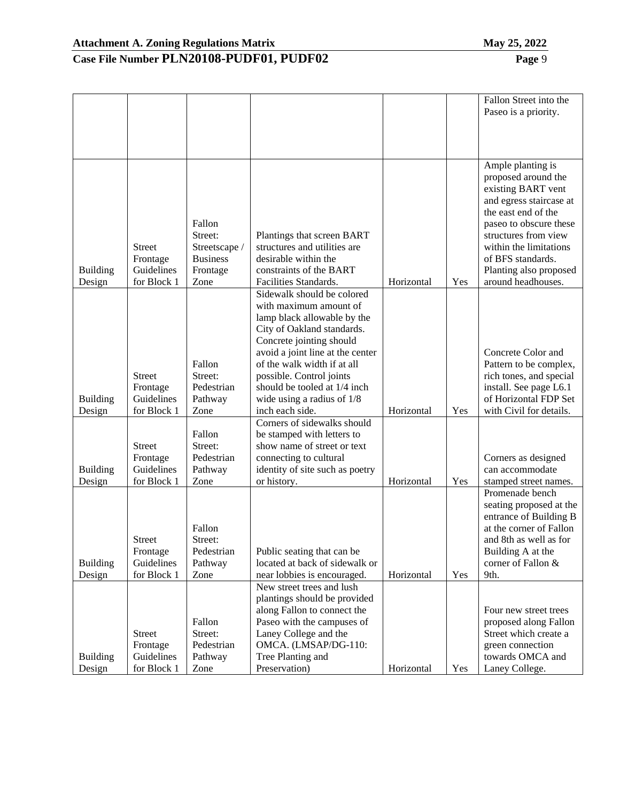|                           |                                                        |                                                                           |                                                                                                                                                                                                                                                                                                                                 |            |     | Fallon Street into the<br>Paseo is a priority.                                                                                                                                                                                                                    |
|---------------------------|--------------------------------------------------------|---------------------------------------------------------------------------|---------------------------------------------------------------------------------------------------------------------------------------------------------------------------------------------------------------------------------------------------------------------------------------------------------------------------------|------------|-----|-------------------------------------------------------------------------------------------------------------------------------------------------------------------------------------------------------------------------------------------------------------------|
|                           |                                                        |                                                                           |                                                                                                                                                                                                                                                                                                                                 |            |     |                                                                                                                                                                                                                                                                   |
|                           |                                                        |                                                                           |                                                                                                                                                                                                                                                                                                                                 |            |     |                                                                                                                                                                                                                                                                   |
| <b>Building</b><br>Design | <b>Street</b><br>Frontage<br>Guidelines<br>for Block 1 | Fallon<br>Street:<br>Streetscape /<br><b>Business</b><br>Frontage<br>Zone | Plantings that screen BART<br>structures and utilities are<br>desirable within the<br>constraints of the BART<br>Facilities Standards.                                                                                                                                                                                          | Horizontal | Yes | Ample planting is<br>proposed around the<br>existing BART vent<br>and egress staircase at<br>the east end of the<br>paseo to obscure these<br>structures from view<br>within the limitations<br>of BFS standards.<br>Planting also proposed<br>around headhouses. |
| <b>Building</b><br>Design | <b>Street</b><br>Frontage<br>Guidelines<br>for Block 1 | Fallon<br>Street:<br>Pedestrian<br>Pathway<br>Zone                        | Sidewalk should be colored<br>with maximum amount of<br>lamp black allowable by the<br>City of Oakland standards.<br>Concrete jointing should<br>avoid a joint line at the center<br>of the walk width if at all<br>possible. Control joints<br>should be tooled at 1/4 inch<br>wide using a radius of $1/8$<br>inch each side. | Horizontal | Yes | Concrete Color and<br>Pattern to be complex,<br>rich tones, and special<br>install. See page L6.1<br>of Horizontal FDP Set<br>with Civil for details.                                                                                                             |
| <b>Building</b><br>Design | <b>Street</b><br>Frontage<br>Guidelines<br>for Block 1 | Fallon<br>Street:<br>Pedestrian<br>Pathway<br>Zone                        | Corners of sidewalks should<br>be stamped with letters to<br>show name of street or text<br>connecting to cultural<br>identity of site such as poetry<br>or history.                                                                                                                                                            | Horizontal | Yes | Corners as designed<br>can accommodate<br>stamped street names.                                                                                                                                                                                                   |
| <b>Building</b><br>Design | <b>Street</b><br>Frontage<br>Guidelines<br>for Block 1 | Fallon<br>Street:<br>Pedestrian<br>Pathway<br>Zone                        | Public seating that can be<br>located at back of sidewalk or<br>near lobbies is encouraged.                                                                                                                                                                                                                                     | Horizontal | Yes | Promenade bench<br>seating proposed at the<br>entrance of Building B<br>at the corner of Fallon<br>and 8th as well as for<br>Building A at the<br>corner of Fallon &<br>9th.                                                                                      |
| <b>Building</b><br>Design | <b>Street</b><br>Frontage<br>Guidelines<br>for Block 1 | Fallon<br>Street:<br>Pedestrian<br>Pathway<br>Zone                        | New street trees and lush<br>plantings should be provided<br>along Fallon to connect the<br>Paseo with the campuses of<br>Laney College and the<br>OMCA. (LMSAP/DG-110:<br>Tree Planting and<br>Preservation)                                                                                                                   | Horizontal | Yes | Four new street trees<br>proposed along Fallon<br>Street which create a<br>green connection<br>towards OMCA and<br>Laney College.                                                                                                                                 |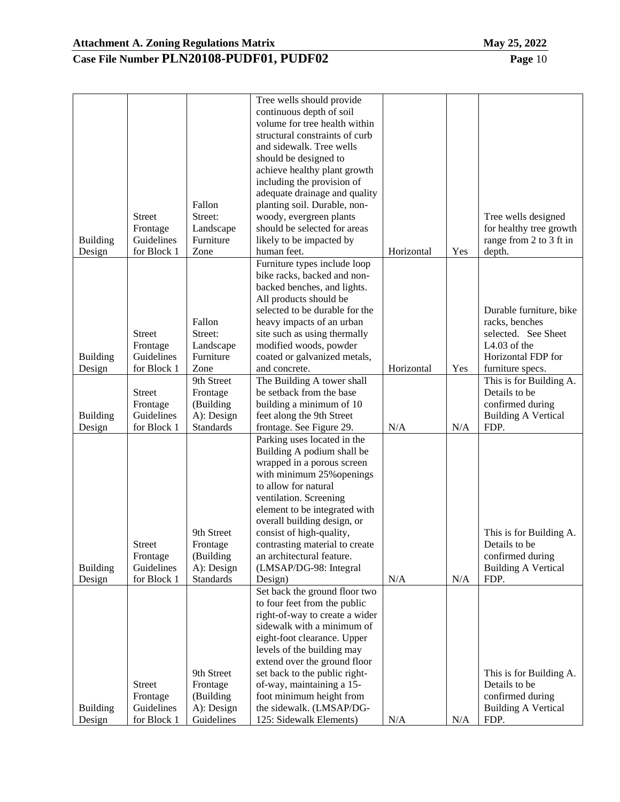Building Design

Street Frontage Guidelines for Block 1 Frontage (Building A): Design Guidelines

#### **Case File Number PLN20108-PUDF01, PUDF02 Page** 10

| <b>Building</b><br>Design | <b>Street</b><br>Frontage<br>Guidelines<br>for Block 1 | Fallon<br>Street:<br>Landscape<br>Furniture<br>Zone                   | volume for tree health within<br>structural constraints of curb<br>and sidewalk. Tree wells<br>should be designed to<br>achieve healthy plant growth<br>including the provision of<br>adequate drainage and quality<br>planting soil. Durable, non-<br>woody, evergreen plants<br>should be selected for areas<br>likely to be impacted by<br>human feet.              | Horizontal | Yes | Tree wells designed<br>for healthy tree growth<br>range from 2 to 3 ft in<br>depth.                                        |
|---------------------------|--------------------------------------------------------|-----------------------------------------------------------------------|------------------------------------------------------------------------------------------------------------------------------------------------------------------------------------------------------------------------------------------------------------------------------------------------------------------------------------------------------------------------|------------|-----|----------------------------------------------------------------------------------------------------------------------------|
|                           |                                                        |                                                                       | Furniture types include loop<br>bike racks, backed and non-<br>backed benches, and lights.                                                                                                                                                                                                                                                                             |            |     |                                                                                                                            |
| <b>Building</b><br>Design | <b>Street</b><br>Frontage<br>Guidelines<br>for Block 1 | Fallon<br>Street:<br>Landscape<br>Furniture<br>Zone                   | All products should be<br>selected to be durable for the<br>heavy impacts of an urban<br>site such as using thermally<br>modified woods, powder<br>coated or galvanized metals,<br>and concrete.                                                                                                                                                                       | Horizontal | Yes | Durable furniture, bike<br>racks, benches<br>selected. See Sheet<br>L4.03 of the<br>Horizontal FDP for<br>furniture specs. |
| <b>Building</b><br>Design | <b>Street</b><br>Frontage<br>Guidelines<br>for Block 1 | 9th Street<br>Frontage<br>(Building<br>A): Design<br><b>Standards</b> | The Building A tower shall<br>be setback from the base<br>building a minimum of 10<br>feet along the 9th Street<br>frontage. See Figure 29.                                                                                                                                                                                                                            | N/A        | N/A | This is for Building A.<br>Details to be<br>confirmed during<br><b>Building A Vertical</b><br>FDP.                         |
| <b>Building</b><br>Design | <b>Street</b><br>Frontage<br>Guidelines<br>for Block 1 | 9th Street<br>Frontage<br>(Building<br>A): Design<br><b>Standards</b> | Parking uses located in the<br>Building A podium shall be<br>wrapped in a porous screen<br>with minimum 25% openings<br>to allow for natural<br>ventilation. Screening<br>element to be integrated with<br>overall building design, or<br>consist of high-quality,<br>contrasting material to create<br>an architectural feature.<br>(LMSAP/DG-98: Integral<br>Design) | N/A        | N/A | This is for Building A.<br>Details to be<br>confirmed during<br><b>Building A Vertical</b><br>FDP.                         |
|                           |                                                        | 9th Street                                                            | Set back the ground floor two<br>to four feet from the public<br>right-of-way to create a wider<br>sidewalk with a minimum of<br>eight-foot clearance. Upper<br>levels of the building may<br>extend over the ground floor<br>set back to the public right-                                                                                                            |            |     | This is for Building A.                                                                                                    |

of-way, maintaining a 15 foot minimum height from the sidewalk. (LMSAP/DG-

125: Sidewalk Elements) N/A N/A

Tree wells should provide continuous depth of soil

Details to be confirmed during Building A Vertical

FDP.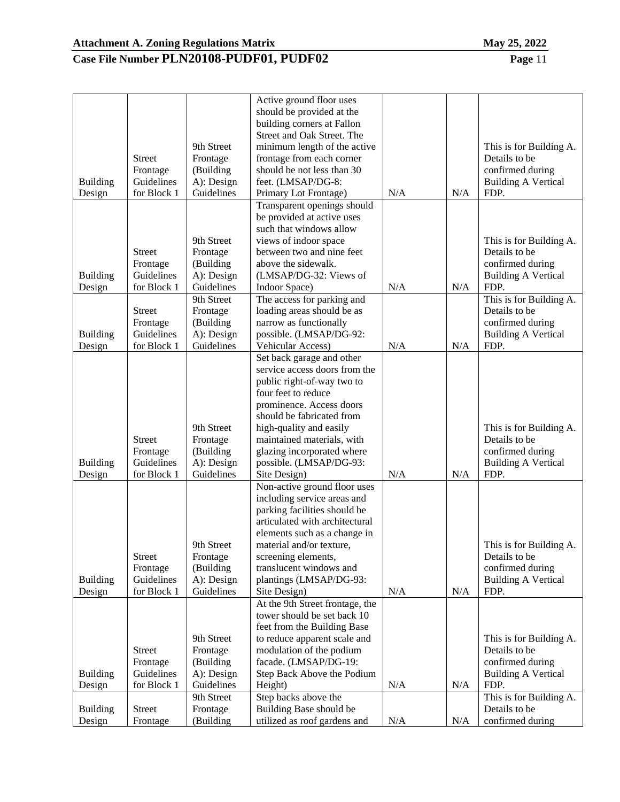|                           |                           |                          | Active ground floor uses<br>should be provided at the    |     |     |                                    |
|---------------------------|---------------------------|--------------------------|----------------------------------------------------------|-----|-----|------------------------------------|
|                           |                           |                          | building corners at Fallon<br>Street and Oak Street. The |     |     |                                    |
|                           |                           | 9th Street               | minimum length of the active                             |     |     | This is for Building A.            |
|                           | <b>Street</b>             | Frontage                 | frontage from each corner                                |     |     | Details to be                      |
|                           | Frontage                  | (Building                | should be not less than 30                               |     |     | confirmed during                   |
| <b>Building</b>           | Guidelines                | A): Design               | feet. (LMSAP/DG-8:                                       |     |     | <b>Building A Vertical</b>         |
| Design                    | for Block 1               | Guidelines               | Primary Lot Frontage)                                    | N/A | N/A | FDP.                               |
|                           |                           |                          | Transparent openings should                              |     |     |                                    |
|                           |                           |                          | be provided at active uses                               |     |     |                                    |
|                           |                           |                          | such that windows allow                                  |     |     |                                    |
|                           |                           | 9th Street               | views of indoor space                                    |     |     | This is for Building A.            |
|                           | <b>Street</b>             | Frontage                 | between two and nine feet                                |     |     | Details to be                      |
|                           | Frontage                  | (Building                | above the sidewalk.                                      |     |     | confirmed during                   |
| <b>Building</b>           | Guidelines                | A): Design               | (LMSAP/DG-32: Views of                                   |     |     | <b>Building A Vertical</b>         |
| Design                    | for Block 1               | Guidelines               | Indoor Space)                                            | N/A | N/A | FDP.                               |
|                           |                           | 9th Street               | The access for parking and                               |     |     | This is for Building A.            |
|                           | <b>Street</b>             | Frontage                 | loading areas should be as                               |     |     | Details to be                      |
|                           | Frontage                  | (Building                | narrow as functionally                                   |     |     | confirmed during                   |
| Building                  | Guidelines<br>for Block 1 | A): Design<br>Guidelines | possible. (LMSAP/DG-92:                                  | N/A | N/A | <b>Building A Vertical</b><br>FDP. |
| Design                    |                           |                          | Vehicular Access)<br>Set back garage and other           |     |     |                                    |
|                           |                           |                          | service access doors from the                            |     |     |                                    |
|                           |                           |                          | public right-of-way two to                               |     |     |                                    |
|                           |                           |                          | four feet to reduce                                      |     |     |                                    |
|                           |                           |                          | prominence. Access doors                                 |     |     |                                    |
|                           |                           |                          | should be fabricated from                                |     |     |                                    |
|                           |                           | 9th Street               | high-quality and easily                                  |     |     | This is for Building A.            |
|                           | <b>Street</b>             | Frontage                 | maintained materials, with                               |     |     | Details to be                      |
|                           | Frontage                  | (Building                | glazing incorporated where                               |     |     | confirmed during                   |
| <b>Building</b>           | Guidelines                | A): Design               | possible. (LMSAP/DG-93:                                  |     |     | <b>Building A Vertical</b>         |
| Design                    | for Block 1               | Guidelines               | Site Design)                                             | N/A | N/A | FDP.                               |
|                           |                           |                          | Non-active ground floor uses                             |     |     |                                    |
|                           |                           |                          | including service areas and                              |     |     |                                    |
|                           |                           |                          | parking facilities should be                             |     |     |                                    |
|                           |                           |                          | articulated with architectural                           |     |     |                                    |
|                           |                           |                          | elements such as a change in                             |     |     |                                    |
|                           |                           | 9th Street               | material and/or texture,                                 |     |     | This is for Building A.            |
|                           | Street                    | Frontage                 | screening elements,                                      |     |     | Details to be                      |
|                           | Frontage                  | (Building                | translucent windows and                                  |     |     | confirmed during                   |
| <b>Building</b><br>Design | Guidelines<br>for Block 1 | A): Design<br>Guidelines | plantings (LMSAP/DG-93:<br>Site Design)                  | N/A | N/A | <b>Building A Vertical</b><br>FDP. |
|                           |                           |                          | At the 9th Street frontage, the                          |     |     |                                    |
|                           |                           |                          | tower should be set back 10                              |     |     |                                    |
|                           |                           |                          | feet from the Building Base                              |     |     |                                    |
|                           |                           | 9th Street               | to reduce apparent scale and                             |     |     | This is for Building A.            |
|                           | <b>Street</b>             | Frontage                 | modulation of the podium                                 |     |     | Details to be                      |
|                           | Frontage                  | (Building                | facade. (LMSAP/DG-19:                                    |     |     | confirmed during                   |
| <b>Building</b>           | Guidelines                | A): Design               | Step Back Above the Podium                               |     |     | <b>Building A Vertical</b>         |
| Design                    | for Block 1               | Guidelines               | Height)                                                  | N/A | N/A | FDP.                               |
|                           |                           | 9th Street               | Step backs above the                                     |     |     | This is for Building A.            |
| <b>Building</b>           | Street                    | Frontage                 | Building Base should be                                  |     |     | Details to be                      |
| Design                    | Frontage                  | (Building                | utilized as roof gardens and                             | N/A | N/A | confirmed during                   |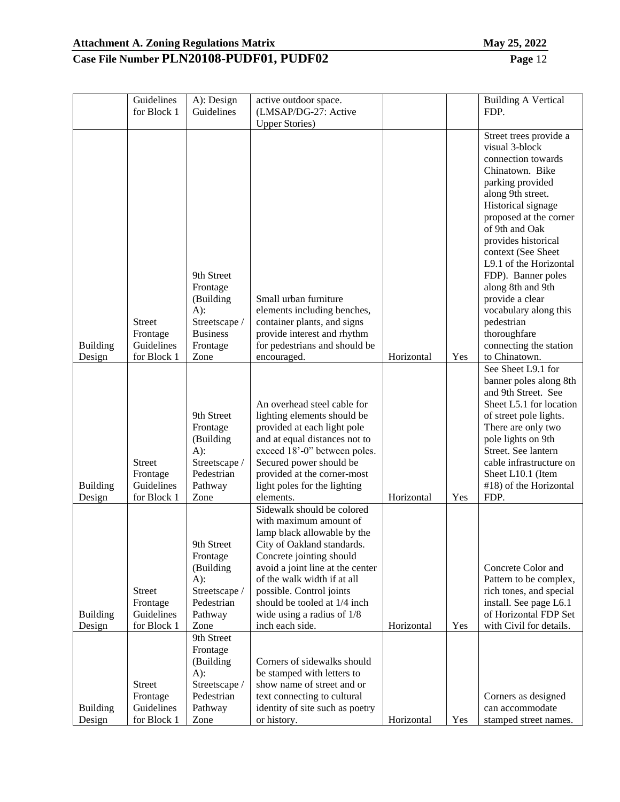|                           | Guidelines<br>for Block 1                              | A): Design<br>Guidelines                                                                              | active outdoor space.<br>(LMSAP/DG-27: Active                                                                                                                                                                                                                                                                                   |            |     | <b>Building A Vertical</b><br>FDP.                                                                                                                                                                                                                                                                                                                                                                                                  |
|---------------------------|--------------------------------------------------------|-------------------------------------------------------------------------------------------------------|---------------------------------------------------------------------------------------------------------------------------------------------------------------------------------------------------------------------------------------------------------------------------------------------------------------------------------|------------|-----|-------------------------------------------------------------------------------------------------------------------------------------------------------------------------------------------------------------------------------------------------------------------------------------------------------------------------------------------------------------------------------------------------------------------------------------|
|                           |                                                        |                                                                                                       | <b>Upper Stories</b> )                                                                                                                                                                                                                                                                                                          |            |     |                                                                                                                                                                                                                                                                                                                                                                                                                                     |
| <b>Building</b><br>Design | <b>Street</b><br>Frontage<br>Guidelines<br>for Block 1 | 9th Street<br>Frontage<br>(Building<br>$A)$ :<br>Streetscape /<br><b>Business</b><br>Frontage<br>Zone | Small urban furniture<br>elements including benches,<br>container plants, and signs<br>provide interest and rhythm<br>for pedestrians and should be<br>encouraged.                                                                                                                                                              | Horizontal | Yes | Street trees provide a<br>visual 3-block<br>connection towards<br>Chinatown. Bike<br>parking provided<br>along 9th street.<br>Historical signage<br>proposed at the corner<br>of 9th and Oak<br>provides historical<br>context (See Sheet<br>L9.1 of the Horizontal<br>FDP). Banner poles<br>along 8th and 9th<br>provide a clear<br>vocabulary along this<br>pedestrian<br>thoroughfare<br>connecting the station<br>to Chinatown. |
| <b>Building</b><br>Design | <b>Street</b><br>Frontage<br>Guidelines<br>for Block 1 | 9th Street<br>Frontage<br>(Building<br>$A)$ :<br>Streetscape /<br>Pedestrian<br>Pathway<br>Zone       | An overhead steel cable for<br>lighting elements should be<br>provided at each light pole<br>and at equal distances not to<br>exceed 18'-0" between poles.<br>Secured power should be<br>provided at the corner-most<br>light poles for the lighting<br>elements.                                                               | Horizontal | Yes | See Sheet L9.1 for<br>banner poles along 8th<br>and 9th Street. See<br>Sheet L5.1 for location<br>of street pole lights.<br>There are only two<br>pole lights on 9th<br>Street. See lantern<br>cable infrastructure on<br>Sheet L10.1 (Item<br>#18) of the Horizontal<br>FDP.                                                                                                                                                       |
| <b>Building</b><br>Design | <b>Street</b><br>Frontage<br>Guidelines<br>for Block 1 | 9th Street<br>Frontage<br>(Building<br>$A)$ :<br>Streetscape /<br>Pedestrian<br>Pathway<br>Zone       | Sidewalk should be colored<br>with maximum amount of<br>lamp black allowable by the<br>City of Oakland standards.<br>Concrete jointing should<br>avoid a joint line at the center<br>of the walk width if at all<br>possible. Control joints<br>should be tooled at 1/4 inch<br>wide using a radius of $1/8$<br>inch each side. | Horizontal | Yes | Concrete Color and<br>Pattern to be complex,<br>rich tones, and special<br>install. See page L6.1<br>of Horizontal FDP Set<br>with Civil for details.                                                                                                                                                                                                                                                                               |
| <b>Building</b><br>Design | <b>Street</b><br>Frontage<br>Guidelines<br>for Block 1 | 9th Street<br>Frontage<br>(Building<br>$A)$ :<br>Streetscape /<br>Pedestrian<br>Pathway<br>Zone       | Corners of sidewalks should<br>be stamped with letters to<br>show name of street and or<br>text connecting to cultural<br>identity of site such as poetry<br>or history.                                                                                                                                                        | Horizontal | Yes | Corners as designed<br>can accommodate<br>stamped street names.                                                                                                                                                                                                                                                                                                                                                                     |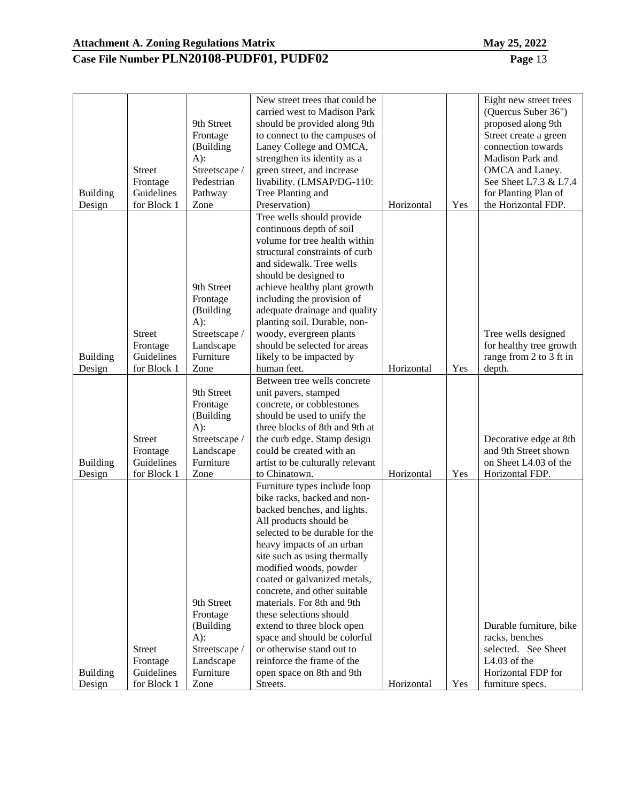|                 |               |               | New street trees that could be   |            |     | Eight new street trees   |
|-----------------|---------------|---------------|----------------------------------|------------|-----|--------------------------|
|                 |               |               | carried west to Madison Park     |            |     | (Quercus Suber 36")      |
|                 |               | 9th Street    | should be provided along 9th     |            |     | proposed along 9th       |
|                 |               | Frontage      | to connect to the campuses of    |            |     | Street create a green    |
|                 |               | (Building     | Laney College and OMCA,          |            |     | connection towards       |
|                 |               | $A)$ :        | strengthen its identity as a     |            |     | Madison Park and         |
|                 | <b>Street</b> | Streetscape / | green street, and increase       |            |     | OMCA and Laney.          |
|                 | Frontage      | Pedestrian    | livability. (LMSAP/DG-110:       |            |     | See Sheet L7.3 & L7.4    |
| <b>Building</b> | Guidelines    | Pathway       | Tree Planting and                |            |     | for Planting Plan of     |
| Design          | for Block 1   | Zone          | Preservation)                    | Horizontal | Yes | the Horizontal FDP.      |
|                 |               |               | Tree wells should provide        |            |     |                          |
|                 |               |               | continuous depth of soil         |            |     |                          |
|                 |               |               | volume for tree health within    |            |     |                          |
|                 |               |               | structural constraints of curb   |            |     |                          |
|                 |               |               | and sidewalk. Tree wells         |            |     |                          |
|                 |               |               | should be designed to            |            |     |                          |
|                 |               | 9th Street    | achieve healthy plant growth     |            |     |                          |
|                 |               | Frontage      | including the provision of       |            |     |                          |
|                 |               | (Building     | adequate drainage and quality    |            |     |                          |
|                 |               | $A)$ :        | planting soil. Durable, non-     |            |     |                          |
|                 | <b>Street</b> | Streetscape / | woody, evergreen plants          |            |     | Tree wells designed      |
|                 | Frontage      | Landscape     | should be selected for areas     |            |     | for healthy tree growth  |
| <b>Building</b> | Guidelines    | Furniture     | likely to be impacted by         |            |     | range from 2 to 3 ft in  |
| Design          | for Block 1   | Zone          | human feet.                      | Horizontal | Yes | depth.                   |
|                 |               |               | Between tree wells concrete      |            |     |                          |
|                 |               | 9th Street    | unit pavers, stamped             |            |     |                          |
|                 |               | Frontage      | concrete, or cobblestones        |            |     |                          |
|                 |               | (Building     | should be used to unify the      |            |     |                          |
|                 |               | $A)$ :        | three blocks of 8th and 9th at   |            |     |                          |
|                 | <b>Street</b> | Streetscape / | the curb edge. Stamp design      |            |     | Decorative edge at 8th   |
|                 | Frontage      | Landscape     | could be created with an         |            |     | and 9th Street shown     |
| <b>Building</b> | Guidelines    | Furniture     | artist to be culturally relevant |            |     | on Sheet L4.03 of the    |
| Design          | for Block 1   | Zone          | to Chinatown.                    | Horizontal | Yes | Horizontal FDP.          |
|                 |               |               | Furniture types include loop     |            |     |                          |
|                 |               |               | bike racks, backed and non-      |            |     |                          |
|                 |               |               | backed benches, and lights.      |            |     |                          |
|                 |               |               | All products should be           |            |     |                          |
|                 |               |               | selected to be durable for the   |            |     |                          |
|                 |               |               | heavy impacts of an urban        |            |     |                          |
|                 |               |               | site such as using thermally     |            |     |                          |
|                 |               |               | modified woods, powder           |            |     |                          |
|                 |               |               | coated or galvanized metals,     |            |     |                          |
|                 |               |               | concrete, and other suitable     |            |     |                          |
|                 |               | 9th Street    | materials. For 8th and 9th       |            |     |                          |
|                 |               | Frontage      | these selections should          |            |     |                          |
|                 |               | (Building     | extend to three block open       |            |     | Durable furniture, bike  |
|                 |               | $A)$ :        | space and should be colorful     |            |     | racks, benches           |
|                 | <b>Street</b> | Streetscape / | or otherwise stand out to        |            |     | selected. See Sheet      |
|                 | Frontage      | Landscape     | reinforce the frame of the       |            |     | L <sub>4.03</sub> of the |
| <b>Building</b> | Guidelines    | Furniture     | open space on 8th and 9th        |            |     | Horizontal FDP for       |
| Design          | for Block 1   | Zone          | Streets.                         | Horizontal | Yes | furniture specs.         |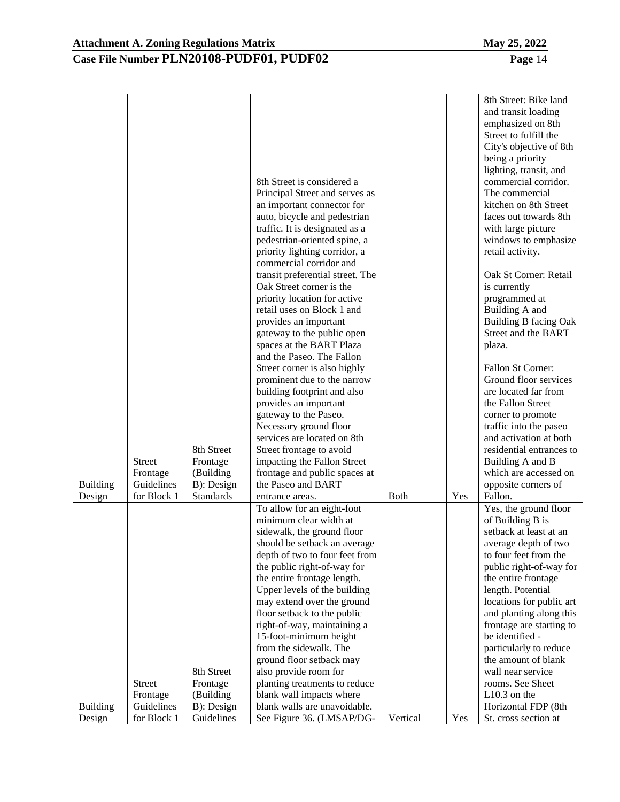|                 |                           |                       | 8th Street is considered a<br>Principal Street and serves as<br>an important connector for<br>auto, bicycle and pedestrian<br>traffic. It is designated as a<br>pedestrian-oriented spine, a<br>priority lighting corridor, a<br>commercial corridor and |             |     | 8th Street: Bike land<br>and transit loading<br>emphasized on 8th<br>Street to fulfill the<br>City's objective of 8th<br>being a priority<br>lighting, transit, and<br>commercial corridor.<br>The commercial<br>kitchen on 8th Street<br>faces out towards 8th<br>with large picture<br>windows to emphasize<br>retail activity. |
|-----------------|---------------------------|-----------------------|----------------------------------------------------------------------------------------------------------------------------------------------------------------------------------------------------------------------------------------------------------|-------------|-----|-----------------------------------------------------------------------------------------------------------------------------------------------------------------------------------------------------------------------------------------------------------------------------------------------------------------------------------|
|                 |                           |                       | transit preferential street. The<br>Oak Street corner is the                                                                                                                                                                                             |             |     | Oak St Corner: Retail<br>is currently                                                                                                                                                                                                                                                                                             |
|                 |                           |                       | priority location for active                                                                                                                                                                                                                             |             |     | programmed at                                                                                                                                                                                                                                                                                                                     |
|                 |                           |                       | retail uses on Block 1 and<br>provides an important                                                                                                                                                                                                      |             |     | Building A and<br>Building B facing Oak                                                                                                                                                                                                                                                                                           |
|                 |                           |                       | gateway to the public open                                                                                                                                                                                                                               |             |     | Street and the BART                                                                                                                                                                                                                                                                                                               |
|                 |                           |                       | spaces at the BART Plaza<br>and the Paseo. The Fallon                                                                                                                                                                                                    |             |     | plaza.                                                                                                                                                                                                                                                                                                                            |
|                 |                           |                       | Street corner is also highly                                                                                                                                                                                                                             |             |     | Fallon St Corner:                                                                                                                                                                                                                                                                                                                 |
|                 |                           |                       | prominent due to the narrow                                                                                                                                                                                                                              |             |     | Ground floor services                                                                                                                                                                                                                                                                                                             |
|                 |                           |                       | building footprint and also                                                                                                                                                                                                                              |             |     | are located far from                                                                                                                                                                                                                                                                                                              |
|                 |                           |                       | provides an important<br>gateway to the Paseo.                                                                                                                                                                                                           |             |     | the Fallon Street                                                                                                                                                                                                                                                                                                                 |
|                 |                           |                       | Necessary ground floor                                                                                                                                                                                                                                   |             |     | corner to promote<br>traffic into the paseo                                                                                                                                                                                                                                                                                       |
|                 |                           |                       | services are located on 8th                                                                                                                                                                                                                              |             |     | and activation at both                                                                                                                                                                                                                                                                                                            |
|                 |                           | 8th Street            | Street frontage to avoid                                                                                                                                                                                                                                 |             |     | residential entrances to                                                                                                                                                                                                                                                                                                          |
|                 | <b>Street</b>             | Frontage              | impacting the Fallon Street                                                                                                                                                                                                                              |             |     | Building A and B                                                                                                                                                                                                                                                                                                                  |
|                 | Frontage                  | (Building             | frontage and public spaces at                                                                                                                                                                                                                            |             |     | which are accessed on                                                                                                                                                                                                                                                                                                             |
| <b>Building</b> | Guidelines                | B): Design            | the Paseo and BART                                                                                                                                                                                                                                       |             |     | opposite corners of                                                                                                                                                                                                                                                                                                               |
| Design          | for Block 1               | <b>Standards</b>      | entrance areas.<br>To allow for an eight-foot                                                                                                                                                                                                            | <b>Both</b> | Yes | Fallon.<br>Yes, the ground floor                                                                                                                                                                                                                                                                                                  |
|                 |                           |                       | minimum clear width at                                                                                                                                                                                                                                   |             |     | of Building B is                                                                                                                                                                                                                                                                                                                  |
|                 |                           |                       | sidewalk, the ground floor                                                                                                                                                                                                                               |             |     | setback at least at an                                                                                                                                                                                                                                                                                                            |
|                 |                           |                       | should be setback an average                                                                                                                                                                                                                             |             |     | average depth of two                                                                                                                                                                                                                                                                                                              |
|                 |                           |                       | depth of two to four feet from                                                                                                                                                                                                                           |             |     | to four feet from the                                                                                                                                                                                                                                                                                                             |
|                 |                           |                       | the public right-of-way for                                                                                                                                                                                                                              |             |     | public right-of-way for                                                                                                                                                                                                                                                                                                           |
|                 |                           |                       | the entire frontage length.<br>Upper levels of the building                                                                                                                                                                                              |             |     | the entire frontage<br>length. Potential                                                                                                                                                                                                                                                                                          |
|                 |                           |                       | may extend over the ground                                                                                                                                                                                                                               |             |     | locations for public art                                                                                                                                                                                                                                                                                                          |
|                 |                           |                       | floor setback to the public                                                                                                                                                                                                                              |             |     | and planting along this                                                                                                                                                                                                                                                                                                           |
|                 |                           |                       | right-of-way, maintaining a                                                                                                                                                                                                                              |             |     | frontage are starting to                                                                                                                                                                                                                                                                                                          |
|                 |                           |                       | 15-foot-minimum height                                                                                                                                                                                                                                   |             |     | be identified -                                                                                                                                                                                                                                                                                                                   |
|                 |                           |                       | from the sidewalk. The                                                                                                                                                                                                                                   |             |     | particularly to reduce                                                                                                                                                                                                                                                                                                            |
|                 |                           |                       | ground floor setback may                                                                                                                                                                                                                                 |             |     | the amount of blank                                                                                                                                                                                                                                                                                                               |
|                 |                           | 8th Street            | also provide room for                                                                                                                                                                                                                                    |             |     | wall near service                                                                                                                                                                                                                                                                                                                 |
|                 | <b>Street</b><br>Frontage | Frontage<br>(Building | planting treatments to reduce<br>blank wall impacts where                                                                                                                                                                                                |             |     | rooms. See Sheet<br>$L10.3$ on the                                                                                                                                                                                                                                                                                                |
| <b>Building</b> | Guidelines                | B): Design            | blank walls are unavoidable.                                                                                                                                                                                                                             |             |     | Horizontal FDP (8th                                                                                                                                                                                                                                                                                                               |
| Design          | for Block 1               | Guidelines            | See Figure 36. (LMSAP/DG-                                                                                                                                                                                                                                | Vertical    | Yes | St. cross section at                                                                                                                                                                                                                                                                                                              |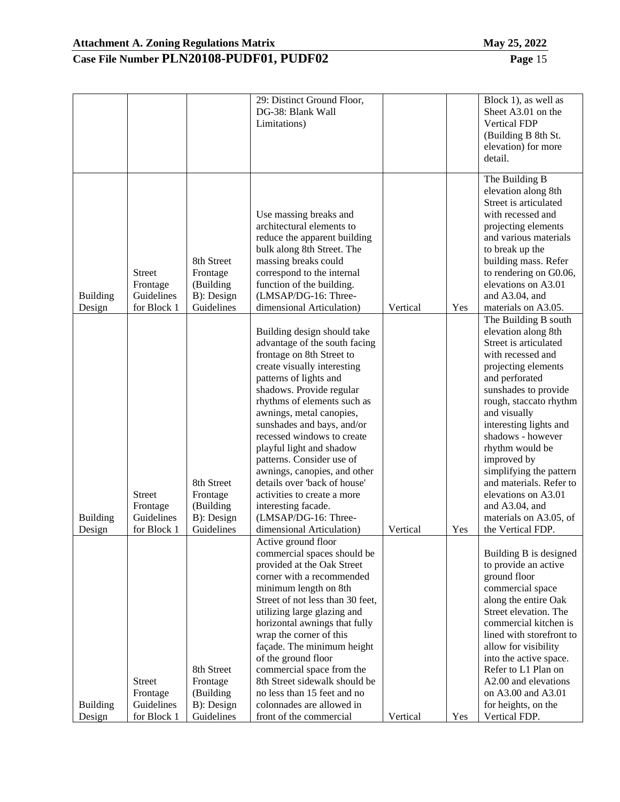|                           |                                                        |                                                                 | 29: Distinct Ground Floor,<br>DG-38: Blank Wall<br>Limitations)                                                                                                                                                                                                                                                                                                                                                                                                                                                                           |          |     | Block 1), as well as<br>Sheet A3.01 on the<br><b>Vertical FDP</b><br>(Building B 8th St.<br>elevation) for more<br>detail.                                                                                                                                                                                                                                                                                                          |
|---------------------------|--------------------------------------------------------|-----------------------------------------------------------------|-------------------------------------------------------------------------------------------------------------------------------------------------------------------------------------------------------------------------------------------------------------------------------------------------------------------------------------------------------------------------------------------------------------------------------------------------------------------------------------------------------------------------------------------|----------|-----|-------------------------------------------------------------------------------------------------------------------------------------------------------------------------------------------------------------------------------------------------------------------------------------------------------------------------------------------------------------------------------------------------------------------------------------|
| <b>Building</b><br>Design | <b>Street</b><br>Frontage<br>Guidelines<br>for Block 1 | 8th Street<br>Frontage<br>(Building<br>B): Design<br>Guidelines | Use massing breaks and<br>architectural elements to<br>reduce the apparent building<br>bulk along 8th Street. The<br>massing breaks could<br>correspond to the internal<br>function of the building.<br>(LMSAP/DG-16: Three-<br>dimensional Articulation)                                                                                                                                                                                                                                                                                 | Vertical | Yes | The Building B<br>elevation along 8th<br>Street is articulated<br>with recessed and<br>projecting elements<br>and various materials<br>to break up the<br>building mass. Refer<br>to rendering on G0.06,<br>elevations on A3.01<br>and A3.04, and<br>materials on A3.05.                                                                                                                                                            |
| <b>Building</b><br>Design | <b>Street</b><br>Frontage<br>Guidelines<br>for Block 1 | 8th Street<br>Frontage<br>(Building<br>B): Design<br>Guidelines | Building design should take<br>advantage of the south facing<br>frontage on 8th Street to<br>create visually interesting<br>patterns of lights and<br>shadows. Provide regular<br>rhythms of elements such as<br>awnings, metal canopies,<br>sunshades and bays, and/or<br>recessed windows to create<br>playful light and shadow<br>patterns. Consider use of<br>awnings, canopies, and other<br>details over 'back of house'<br>activities to create a more<br>interesting facade.<br>(LMSAP/DG-16: Three-<br>dimensional Articulation) | Vertical | Yes | The Building B south<br>elevation along 8th<br>Street is articulated<br>with recessed and<br>projecting elements<br>and perforated<br>sunshades to provide<br>rough, staccato rhythm<br>and visually<br>interesting lights and<br>shadows - however<br>rhythm would be<br>improved by<br>simplifying the pattern<br>and materials. Refer to<br>elevations on A3.01<br>and A3.04, and<br>materials on A3.05, of<br>the Vertical FDP. |
| <b>Building</b><br>Design | <b>Street</b><br>Frontage<br>Guidelines<br>for Block 1 | 8th Street<br>Frontage<br>(Building<br>B): Design<br>Guidelines | Active ground floor<br>commercial spaces should be<br>provided at the Oak Street<br>corner with a recommended<br>minimum length on 8th<br>Street of not less than 30 feet,<br>utilizing large glazing and<br>horizontal awnings that fully<br>wrap the corner of this<br>façade. The minimum height<br>of the ground floor<br>commercial space from the<br>8th Street sidewalk should be<br>no less than 15 feet and no<br>colonnades are allowed in<br>front of the commercial                                                           | Vertical | Yes | Building B is designed<br>to provide an active<br>ground floor<br>commercial space<br>along the entire Oak<br>Street elevation. The<br>commercial kitchen is<br>lined with storefront to<br>allow for visibility<br>into the active space.<br>Refer to L1 Plan on<br>A2.00 and elevations<br>on A3.00 and A3.01<br>for heights, on the<br>Vertical FDP.                                                                             |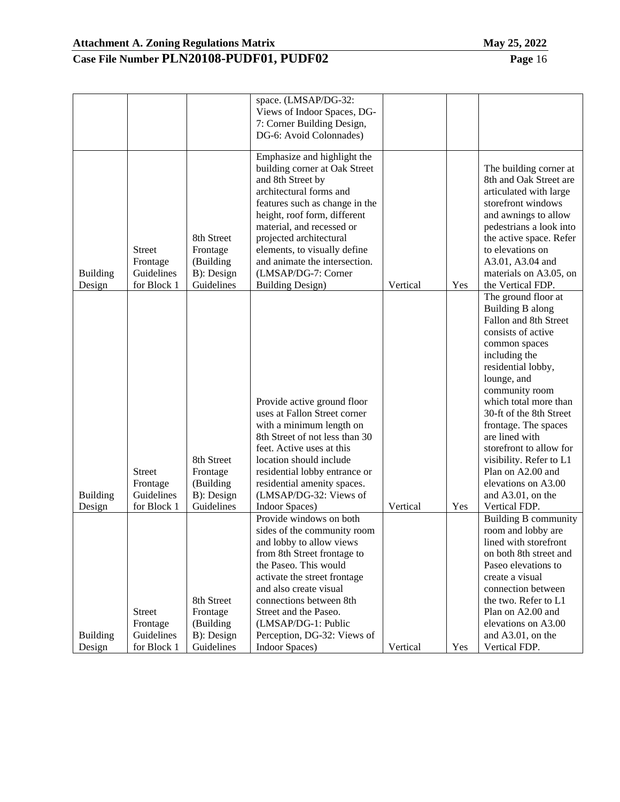|                 |               |            | space. (LMSAP/DG-32:           |          |     |                             |
|-----------------|---------------|------------|--------------------------------|----------|-----|-----------------------------|
|                 |               |            | Views of Indoor Spaces, DG-    |          |     |                             |
|                 |               |            | 7: Corner Building Design,     |          |     |                             |
|                 |               |            | DG-6: Avoid Colonnades)        |          |     |                             |
|                 |               |            | Emphasize and highlight the    |          |     |                             |
|                 |               |            | building corner at Oak Street  |          |     | The building corner at      |
|                 |               |            | and 8th Street by              |          |     | 8th and Oak Street are      |
|                 |               |            | architectural forms and        |          |     | articulated with large      |
|                 |               |            | features such as change in the |          |     | storefront windows          |
|                 |               |            | height, roof form, different   |          |     | and awnings to allow        |
|                 |               |            | material, and recessed or      |          |     | pedestrians a look into     |
|                 |               | 8th Street | projected architectural        |          |     | the active space. Refer     |
|                 | <b>Street</b> | Frontage   | elements, to visually define   |          |     | to elevations on            |
|                 | Frontage      | (Building  | and animate the intersection.  |          |     | A3.01, A3.04 and            |
| <b>Building</b> | Guidelines    | B): Design | (LMSAP/DG-7: Corner            |          |     | materials on A3.05, on      |
| Design          | for Block 1   | Guidelines | <b>Building Design)</b>        | Vertical | Yes | the Vertical FDP.           |
|                 |               |            |                                |          |     | The ground floor at         |
|                 |               |            |                                |          |     | Building B along            |
|                 |               |            |                                |          |     | Fallon and 8th Street       |
|                 |               |            |                                |          |     | consists of active          |
|                 |               |            |                                |          |     | common spaces               |
|                 |               |            |                                |          |     | including the               |
|                 |               |            |                                |          |     | residential lobby,          |
|                 |               |            |                                |          |     | lounge, and                 |
|                 |               |            |                                |          |     | community room              |
|                 |               |            | Provide active ground floor    |          |     | which total more than       |
|                 |               |            | uses at Fallon Street corner   |          |     | 30-ft of the 8th Street     |
|                 |               |            | with a minimum length on       |          |     | frontage. The spaces        |
|                 |               |            | 8th Street of not less than 30 |          |     | are lined with              |
|                 |               |            | feet. Active uses at this      |          |     | storefront to allow for     |
|                 |               | 8th Street | location should include        |          |     | visibility. Refer to L1     |
|                 | Street        | Frontage   | residential lobby entrance or  |          |     | Plan on A2.00 and           |
|                 | Frontage      | (Building  | residential amenity spaces.    |          |     | elevations on A3.00         |
| <b>Building</b> | Guidelines    | B): Design | (LMSAP/DG-32: Views of         |          |     | and A3.01, on the           |
| Design          | for Block 1   | Guidelines | Indoor Spaces)                 | Vertical | Yes | Vertical FDP.               |
|                 |               |            | Provide windows on both        |          |     | <b>Building B community</b> |
|                 |               |            | sides of the community room    |          |     | room and lobby are          |
|                 |               |            | and lobby to allow views       |          |     | lined with storefront       |
|                 |               |            | from 8th Street frontage to    |          |     | on both 8th street and      |
|                 |               |            | the Paseo. This would          |          |     | Paseo elevations to         |
|                 |               |            | activate the street frontage   |          |     | create a visual             |
|                 |               |            | and also create visual         |          |     | connection between          |
|                 |               | 8th Street | connections between 8th        |          |     | the two. Refer to L1        |
|                 | <b>Street</b> | Frontage   | Street and the Paseo.          |          |     | Plan on A2.00 and           |
|                 | Frontage      | (Building  | (LMSAP/DG-1: Public            |          |     | elevations on A3.00         |
| <b>Building</b> | Guidelines    | B): Design | Perception, DG-32: Views of    |          |     | and A3.01, on the           |
| Design          | for Block 1   | Guidelines | <b>Indoor Spaces</b> )         | Vertical | Yes | Vertical FDP.               |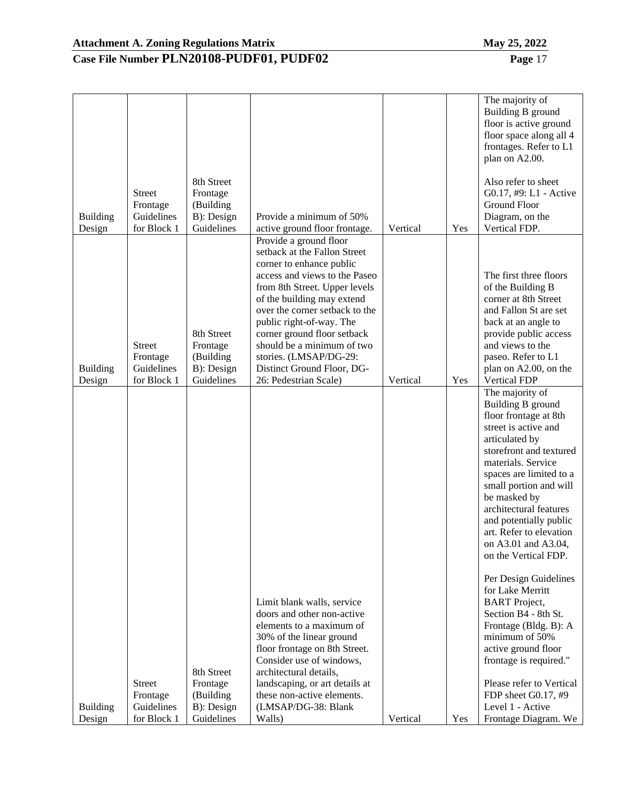| <b>Building</b>           | <b>Street</b><br>Frontage<br>Guidelines                | 8th Street<br>Frontage<br>(Building<br>B): Design               | Provide a minimum of 50%                                                                                                                                                                                                                                                                                                                                                                               |          |     | The majority of<br>Building B ground<br>floor is active ground<br>floor space along all 4<br>frontages. Refer to L1<br>plan on A2.00.<br>Also refer to sheet<br>G0.17, #9: L1 - Active<br>Ground Floor<br>Diagram, on the                                                                                                                                                                                                                                                                                                                         |
|---------------------------|--------------------------------------------------------|-----------------------------------------------------------------|--------------------------------------------------------------------------------------------------------------------------------------------------------------------------------------------------------------------------------------------------------------------------------------------------------------------------------------------------------------------------------------------------------|----------|-----|---------------------------------------------------------------------------------------------------------------------------------------------------------------------------------------------------------------------------------------------------------------------------------------------------------------------------------------------------------------------------------------------------------------------------------------------------------------------------------------------------------------------------------------------------|
| Design<br><b>Building</b> | for Block 1<br><b>Street</b><br>Frontage<br>Guidelines | Guidelines<br>8th Street<br>Frontage<br>(Building<br>B): Design | active ground floor frontage.<br>Provide a ground floor<br>setback at the Fallon Street<br>corner to enhance public<br>access and views to the Paseo<br>from 8th Street. Upper levels<br>of the building may extend<br>over the corner setback to the<br>public right-of-way. The<br>corner ground floor setback<br>should be a minimum of two<br>stories. (LMSAP/DG-29:<br>Distinct Ground Floor, DG- | Vertical | Yes | Vertical FDP.<br>The first three floors<br>of the Building B<br>corner at 8th Street<br>and Fallon St are set<br>back at an angle to<br>provide public access<br>and views to the<br>paseo. Refer to L1<br>plan on A2.00, on the                                                                                                                                                                                                                                                                                                                  |
| Design                    | for Block 1                                            | Guidelines                                                      | 26: Pedestrian Scale)<br>Limit blank walls, service<br>doors and other non-active<br>elements to a maximum of<br>30% of the linear ground<br>floor frontage on 8th Street.                                                                                                                                                                                                                             | Vertical | Yes | <b>Vertical FDP</b><br>The majority of<br>Building B ground<br>floor frontage at 8th<br>street is active and<br>articulated by<br>storefront and textured<br>materials. Service<br>spaces are limited to a<br>small portion and will<br>be masked by<br>architectural features<br>and potentially public<br>art. Refer to elevation<br>on A3.01 and A3.04.<br>on the Vertical FDP.<br>Per Design Guidelines<br>for Lake Merritt<br><b>BART</b> Project,<br>Section B4 - 8th St.<br>Frontage (Bldg. B): A<br>minimum of 50%<br>active ground floor |
| <b>Building</b><br>Design | <b>Street</b><br>Frontage<br>Guidelines<br>for Block 1 | 8th Street<br>Frontage<br>(Building<br>B): Design<br>Guidelines | Consider use of windows,<br>architectural details,<br>landscaping, or art details at<br>these non-active elements.<br>(LMSAP/DG-38: Blank<br>Walls)                                                                                                                                                                                                                                                    | Vertical | Yes | frontage is required."<br>Please refer to Vertical<br>FDP sheet G0.17, #9<br>Level 1 - Active<br>Frontage Diagram. We                                                                                                                                                                                                                                                                                                                                                                                                                             |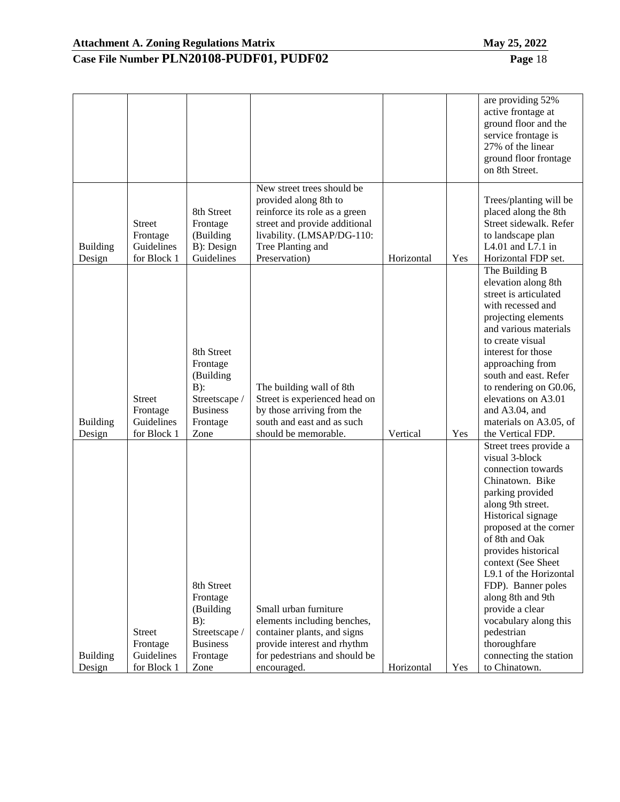|                           |                                                        |                                                                                                       |                                                                                                                                                                                           |            |     | are providing 52%<br>active frontage at<br>ground floor and the<br>service frontage is<br>27% of the linear<br>ground floor frontage<br>on 8th Street.                                                                                                                                                                                                                                                                              |
|---------------------------|--------------------------------------------------------|-------------------------------------------------------------------------------------------------------|-------------------------------------------------------------------------------------------------------------------------------------------------------------------------------------------|------------|-----|-------------------------------------------------------------------------------------------------------------------------------------------------------------------------------------------------------------------------------------------------------------------------------------------------------------------------------------------------------------------------------------------------------------------------------------|
| <b>Building</b><br>Design | <b>Street</b><br>Frontage<br>Guidelines<br>for Block 1 | 8th Street<br>Frontage<br>(Building<br>B): Design<br>Guidelines                                       | New street trees should be<br>provided along 8th to<br>reinforce its role as a green<br>street and provide additional<br>livability. (LMSAP/DG-110:<br>Tree Planting and<br>Preservation) | Horizontal | Yes | Trees/planting will be<br>placed along the 8th<br>Street sidewalk. Refer<br>to landscape plan<br>L $4.01$ and L $7.1$ in<br>Horizontal FDP set.                                                                                                                                                                                                                                                                                     |
| <b>Building</b><br>Design | <b>Street</b><br>Frontage<br>Guidelines<br>for Block 1 | 8th Street<br>Frontage<br>(Building<br>$B)$ :<br>Streetscape /<br><b>Business</b><br>Frontage<br>Zone | The building wall of 8th<br>Street is experienced head on<br>by those arriving from the<br>south and east and as such<br>should be memorable.                                             | Vertical   | Yes | The Building B<br>elevation along 8th<br>street is articulated<br>with recessed and<br>projecting elements<br>and various materials<br>to create visual<br>interest for those<br>approaching from<br>south and east. Refer<br>to rendering on G0.06,<br>elevations on A3.01<br>and A3.04, and<br>materials on A3.05, of<br>the Vertical FDP.                                                                                        |
| <b>Building</b><br>Design | <b>Street</b><br>Frontage<br>Guidelines<br>for Block 1 | 8th Street<br>Frontage<br>(Building<br>$B)$ :<br>Streetscape /<br><b>Business</b><br>Frontage<br>Zone | Small urban furniture<br>elements including benches,<br>container plants, and signs<br>provide interest and rhythm<br>for pedestrians and should be<br>encouraged.                        | Horizontal | Yes | Street trees provide a<br>visual 3-block<br>connection towards<br>Chinatown. Bike<br>parking provided<br>along 9th street.<br>Historical signage<br>proposed at the corner<br>of 8th and Oak<br>provides historical<br>context (See Sheet<br>L9.1 of the Horizontal<br>FDP). Banner poles<br>along 8th and 9th<br>provide a clear<br>vocabulary along this<br>pedestrian<br>thoroughfare<br>connecting the station<br>to Chinatown. |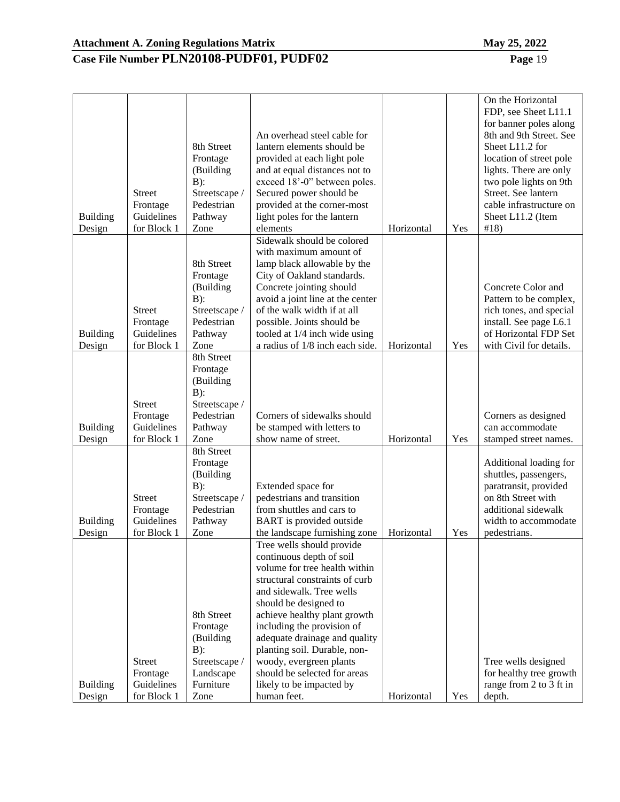|                                     | <b>Street</b><br>Frontage                                               | 8th Street<br>Frontage<br>(Building<br>$B)$ :<br>Streetscape /<br>Pedestrian                                                                                      | An overhead steel cable for<br>lantern elements should be<br>provided at each light pole<br>and at equal distances not to<br>exceed 18'-0" between poles.<br>Secured power should be<br>provided at the corner-most                                                                                                                                                                                                                                 |                          |            | On the Horizontal<br>FDP, see Sheet L11.1<br>for banner poles along<br>8th and 9th Street. See<br>Sheet L11.2 for<br>location of street pole<br>lights. There are only<br>two pole lights on 9th<br>Street. See lantern<br>cable infrastructure on |
|-------------------------------------|-------------------------------------------------------------------------|-------------------------------------------------------------------------------------------------------------------------------------------------------------------|-----------------------------------------------------------------------------------------------------------------------------------------------------------------------------------------------------------------------------------------------------------------------------------------------------------------------------------------------------------------------------------------------------------------------------------------------------|--------------------------|------------|----------------------------------------------------------------------------------------------------------------------------------------------------------------------------------------------------------------------------------------------------|
| <b>Building</b><br>Design           | Guidelines<br>for Block 1                                               | Pathway<br>Zone                                                                                                                                                   | light poles for the lantern<br>elements                                                                                                                                                                                                                                                                                                                                                                                                             | Horizontal               | Yes        | Sheet L11.2 (Item<br>#18)                                                                                                                                                                                                                          |
| <b>Building</b><br>Design           | <b>Street</b><br>Frontage<br>Guidelines<br>for Block 1<br><b>Street</b> | 8th Street<br>Frontage<br>(Building<br>$B)$ :<br>Streetscape /<br>Pedestrian<br>Pathway<br>Zone<br>8th Street<br>Frontage<br>(Building<br>$B)$ :<br>Streetscape / | Sidewalk should be colored<br>with maximum amount of<br>lamp black allowable by the<br>City of Oakland standards.<br>Concrete jointing should<br>avoid a joint line at the center<br>of the walk width if at all<br>possible. Joints should be<br>tooled at 1/4 inch wide using<br>a radius of 1/8 inch each side.                                                                                                                                  | Horizontal               | Yes        | Concrete Color and<br>Pattern to be complex,<br>rich tones, and special<br>install. See page L6.1<br>of Horizontal FDP Set<br>with Civil for details.                                                                                              |
| <b>Building</b>                     | Frontage<br>Guidelines                                                  | Pedestrian<br>Pathway                                                                                                                                             | Corners of sidewalks should<br>be stamped with letters to                                                                                                                                                                                                                                                                                                                                                                                           |                          |            | Corners as designed<br>can accommodate                                                                                                                                                                                                             |
| Design<br><b>Building</b>           | for Block 1<br><b>Street</b><br>Frontage<br>Guidelines                  | Zone<br>8th Street<br>Frontage<br>(Building<br>$B)$ :<br>Streetscape /<br>Pedestrian<br>Pathway                                                                   | show name of street.<br>Extended space for<br>pedestrians and transition<br>from shuttles and cars to<br><b>BART</b> is provided outside                                                                                                                                                                                                                                                                                                            | Horizontal               | Yes        | stamped street names.<br>Additional loading for<br>shuttles, passengers,<br>paratransit, provided<br>on 8th Street with<br>additional sidewalk<br>width to accommodate                                                                             |
| Design<br><b>Building</b><br>Design | for Block 1<br><b>Street</b><br>Frontage<br>Guidelines<br>for Block 1   | Zone<br>8th Street<br>Frontage<br>(Building<br>$B)$ :<br>Streetscape /<br>Landscape<br>Furniture<br>Zone                                                          | the landscape furnishing zone<br>Tree wells should provide<br>continuous depth of soil<br>volume for tree health within<br>structural constraints of curb<br>and sidewalk. Tree wells<br>should be designed to<br>achieve healthy plant growth<br>including the provision of<br>adequate drainage and quality<br>planting soil. Durable, non-<br>woody, evergreen plants<br>should be selected for areas<br>likely to be impacted by<br>human feet. | Horizontal<br>Horizontal | Yes<br>Yes | pedestrians.<br>Tree wells designed<br>for healthy tree growth<br>range from 2 to 3 ft in<br>depth.                                                                                                                                                |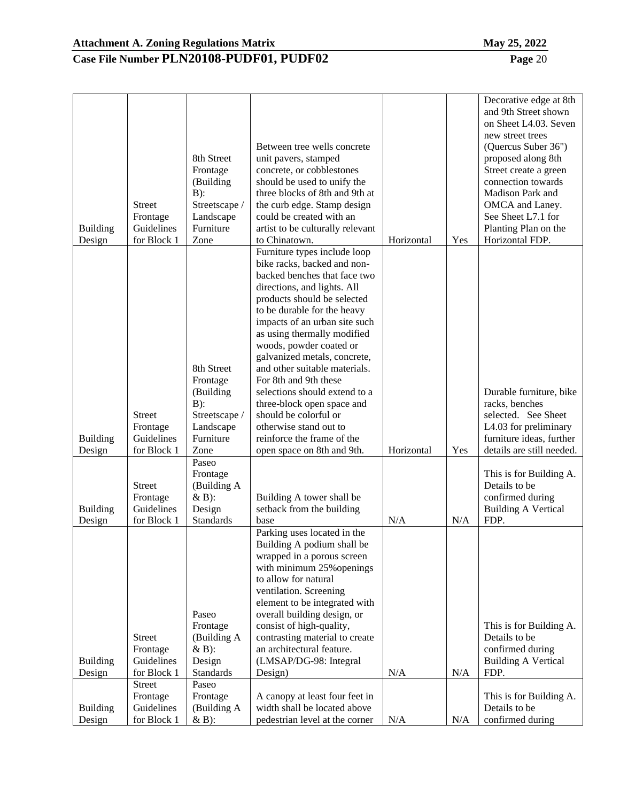|                           |                           |                        |                                                               |            |     | Decorative edge at 8th<br>and 9th Street shown |
|---------------------------|---------------------------|------------------------|---------------------------------------------------------------|------------|-----|------------------------------------------------|
|                           |                           |                        |                                                               |            |     | on Sheet L4.03. Seven                          |
|                           |                           |                        |                                                               |            |     | new street trees                               |
|                           |                           |                        | Between tree wells concrete                                   |            |     | (Quercus Suber 36")                            |
|                           |                           | 8th Street             | unit pavers, stamped                                          |            |     | proposed along 8th                             |
|                           |                           | Frontage               | concrete, or cobblestones                                     |            |     | Street create a green                          |
|                           |                           | (Building              | should be used to unify the                                   |            |     | connection towards                             |
|                           |                           | $B)$ :                 | three blocks of 8th and 9th at                                |            |     | Madison Park and                               |
|                           | <b>Street</b>             | Streetscape /          | the curb edge. Stamp design                                   |            |     | OMCA and Laney.                                |
|                           | Frontage<br>Guidelines    | Landscape<br>Furniture | could be created with an                                      |            |     | See Sheet L7.1 for<br>Planting Plan on the     |
| <b>Building</b><br>Design | for Block 1               | Zone                   | artist to be culturally relevant<br>to Chinatown.             | Horizontal | Yes | Horizontal FDP.                                |
|                           |                           |                        | Furniture types include loop                                  |            |     |                                                |
|                           |                           |                        | bike racks, backed and non-                                   |            |     |                                                |
|                           |                           |                        | backed benches that face two                                  |            |     |                                                |
|                           |                           |                        | directions, and lights. All                                   |            |     |                                                |
|                           |                           |                        | products should be selected                                   |            |     |                                                |
|                           |                           |                        | to be durable for the heavy                                   |            |     |                                                |
|                           |                           |                        | impacts of an urban site such                                 |            |     |                                                |
|                           |                           |                        | as using thermally modified                                   |            |     |                                                |
|                           |                           |                        | woods, powder coated or                                       |            |     |                                                |
|                           |                           | 8th Street             | galvanized metals, concrete,<br>and other suitable materials. |            |     |                                                |
|                           |                           | Frontage               | For 8th and 9th these                                         |            |     |                                                |
|                           |                           | (Building              | selections should extend to a                                 |            |     | Durable furniture, bike                        |
|                           |                           | $B)$ :                 | three-block open space and                                    |            |     | racks, benches                                 |
|                           | <b>Street</b>             | Streetscape /          | should be colorful or                                         |            |     | selected. See Sheet                            |
|                           | Frontage                  | Landscape              | otherwise stand out to                                        |            |     | L4.03 for preliminary                          |
| <b>Building</b>           | Guidelines                | Furniture              | reinforce the frame of the                                    |            |     | furniture ideas, further                       |
| Design                    | for Block 1               | Zone                   | open space on 8th and 9th.                                    | Horizontal | Yes | details are still needed.                      |
|                           |                           | Paseo                  |                                                               |            |     |                                                |
|                           |                           | Frontage               |                                                               |            |     | This is for Building A.<br>Details to be       |
|                           | <b>Street</b><br>Frontage | (Building A<br>$&B$ :  | Building A tower shall be                                     |            |     | confirmed during                               |
| <b>Building</b>           | Guidelines                | Design                 | setback from the building                                     |            |     | <b>Building A Vertical</b>                     |
| Design                    | for Block 1               | <b>Standards</b>       | base                                                          | N/A        | N/A | FDP.                                           |
|                           |                           |                        | Parking uses located in the                                   |            |     |                                                |
|                           |                           |                        | Building A podium shall be                                    |            |     |                                                |
|                           |                           |                        | wrapped in a porous screen                                    |            |     |                                                |
|                           |                           |                        | with minimum 25% openings                                     |            |     |                                                |
|                           |                           |                        | to allow for natural                                          |            |     |                                                |
|                           |                           |                        | ventilation. Screening                                        |            |     |                                                |
|                           |                           |                        | element to be integrated with                                 |            |     |                                                |
|                           |                           | Paseo<br>Frontage      | overall building design, or<br>consist of high-quality,       |            |     |                                                |
|                           | <b>Street</b>             | (Building A            | contrasting material to create                                |            |     | This is for Building A.<br>Details to be       |
|                           | Frontage                  | $&B$ :                 | an architectural feature.                                     |            |     | confirmed during                               |
| <b>Building</b>           | Guidelines                | Design                 | (LMSAP/DG-98: Integral                                        |            |     | <b>Building A Vertical</b>                     |
| Design                    | for Block 1               | <b>Standards</b>       | Design)                                                       | N/A        | N/A | FDP.                                           |
|                           | Street                    | Paseo                  |                                                               |            |     |                                                |
|                           | Frontage                  | Frontage               | A canopy at least four feet in                                |            |     | This is for Building A.                        |
| <b>Building</b>           | Guidelines                | (Building A            | width shall be located above                                  |            |     | Details to be                                  |
| Design                    | for Block 1               | $&B$ :                 | pedestrian level at the corner                                | N/A        | N/A | confirmed during                               |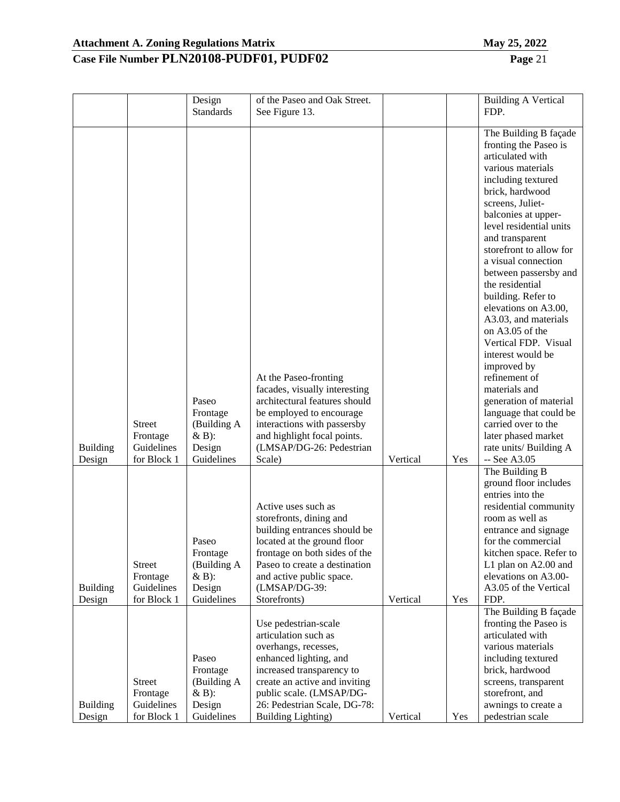| Mav | $\cdot$ . | 202 |
|-----|-----------|-----|
|     |           |     |

|                           |                                                        | Design<br><b>Standards</b>                                            | of the Paseo and Oak Street.<br>See Figure 13.                                                                                                                                                                                                        |          |     | <b>Building A Vertical</b><br>FDP.                                                                                                                                                                                                                                                                                                                                                                                                                                                                                                                                                                                                                         |
|---------------------------|--------------------------------------------------------|-----------------------------------------------------------------------|-------------------------------------------------------------------------------------------------------------------------------------------------------------------------------------------------------------------------------------------------------|----------|-----|------------------------------------------------------------------------------------------------------------------------------------------------------------------------------------------------------------------------------------------------------------------------------------------------------------------------------------------------------------------------------------------------------------------------------------------------------------------------------------------------------------------------------------------------------------------------------------------------------------------------------------------------------------|
| <b>Building</b><br>Design | <b>Street</b><br>Frontage<br>Guidelines<br>for Block 1 | Paseo<br>Frontage<br>(Building A<br>$&B$ :<br>Design<br>Guidelines    | At the Paseo-fronting<br>facades, visually interesting<br>architectural features should<br>be employed to encourage<br>interactions with passersby<br>and highlight focal points.<br>(LMSAP/DG-26: Pedestrian<br>Scale)                               | Vertical | Yes | The Building B façade<br>fronting the Paseo is<br>articulated with<br>various materials<br>including textured<br>brick, hardwood<br>screens, Juliet-<br>balconies at upper-<br>level residential units<br>and transparent<br>storefront to allow for<br>a visual connection<br>between passersby and<br>the residential<br>building. Refer to<br>elevations on A3.00,<br>A3.03, and materials<br>on A3.05 of the<br>Vertical FDP. Visual<br>interest would be<br>improved by<br>refinement of<br>materials and<br>generation of material<br>language that could be<br>carried over to the<br>later phased market<br>rate units/ Building A<br>-- See A3.05 |
| <b>Building</b><br>Design | Street<br>Frontage<br>Guidelines<br>for Block 1        | Paseo<br>Frontage<br>(Building A<br>$&B$ :<br>Design<br>Guidelines    | Active uses such as<br>storefronts, dining and<br>building entrances should be<br>located at the ground floor<br>frontage on both sides of the<br>Paseo to create a destination<br>and active public space.<br>(LMSAP/DG-39:<br>Storefronts)          | Vertical | Yes | The Building B<br>ground floor includes<br>entries into the<br>residential community<br>room as well as<br>entrance and signage<br>for the commercial<br>kitchen space. Refer to<br>L1 plan on A2.00 and<br>elevations on A3.00-<br>A3.05 of the Vertical<br>FDP.                                                                                                                                                                                                                                                                                                                                                                                          |
| <b>Building</b><br>Design | <b>Street</b><br>Frontage<br>Guidelines<br>for Block 1 | Paseo<br>Frontage<br>(Building A<br>$\& B)$ :<br>Design<br>Guidelines | Use pedestrian-scale<br>articulation such as<br>overhangs, recesses,<br>enhanced lighting, and<br>increased transparency to<br>create an active and inviting<br>public scale. (LMSAP/DG-<br>26: Pedestrian Scale, DG-78:<br><b>Building Lighting)</b> | Vertical | Yes | The Building B façade<br>fronting the Paseo is<br>articulated with<br>various materials<br>including textured<br>brick, hardwood<br>screens, transparent<br>storefront, and<br>awnings to create a<br>pedestrian scale                                                                                                                                                                                                                                                                                                                                                                                                                                     |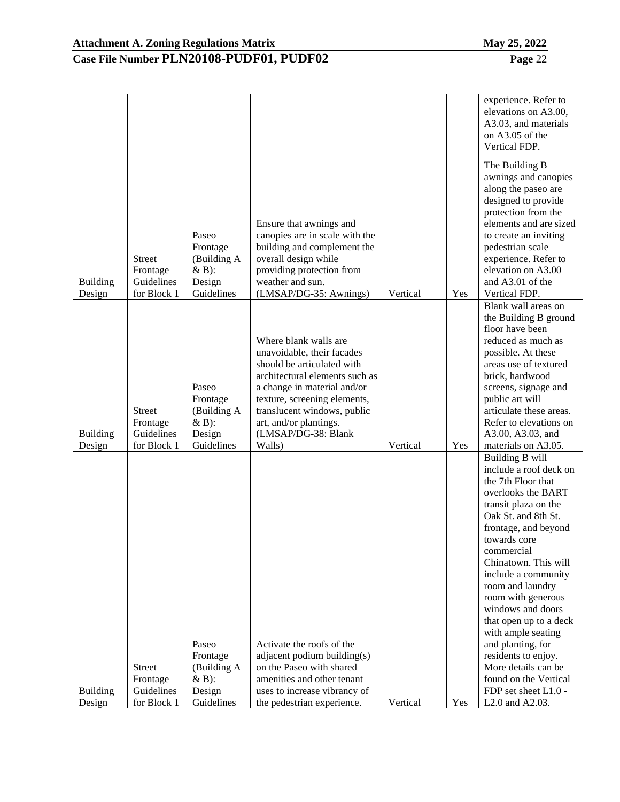|                           |                                                        |                                                                    |                                                                                                                                                                                                                                                                              |          |     | experience. Refer to<br>elevations on A3.00,<br>A3.03, and materials<br>on A3.05 of the<br>Vertical FDP.                                                                                                                                                                                                                                                                                                                                                                                        |
|---------------------------|--------------------------------------------------------|--------------------------------------------------------------------|------------------------------------------------------------------------------------------------------------------------------------------------------------------------------------------------------------------------------------------------------------------------------|----------|-----|-------------------------------------------------------------------------------------------------------------------------------------------------------------------------------------------------------------------------------------------------------------------------------------------------------------------------------------------------------------------------------------------------------------------------------------------------------------------------------------------------|
| <b>Building</b><br>Design | <b>Street</b><br>Frontage<br>Guidelines<br>for Block 1 | Paseo<br>Frontage<br>(Building A<br>$&B$ :<br>Design<br>Guidelines | Ensure that awnings and<br>canopies are in scale with the<br>building and complement the<br>overall design while<br>providing protection from<br>weather and sun.<br>(LMSAP/DG-35: Awnings)                                                                                  | Vertical | Yes | The Building B<br>awnings and canopies<br>along the paseo are<br>designed to provide<br>protection from the<br>elements and are sized<br>to create an inviting<br>pedestrian scale<br>experience. Refer to<br>elevation on A3.00<br>and A3.01 of the<br>Vertical FDP.                                                                                                                                                                                                                           |
| <b>Building</b><br>Design | <b>Street</b><br>Frontage<br>Guidelines<br>for Block 1 | Paseo<br>Frontage<br>(Building A<br>$&B$ :<br>Design<br>Guidelines | Where blank walls are<br>unavoidable, their facades<br>should be articulated with<br>architectural elements such as<br>a change in material and/or<br>texture, screening elements,<br>translucent windows, public<br>art, and/or plantings.<br>(LMSAP/DG-38: Blank<br>Walls) | Vertical | Yes | Blank wall areas on<br>the Building B ground<br>floor have been<br>reduced as much as<br>possible. At these<br>areas use of textured<br>brick, hardwood<br>screens, signage and<br>public art will<br>articulate these areas.<br>Refer to elevations on<br>A3.00, A3.03, and<br>materials on A3.05.                                                                                                                                                                                             |
| <b>Building</b><br>Design | <b>Street</b><br>Frontage<br>Guidelines<br>for Block 1 | Paseo<br>Frontage<br>(Building A<br>$&B$ :<br>Design<br>Guidelines | Activate the roofs of the<br>adjacent podium building(s)<br>on the Paseo with shared<br>amenities and other tenant<br>uses to increase vibrancy of<br>the pedestrian experience.                                                                                             | Vertical | Yes | Building B will<br>include a roof deck on<br>the 7th Floor that<br>overlooks the BART<br>transit plaza on the<br>Oak St. and 8th St.<br>frontage, and beyond<br>towards core<br>commercial<br>Chinatown. This will<br>include a community<br>room and laundry<br>room with generous<br>windows and doors<br>that open up to a deck<br>with ample seating<br>and planting, for<br>residents to enjoy.<br>More details can be<br>found on the Vertical<br>FDP set sheet L1.0 -<br>L2.0 and A2.03. |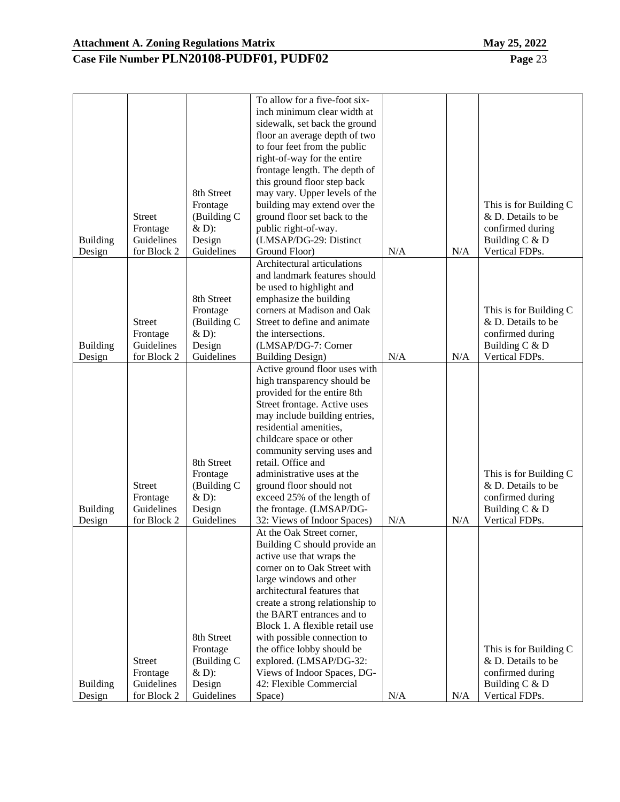| inch minimum clear width at<br>sidewalk, set back the ground<br>floor an average depth of two<br>to four feet from the public<br>right-of-way for the entire<br>frontage length. The depth of<br>this ground floor step back<br>8th Street<br>may vary. Upper levels of the<br>building may extend over the<br>Frontage<br>This is for Building C<br>ground floor set back to the<br>& D. Details to be<br><b>Street</b><br>(Building C<br>public right-of-way.<br>confirmed during<br>Frontage<br>$&D$ :<br>Guidelines<br>Design<br>(LMSAP/DG-29: Distinct<br>Building C & D<br><b>Building</b><br>for Block 2<br>Guidelines<br>Ground Floor)<br>N/A<br>N/A<br>Vertical FDPs.<br>Design<br>Architectural articulations<br>and landmark features should<br>be used to highlight and<br>8th Street<br>emphasize the building<br>corners at Madison and Oak<br>Frontage<br>This is for Building C<br>Street to define and animate<br>& D. Details to be<br><b>Street</b><br>(Building C<br>& D):<br>confirmed during<br>Frontage<br>the intersections.<br>Guidelines<br>Design<br>(LMSAP/DG-7: Corner<br><b>Building</b><br>Building C & D<br>for Block 2<br>Guidelines<br>N/A<br>Vertical FDPs.<br>Design<br><b>Building Design)</b><br>N/A<br>Active ground floor uses with<br>high transparency should be<br>provided for the entire 8th<br>Street frontage. Active uses<br>may include building entries,<br>residential amenities,<br>childcare space or other<br>community serving uses and<br>retail. Office and<br>8th Street<br>Frontage<br>administrative uses at the<br>This is for Building C<br>(Building C<br>& D. Details to be<br><b>Street</b><br>ground floor should not<br>Frontage<br>$&D$ :<br>exceed 25% of the length of<br>confirmed during<br>Guidelines<br>Design<br>the frontage. (LMSAP/DG-<br>Building $C & D$<br><b>Building</b><br>for Block 2<br>32: Views of Indoor Spaces)<br>N/A<br>Vertical FDPs.<br>Guidelines<br>N/A<br>Design<br>At the Oak Street corner,<br>Building C should provide an<br>active use that wraps the<br>corner on to Oak Street with<br>large windows and other<br>architectural features that<br>create a strong relationship to<br>the BART entrances and to<br>Block 1. A flexible retail use<br>8th Street<br>with possible connection to<br>Frontage<br>the office lobby should be<br>This is for Building C<br><b>Street</b><br>(Building C<br>& D. Details to be<br>explored. (LMSAP/DG-32:<br>Frontage<br>$&D$ :<br>Views of Indoor Spaces, DG-<br>confirmed during<br>Design<br>42: Flexible Commercial<br><b>Building</b><br>Guidelines<br>Building $C & D$ |        |             |            | To allow for a five-foot six- |     |     |                |
|------------------------------------------------------------------------------------------------------------------------------------------------------------------------------------------------------------------------------------------------------------------------------------------------------------------------------------------------------------------------------------------------------------------------------------------------------------------------------------------------------------------------------------------------------------------------------------------------------------------------------------------------------------------------------------------------------------------------------------------------------------------------------------------------------------------------------------------------------------------------------------------------------------------------------------------------------------------------------------------------------------------------------------------------------------------------------------------------------------------------------------------------------------------------------------------------------------------------------------------------------------------------------------------------------------------------------------------------------------------------------------------------------------------------------------------------------------------------------------------------------------------------------------------------------------------------------------------------------------------------------------------------------------------------------------------------------------------------------------------------------------------------------------------------------------------------------------------------------------------------------------------------------------------------------------------------------------------------------------------------------------------------------------------------------------------------------------------------------------------------------------------------------------------------------------------------------------------------------------------------------------------------------------------------------------------------------------------------------------------------------------------------------------------------------------------------------------------------------------------------------------------------------------------------------------------------------------------------------------------------------|--------|-------------|------------|-------------------------------|-----|-----|----------------|
|                                                                                                                                                                                                                                                                                                                                                                                                                                                                                                                                                                                                                                                                                                                                                                                                                                                                                                                                                                                                                                                                                                                                                                                                                                                                                                                                                                                                                                                                                                                                                                                                                                                                                                                                                                                                                                                                                                                                                                                                                                                                                                                                                                                                                                                                                                                                                                                                                                                                                                                                                                                                                              |        |             |            |                               |     |     |                |
|                                                                                                                                                                                                                                                                                                                                                                                                                                                                                                                                                                                                                                                                                                                                                                                                                                                                                                                                                                                                                                                                                                                                                                                                                                                                                                                                                                                                                                                                                                                                                                                                                                                                                                                                                                                                                                                                                                                                                                                                                                                                                                                                                                                                                                                                                                                                                                                                                                                                                                                                                                                                                              |        |             |            |                               |     |     |                |
|                                                                                                                                                                                                                                                                                                                                                                                                                                                                                                                                                                                                                                                                                                                                                                                                                                                                                                                                                                                                                                                                                                                                                                                                                                                                                                                                                                                                                                                                                                                                                                                                                                                                                                                                                                                                                                                                                                                                                                                                                                                                                                                                                                                                                                                                                                                                                                                                                                                                                                                                                                                                                              |        |             |            |                               |     |     |                |
|                                                                                                                                                                                                                                                                                                                                                                                                                                                                                                                                                                                                                                                                                                                                                                                                                                                                                                                                                                                                                                                                                                                                                                                                                                                                                                                                                                                                                                                                                                                                                                                                                                                                                                                                                                                                                                                                                                                                                                                                                                                                                                                                                                                                                                                                                                                                                                                                                                                                                                                                                                                                                              |        |             |            |                               |     |     |                |
|                                                                                                                                                                                                                                                                                                                                                                                                                                                                                                                                                                                                                                                                                                                                                                                                                                                                                                                                                                                                                                                                                                                                                                                                                                                                                                                                                                                                                                                                                                                                                                                                                                                                                                                                                                                                                                                                                                                                                                                                                                                                                                                                                                                                                                                                                                                                                                                                                                                                                                                                                                                                                              |        |             |            |                               |     |     |                |
|                                                                                                                                                                                                                                                                                                                                                                                                                                                                                                                                                                                                                                                                                                                                                                                                                                                                                                                                                                                                                                                                                                                                                                                                                                                                                                                                                                                                                                                                                                                                                                                                                                                                                                                                                                                                                                                                                                                                                                                                                                                                                                                                                                                                                                                                                                                                                                                                                                                                                                                                                                                                                              |        |             |            |                               |     |     |                |
|                                                                                                                                                                                                                                                                                                                                                                                                                                                                                                                                                                                                                                                                                                                                                                                                                                                                                                                                                                                                                                                                                                                                                                                                                                                                                                                                                                                                                                                                                                                                                                                                                                                                                                                                                                                                                                                                                                                                                                                                                                                                                                                                                                                                                                                                                                                                                                                                                                                                                                                                                                                                                              |        |             |            |                               |     |     |                |
|                                                                                                                                                                                                                                                                                                                                                                                                                                                                                                                                                                                                                                                                                                                                                                                                                                                                                                                                                                                                                                                                                                                                                                                                                                                                                                                                                                                                                                                                                                                                                                                                                                                                                                                                                                                                                                                                                                                                                                                                                                                                                                                                                                                                                                                                                                                                                                                                                                                                                                                                                                                                                              |        |             |            |                               |     |     |                |
|                                                                                                                                                                                                                                                                                                                                                                                                                                                                                                                                                                                                                                                                                                                                                                                                                                                                                                                                                                                                                                                                                                                                                                                                                                                                                                                                                                                                                                                                                                                                                                                                                                                                                                                                                                                                                                                                                                                                                                                                                                                                                                                                                                                                                                                                                                                                                                                                                                                                                                                                                                                                                              |        |             |            |                               |     |     |                |
|                                                                                                                                                                                                                                                                                                                                                                                                                                                                                                                                                                                                                                                                                                                                                                                                                                                                                                                                                                                                                                                                                                                                                                                                                                                                                                                                                                                                                                                                                                                                                                                                                                                                                                                                                                                                                                                                                                                                                                                                                                                                                                                                                                                                                                                                                                                                                                                                                                                                                                                                                                                                                              |        |             |            |                               |     |     |                |
|                                                                                                                                                                                                                                                                                                                                                                                                                                                                                                                                                                                                                                                                                                                                                                                                                                                                                                                                                                                                                                                                                                                                                                                                                                                                                                                                                                                                                                                                                                                                                                                                                                                                                                                                                                                                                                                                                                                                                                                                                                                                                                                                                                                                                                                                                                                                                                                                                                                                                                                                                                                                                              |        |             |            |                               |     |     |                |
|                                                                                                                                                                                                                                                                                                                                                                                                                                                                                                                                                                                                                                                                                                                                                                                                                                                                                                                                                                                                                                                                                                                                                                                                                                                                                                                                                                                                                                                                                                                                                                                                                                                                                                                                                                                                                                                                                                                                                                                                                                                                                                                                                                                                                                                                                                                                                                                                                                                                                                                                                                                                                              |        |             |            |                               |     |     |                |
|                                                                                                                                                                                                                                                                                                                                                                                                                                                                                                                                                                                                                                                                                                                                                                                                                                                                                                                                                                                                                                                                                                                                                                                                                                                                                                                                                                                                                                                                                                                                                                                                                                                                                                                                                                                                                                                                                                                                                                                                                                                                                                                                                                                                                                                                                                                                                                                                                                                                                                                                                                                                                              |        |             |            |                               |     |     |                |
|                                                                                                                                                                                                                                                                                                                                                                                                                                                                                                                                                                                                                                                                                                                                                                                                                                                                                                                                                                                                                                                                                                                                                                                                                                                                                                                                                                                                                                                                                                                                                                                                                                                                                                                                                                                                                                                                                                                                                                                                                                                                                                                                                                                                                                                                                                                                                                                                                                                                                                                                                                                                                              |        |             |            |                               |     |     |                |
|                                                                                                                                                                                                                                                                                                                                                                                                                                                                                                                                                                                                                                                                                                                                                                                                                                                                                                                                                                                                                                                                                                                                                                                                                                                                                                                                                                                                                                                                                                                                                                                                                                                                                                                                                                                                                                                                                                                                                                                                                                                                                                                                                                                                                                                                                                                                                                                                                                                                                                                                                                                                                              |        |             |            |                               |     |     |                |
|                                                                                                                                                                                                                                                                                                                                                                                                                                                                                                                                                                                                                                                                                                                                                                                                                                                                                                                                                                                                                                                                                                                                                                                                                                                                                                                                                                                                                                                                                                                                                                                                                                                                                                                                                                                                                                                                                                                                                                                                                                                                                                                                                                                                                                                                                                                                                                                                                                                                                                                                                                                                                              |        |             |            |                               |     |     |                |
|                                                                                                                                                                                                                                                                                                                                                                                                                                                                                                                                                                                                                                                                                                                                                                                                                                                                                                                                                                                                                                                                                                                                                                                                                                                                                                                                                                                                                                                                                                                                                                                                                                                                                                                                                                                                                                                                                                                                                                                                                                                                                                                                                                                                                                                                                                                                                                                                                                                                                                                                                                                                                              |        |             |            |                               |     |     |                |
|                                                                                                                                                                                                                                                                                                                                                                                                                                                                                                                                                                                                                                                                                                                                                                                                                                                                                                                                                                                                                                                                                                                                                                                                                                                                                                                                                                                                                                                                                                                                                                                                                                                                                                                                                                                                                                                                                                                                                                                                                                                                                                                                                                                                                                                                                                                                                                                                                                                                                                                                                                                                                              |        |             |            |                               |     |     |                |
|                                                                                                                                                                                                                                                                                                                                                                                                                                                                                                                                                                                                                                                                                                                                                                                                                                                                                                                                                                                                                                                                                                                                                                                                                                                                                                                                                                                                                                                                                                                                                                                                                                                                                                                                                                                                                                                                                                                                                                                                                                                                                                                                                                                                                                                                                                                                                                                                                                                                                                                                                                                                                              |        |             |            |                               |     |     |                |
|                                                                                                                                                                                                                                                                                                                                                                                                                                                                                                                                                                                                                                                                                                                                                                                                                                                                                                                                                                                                                                                                                                                                                                                                                                                                                                                                                                                                                                                                                                                                                                                                                                                                                                                                                                                                                                                                                                                                                                                                                                                                                                                                                                                                                                                                                                                                                                                                                                                                                                                                                                                                                              |        |             |            |                               |     |     |                |
|                                                                                                                                                                                                                                                                                                                                                                                                                                                                                                                                                                                                                                                                                                                                                                                                                                                                                                                                                                                                                                                                                                                                                                                                                                                                                                                                                                                                                                                                                                                                                                                                                                                                                                                                                                                                                                                                                                                                                                                                                                                                                                                                                                                                                                                                                                                                                                                                                                                                                                                                                                                                                              |        |             |            |                               |     |     |                |
|                                                                                                                                                                                                                                                                                                                                                                                                                                                                                                                                                                                                                                                                                                                                                                                                                                                                                                                                                                                                                                                                                                                                                                                                                                                                                                                                                                                                                                                                                                                                                                                                                                                                                                                                                                                                                                                                                                                                                                                                                                                                                                                                                                                                                                                                                                                                                                                                                                                                                                                                                                                                                              |        |             |            |                               |     |     |                |
|                                                                                                                                                                                                                                                                                                                                                                                                                                                                                                                                                                                                                                                                                                                                                                                                                                                                                                                                                                                                                                                                                                                                                                                                                                                                                                                                                                                                                                                                                                                                                                                                                                                                                                                                                                                                                                                                                                                                                                                                                                                                                                                                                                                                                                                                                                                                                                                                                                                                                                                                                                                                                              |        |             |            |                               |     |     |                |
|                                                                                                                                                                                                                                                                                                                                                                                                                                                                                                                                                                                                                                                                                                                                                                                                                                                                                                                                                                                                                                                                                                                                                                                                                                                                                                                                                                                                                                                                                                                                                                                                                                                                                                                                                                                                                                                                                                                                                                                                                                                                                                                                                                                                                                                                                                                                                                                                                                                                                                                                                                                                                              |        |             |            |                               |     |     |                |
|                                                                                                                                                                                                                                                                                                                                                                                                                                                                                                                                                                                                                                                                                                                                                                                                                                                                                                                                                                                                                                                                                                                                                                                                                                                                                                                                                                                                                                                                                                                                                                                                                                                                                                                                                                                                                                                                                                                                                                                                                                                                                                                                                                                                                                                                                                                                                                                                                                                                                                                                                                                                                              |        |             |            |                               |     |     |                |
|                                                                                                                                                                                                                                                                                                                                                                                                                                                                                                                                                                                                                                                                                                                                                                                                                                                                                                                                                                                                                                                                                                                                                                                                                                                                                                                                                                                                                                                                                                                                                                                                                                                                                                                                                                                                                                                                                                                                                                                                                                                                                                                                                                                                                                                                                                                                                                                                                                                                                                                                                                                                                              |        |             |            |                               |     |     |                |
|                                                                                                                                                                                                                                                                                                                                                                                                                                                                                                                                                                                                                                                                                                                                                                                                                                                                                                                                                                                                                                                                                                                                                                                                                                                                                                                                                                                                                                                                                                                                                                                                                                                                                                                                                                                                                                                                                                                                                                                                                                                                                                                                                                                                                                                                                                                                                                                                                                                                                                                                                                                                                              |        |             |            |                               |     |     |                |
|                                                                                                                                                                                                                                                                                                                                                                                                                                                                                                                                                                                                                                                                                                                                                                                                                                                                                                                                                                                                                                                                                                                                                                                                                                                                                                                                                                                                                                                                                                                                                                                                                                                                                                                                                                                                                                                                                                                                                                                                                                                                                                                                                                                                                                                                                                                                                                                                                                                                                                                                                                                                                              |        |             |            |                               |     |     |                |
|                                                                                                                                                                                                                                                                                                                                                                                                                                                                                                                                                                                                                                                                                                                                                                                                                                                                                                                                                                                                                                                                                                                                                                                                                                                                                                                                                                                                                                                                                                                                                                                                                                                                                                                                                                                                                                                                                                                                                                                                                                                                                                                                                                                                                                                                                                                                                                                                                                                                                                                                                                                                                              |        |             |            |                               |     |     |                |
|                                                                                                                                                                                                                                                                                                                                                                                                                                                                                                                                                                                                                                                                                                                                                                                                                                                                                                                                                                                                                                                                                                                                                                                                                                                                                                                                                                                                                                                                                                                                                                                                                                                                                                                                                                                                                                                                                                                                                                                                                                                                                                                                                                                                                                                                                                                                                                                                                                                                                                                                                                                                                              |        |             |            |                               |     |     |                |
|                                                                                                                                                                                                                                                                                                                                                                                                                                                                                                                                                                                                                                                                                                                                                                                                                                                                                                                                                                                                                                                                                                                                                                                                                                                                                                                                                                                                                                                                                                                                                                                                                                                                                                                                                                                                                                                                                                                                                                                                                                                                                                                                                                                                                                                                                                                                                                                                                                                                                                                                                                                                                              |        |             |            |                               |     |     |                |
|                                                                                                                                                                                                                                                                                                                                                                                                                                                                                                                                                                                                                                                                                                                                                                                                                                                                                                                                                                                                                                                                                                                                                                                                                                                                                                                                                                                                                                                                                                                                                                                                                                                                                                                                                                                                                                                                                                                                                                                                                                                                                                                                                                                                                                                                                                                                                                                                                                                                                                                                                                                                                              |        |             |            |                               |     |     |                |
|                                                                                                                                                                                                                                                                                                                                                                                                                                                                                                                                                                                                                                                                                                                                                                                                                                                                                                                                                                                                                                                                                                                                                                                                                                                                                                                                                                                                                                                                                                                                                                                                                                                                                                                                                                                                                                                                                                                                                                                                                                                                                                                                                                                                                                                                                                                                                                                                                                                                                                                                                                                                                              |        |             |            |                               |     |     |                |
|                                                                                                                                                                                                                                                                                                                                                                                                                                                                                                                                                                                                                                                                                                                                                                                                                                                                                                                                                                                                                                                                                                                                                                                                                                                                                                                                                                                                                                                                                                                                                                                                                                                                                                                                                                                                                                                                                                                                                                                                                                                                                                                                                                                                                                                                                                                                                                                                                                                                                                                                                                                                                              |        |             |            |                               |     |     |                |
|                                                                                                                                                                                                                                                                                                                                                                                                                                                                                                                                                                                                                                                                                                                                                                                                                                                                                                                                                                                                                                                                                                                                                                                                                                                                                                                                                                                                                                                                                                                                                                                                                                                                                                                                                                                                                                                                                                                                                                                                                                                                                                                                                                                                                                                                                                                                                                                                                                                                                                                                                                                                                              |        |             |            |                               |     |     |                |
|                                                                                                                                                                                                                                                                                                                                                                                                                                                                                                                                                                                                                                                                                                                                                                                                                                                                                                                                                                                                                                                                                                                                                                                                                                                                                                                                                                                                                                                                                                                                                                                                                                                                                                                                                                                                                                                                                                                                                                                                                                                                                                                                                                                                                                                                                                                                                                                                                                                                                                                                                                                                                              |        |             |            |                               |     |     |                |
|                                                                                                                                                                                                                                                                                                                                                                                                                                                                                                                                                                                                                                                                                                                                                                                                                                                                                                                                                                                                                                                                                                                                                                                                                                                                                                                                                                                                                                                                                                                                                                                                                                                                                                                                                                                                                                                                                                                                                                                                                                                                                                                                                                                                                                                                                                                                                                                                                                                                                                                                                                                                                              |        |             |            |                               |     |     |                |
|                                                                                                                                                                                                                                                                                                                                                                                                                                                                                                                                                                                                                                                                                                                                                                                                                                                                                                                                                                                                                                                                                                                                                                                                                                                                                                                                                                                                                                                                                                                                                                                                                                                                                                                                                                                                                                                                                                                                                                                                                                                                                                                                                                                                                                                                                                                                                                                                                                                                                                                                                                                                                              |        |             |            |                               |     |     |                |
|                                                                                                                                                                                                                                                                                                                                                                                                                                                                                                                                                                                                                                                                                                                                                                                                                                                                                                                                                                                                                                                                                                                                                                                                                                                                                                                                                                                                                                                                                                                                                                                                                                                                                                                                                                                                                                                                                                                                                                                                                                                                                                                                                                                                                                                                                                                                                                                                                                                                                                                                                                                                                              |        |             |            |                               |     |     |                |
|                                                                                                                                                                                                                                                                                                                                                                                                                                                                                                                                                                                                                                                                                                                                                                                                                                                                                                                                                                                                                                                                                                                                                                                                                                                                                                                                                                                                                                                                                                                                                                                                                                                                                                                                                                                                                                                                                                                                                                                                                                                                                                                                                                                                                                                                                                                                                                                                                                                                                                                                                                                                                              |        |             |            |                               |     |     |                |
|                                                                                                                                                                                                                                                                                                                                                                                                                                                                                                                                                                                                                                                                                                                                                                                                                                                                                                                                                                                                                                                                                                                                                                                                                                                                                                                                                                                                                                                                                                                                                                                                                                                                                                                                                                                                                                                                                                                                                                                                                                                                                                                                                                                                                                                                                                                                                                                                                                                                                                                                                                                                                              |        |             |            |                               |     |     |                |
|                                                                                                                                                                                                                                                                                                                                                                                                                                                                                                                                                                                                                                                                                                                                                                                                                                                                                                                                                                                                                                                                                                                                                                                                                                                                                                                                                                                                                                                                                                                                                                                                                                                                                                                                                                                                                                                                                                                                                                                                                                                                                                                                                                                                                                                                                                                                                                                                                                                                                                                                                                                                                              |        |             |            |                               |     |     |                |
|                                                                                                                                                                                                                                                                                                                                                                                                                                                                                                                                                                                                                                                                                                                                                                                                                                                                                                                                                                                                                                                                                                                                                                                                                                                                                                                                                                                                                                                                                                                                                                                                                                                                                                                                                                                                                                                                                                                                                                                                                                                                                                                                                                                                                                                                                                                                                                                                                                                                                                                                                                                                                              |        |             |            |                               |     |     |                |
|                                                                                                                                                                                                                                                                                                                                                                                                                                                                                                                                                                                                                                                                                                                                                                                                                                                                                                                                                                                                                                                                                                                                                                                                                                                                                                                                                                                                                                                                                                                                                                                                                                                                                                                                                                                                                                                                                                                                                                                                                                                                                                                                                                                                                                                                                                                                                                                                                                                                                                                                                                                                                              |        |             |            |                               |     |     |                |
|                                                                                                                                                                                                                                                                                                                                                                                                                                                                                                                                                                                                                                                                                                                                                                                                                                                                                                                                                                                                                                                                                                                                                                                                                                                                                                                                                                                                                                                                                                                                                                                                                                                                                                                                                                                                                                                                                                                                                                                                                                                                                                                                                                                                                                                                                                                                                                                                                                                                                                                                                                                                                              |        |             |            |                               |     |     |                |
|                                                                                                                                                                                                                                                                                                                                                                                                                                                                                                                                                                                                                                                                                                                                                                                                                                                                                                                                                                                                                                                                                                                                                                                                                                                                                                                                                                                                                                                                                                                                                                                                                                                                                                                                                                                                                                                                                                                                                                                                                                                                                                                                                                                                                                                                                                                                                                                                                                                                                                                                                                                                                              |        |             |            |                               |     |     |                |
|                                                                                                                                                                                                                                                                                                                                                                                                                                                                                                                                                                                                                                                                                                                                                                                                                                                                                                                                                                                                                                                                                                                                                                                                                                                                                                                                                                                                                                                                                                                                                                                                                                                                                                                                                                                                                                                                                                                                                                                                                                                                                                                                                                                                                                                                                                                                                                                                                                                                                                                                                                                                                              |        |             |            |                               |     |     |                |
|                                                                                                                                                                                                                                                                                                                                                                                                                                                                                                                                                                                                                                                                                                                                                                                                                                                                                                                                                                                                                                                                                                                                                                                                                                                                                                                                                                                                                                                                                                                                                                                                                                                                                                                                                                                                                                                                                                                                                                                                                                                                                                                                                                                                                                                                                                                                                                                                                                                                                                                                                                                                                              |        |             |            |                               |     |     |                |
|                                                                                                                                                                                                                                                                                                                                                                                                                                                                                                                                                                                                                                                                                                                                                                                                                                                                                                                                                                                                                                                                                                                                                                                                                                                                                                                                                                                                                                                                                                                                                                                                                                                                                                                                                                                                                                                                                                                                                                                                                                                                                                                                                                                                                                                                                                                                                                                                                                                                                                                                                                                                                              |        |             |            |                               |     |     |                |
|                                                                                                                                                                                                                                                                                                                                                                                                                                                                                                                                                                                                                                                                                                                                                                                                                                                                                                                                                                                                                                                                                                                                                                                                                                                                                                                                                                                                                                                                                                                                                                                                                                                                                                                                                                                                                                                                                                                                                                                                                                                                                                                                                                                                                                                                                                                                                                                                                                                                                                                                                                                                                              |        |             |            |                               |     |     |                |
|                                                                                                                                                                                                                                                                                                                                                                                                                                                                                                                                                                                                                                                                                                                                                                                                                                                                                                                                                                                                                                                                                                                                                                                                                                                                                                                                                                                                                                                                                                                                                                                                                                                                                                                                                                                                                                                                                                                                                                                                                                                                                                                                                                                                                                                                                                                                                                                                                                                                                                                                                                                                                              |        |             |            |                               |     |     |                |
|                                                                                                                                                                                                                                                                                                                                                                                                                                                                                                                                                                                                                                                                                                                                                                                                                                                                                                                                                                                                                                                                                                                                                                                                                                                                                                                                                                                                                                                                                                                                                                                                                                                                                                                                                                                                                                                                                                                                                                                                                                                                                                                                                                                                                                                                                                                                                                                                                                                                                                                                                                                                                              | Design | for Block 2 | Guidelines | Space)                        | N/A | N/A | Vertical FDPs. |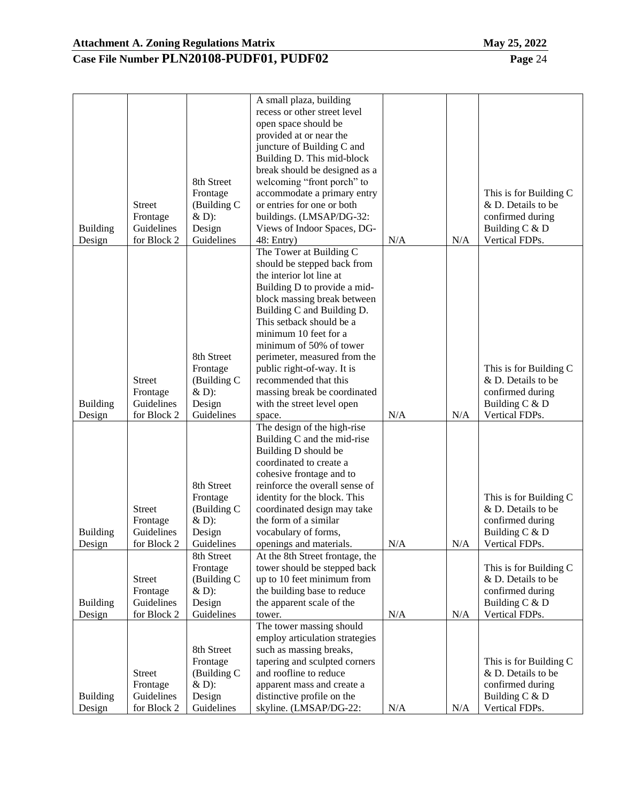Building Design

Guidelines for Block 2 Design Guidelines

#### **Case File Number PLN20108-PUDF01, PUDF02 Page** 24

| <b>Building</b><br>Design | <b>Street</b><br>Frontage<br>Guidelines<br>for Block 2 | 8th Street<br>Frontage<br>(Building C<br>$&D$ :<br>Design<br>Guidelines | open space should be<br>provided at or near the<br>juncture of Building C and<br>Building D. This mid-block<br>break should be designed as a<br>welcoming "front porch" to<br>accommodate a primary entry<br>or entries for one or both<br>buildings. (LMSAP/DG-32:<br>Views of Indoor Spaces, DG-<br>48: Entry)                                                                                                               | N/A | N/A | This is for Building C<br>& D. Details to be<br>confirmed during<br>Building C & D<br>Vertical FDPs.   |
|---------------------------|--------------------------------------------------------|-------------------------------------------------------------------------|--------------------------------------------------------------------------------------------------------------------------------------------------------------------------------------------------------------------------------------------------------------------------------------------------------------------------------------------------------------------------------------------------------------------------------|-----|-----|--------------------------------------------------------------------------------------------------------|
| <b>Building</b><br>Design | <b>Street</b><br>Frontage<br>Guidelines<br>for Block 2 | 8th Street<br>Frontage<br>(Building C<br>$&D$ :<br>Design<br>Guidelines | The Tower at Building C<br>should be stepped back from<br>the interior lot line at<br>Building D to provide a mid-<br>block massing break between<br>Building C and Building D.<br>This setback should be a<br>minimum 10 feet for a<br>minimum of 50% of tower<br>perimeter, measured from the<br>public right-of-way. It is<br>recommended that this<br>massing break be coordinated<br>with the street level open<br>space. | N/A | N/A | This is for Building C<br>& D. Details to be<br>confirmed during<br>Building C & D<br>Vertical FDPs.   |
| <b>Building</b><br>Design | <b>Street</b><br>Frontage<br>Guidelines<br>for Block 2 | 8th Street<br>Frontage<br>(Building C<br>$&D$ :<br>Design<br>Guidelines | The design of the high-rise<br>Building C and the mid-rise<br>Building D should be<br>coordinated to create a<br>cohesive frontage and to<br>reinforce the overall sense of<br>identity for the block. This<br>coordinated design may take<br>the form of a similar<br>vocabulary of forms,<br>openings and materials.                                                                                                         | N/A | N/A | This is for Building C<br>& D. Details to be<br>confirmed during<br>Building $C & D$<br>Vertical FDPs. |
| <b>Building</b><br>Design | <b>Street</b><br>Frontage<br>Guidelines<br>for Block 2 | 8th Street<br>Frontage<br>(Building C<br>$&D$ :<br>Design<br>Guidelines | At the 8th Street frontage, the<br>tower should be stepped back<br>up to 10 feet minimum from<br>the building base to reduce<br>the apparent scale of the<br>tower.                                                                                                                                                                                                                                                            | N/A | N/A | This is for Building C<br>& D. Details to be<br>confirmed during<br>Building C & D<br>Vertical FDPs.   |
|                           | <b>Street</b><br>Frontage                              | 8th Street<br>Frontage<br>(Building C<br>$&D$ :                         | The tower massing should<br>employ articulation strategies<br>such as massing breaks,<br>tapering and sculpted corners<br>and roofline to reduce<br>apparent mass and create a                                                                                                                                                                                                                                                 |     |     | This is for Building C<br>& D. Details to be<br>confirmed during                                       |

distinctive profile on the

skyline. (LMSAP/DG-22:  $\vert$  N/A  $\vert$  N/A

A small plaza, building recess or other street level

Building C & D Vertical FDPs.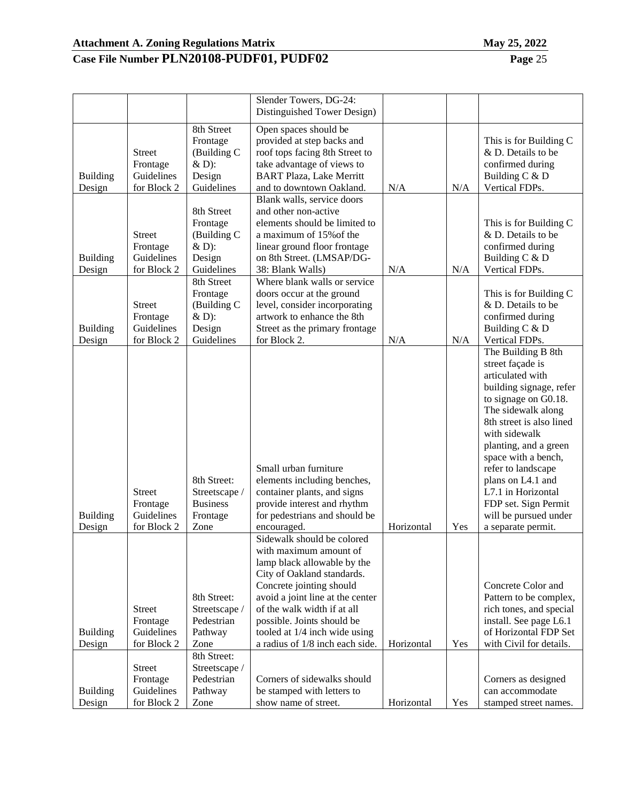| ┚┷ |  |  |  |
|----|--|--|--|
|    |  |  |  |
|    |  |  |  |
|    |  |  |  |

|                                     |                                                                         |                                                                                               | Slender Towers, DG-24:                                                                                                                                                                                                                                                                                             |            |            |                                                                                                                                                                                                                                                                                                                                                                          |
|-------------------------------------|-------------------------------------------------------------------------|-----------------------------------------------------------------------------------------------|--------------------------------------------------------------------------------------------------------------------------------------------------------------------------------------------------------------------------------------------------------------------------------------------------------------------|------------|------------|--------------------------------------------------------------------------------------------------------------------------------------------------------------------------------------------------------------------------------------------------------------------------------------------------------------------------------------------------------------------------|
|                                     |                                                                         |                                                                                               | Distinguished Tower Design)                                                                                                                                                                                                                                                                                        |            |            |                                                                                                                                                                                                                                                                                                                                                                          |
| <b>Building</b><br>Design           | <b>Street</b><br>Frontage<br>Guidelines<br>for Block 2                  | 8th Street<br>Frontage<br>(Building C<br>$&D$ :<br>Design<br>Guidelines                       | Open spaces should be<br>provided at step backs and<br>roof tops facing 8th Street to<br>take advantage of views to<br><b>BART Plaza, Lake Merritt</b><br>and to downtown Oakland.                                                                                                                                 | N/A        | N/A        | This is for Building C<br>& D. Details to be<br>confirmed during<br>Building C & D<br>Vertical FDPs.                                                                                                                                                                                                                                                                     |
| <b>Building</b>                     | <b>Street</b><br>Frontage<br>Guidelines                                 | 8th Street<br>Frontage<br>(Building C<br>& D):<br>Design                                      | Blank walls, service doors<br>and other non-active<br>elements should be limited to<br>a maximum of 15% of the<br>linear ground floor frontage<br>on 8th Street. (LMSAP/DG-                                                                                                                                        |            |            | This is for Building C<br>& D. Details to be<br>confirmed during<br>Building C & D                                                                                                                                                                                                                                                                                       |
| Design<br><b>Building</b><br>Design | for Block 2<br><b>Street</b><br>Frontage<br>Guidelines<br>for Block 2   | Guidelines<br>8th Street<br>Frontage<br>(Building C<br>$&D$ :<br>Design<br>Guidelines         | 38: Blank Walls)<br>Where blank walls or service<br>doors occur at the ground<br>level, consider incorporating<br>artwork to enhance the 8th<br>Street as the primary frontage<br>for Block 2.                                                                                                                     | N/A<br>N/A | N/A<br>N/A | Vertical FDPs.<br>This is for Building C<br>& D. Details to be<br>confirmed during<br>Building C & D<br>Vertical FDPs.                                                                                                                                                                                                                                                   |
| <b>Building</b><br>Design           | <b>Street</b><br>Frontage<br>Guidelines<br>for Block 2                  | 8th Street:<br>Streetscape /<br><b>Business</b><br>Frontage<br>Zone                           | Small urban furniture<br>elements including benches,<br>container plants, and signs<br>provide interest and rhythm<br>for pedestrians and should be<br>encouraged.                                                                                                                                                 | Horizontal | Yes        | The Building B 8th<br>street façade is<br>articulated with<br>building signage, refer<br>to signage on G0.18.<br>The sidewalk along<br>8th street is also lined<br>with sidewalk<br>planting, and a green<br>space with a bench,<br>refer to landscape<br>plans on L4.1 and<br>L7.1 in Horizontal<br>FDP set. Sign Permit<br>will be pursued under<br>a separate permit. |
| <b>Building</b><br>Design           | <b>Street</b><br>Frontage<br>Guidelines<br>for Block 2<br><b>Street</b> | 8th Street:<br>Streetscape /<br>Pedestrian<br>Pathway<br>Zone<br>8th Street:<br>Streetscape / | Sidewalk should be colored<br>with maximum amount of<br>lamp black allowable by the<br>City of Oakland standards.<br>Concrete jointing should<br>avoid a joint line at the center<br>of the walk width if at all<br>possible. Joints should be<br>tooled at 1/4 inch wide using<br>a radius of 1/8 inch each side. | Horizontal | Yes        | Concrete Color and<br>Pattern to be complex,<br>rich tones, and special<br>install. See page L6.1<br>of Horizontal FDP Set<br>with Civil for details.                                                                                                                                                                                                                    |
| <b>Building</b><br>Design           | Frontage<br>Guidelines<br>for Block 2                                   | Pedestrian<br>Pathway<br>Zone                                                                 | Corners of sidewalks should<br>be stamped with letters to<br>show name of street.                                                                                                                                                                                                                                  | Horizontal | Yes        | Corners as designed<br>can accommodate<br>stamped street names.                                                                                                                                                                                                                                                                                                          |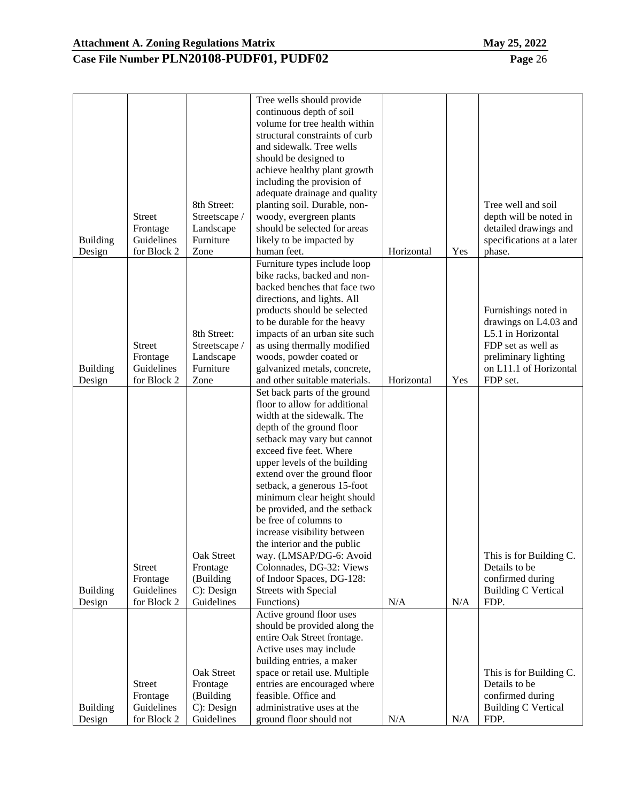|                 |               |               | Tree wells should provide      |            |     |                            |
|-----------------|---------------|---------------|--------------------------------|------------|-----|----------------------------|
|                 |               |               | continuous depth of soil       |            |     |                            |
|                 |               |               | volume for tree health within  |            |     |                            |
|                 |               |               | structural constraints of curb |            |     |                            |
|                 |               |               |                                |            |     |                            |
|                 |               |               | and sidewalk. Tree wells       |            |     |                            |
|                 |               |               | should be designed to          |            |     |                            |
|                 |               |               | achieve healthy plant growth   |            |     |                            |
|                 |               |               | including the provision of     |            |     |                            |
|                 |               |               | adequate drainage and quality  |            |     |                            |
|                 |               | 8th Street:   | planting soil. Durable, non-   |            |     | Tree well and soil         |
|                 | <b>Street</b> | Streetscape / | woody, evergreen plants        |            |     | depth will be noted in     |
|                 | Frontage      | Landscape     | should be selected for areas   |            |     | detailed drawings and      |
|                 | Guidelines    | Furniture     |                                |            |     |                            |
| <b>Building</b> |               |               | likely to be impacted by       |            |     | specifications at a later  |
| Design          | for Block 2   | Zone          | human feet.                    | Horizontal | Yes | phase.                     |
|                 |               |               | Furniture types include loop   |            |     |                            |
|                 |               |               | bike racks, backed and non-    |            |     |                            |
|                 |               |               | backed benches that face two   |            |     |                            |
|                 |               |               | directions, and lights. All    |            |     |                            |
|                 |               |               | products should be selected    |            |     | Furnishings noted in       |
|                 |               |               | to be durable for the heavy    |            |     | drawings on L4.03 and      |
|                 |               | 8th Street:   | impacts of an urban site such  |            |     | L5.1 in Horizontal         |
|                 | <b>Street</b> | Streetscape / | as using thermally modified    |            |     | FDP set as well as         |
|                 | Frontage      | Landscape     | woods, powder coated or        |            |     | preliminary lighting       |
|                 |               | Furniture     |                                |            |     | on L11.1 of Horizontal     |
| <b>Building</b> | Guidelines    |               | galvanized metals, concrete,   |            |     |                            |
| Design          | for Block 2   | Zone          | and other suitable materials.  | Horizontal | Yes | FDP set.                   |
|                 |               |               | Set back parts of the ground   |            |     |                            |
|                 |               |               | floor to allow for additional  |            |     |                            |
|                 |               |               | width at the sidewalk. The     |            |     |                            |
|                 |               |               | depth of the ground floor      |            |     |                            |
|                 |               |               | setback may vary but cannot    |            |     |                            |
|                 |               |               | exceed five feet. Where        |            |     |                            |
|                 |               |               | upper levels of the building   |            |     |                            |
|                 |               |               | extend over the ground floor   |            |     |                            |
|                 |               |               | setback, a generous 15-foot    |            |     |                            |
|                 |               |               | minimum clear height should    |            |     |                            |
|                 |               |               |                                |            |     |                            |
|                 |               |               | be provided, and the setback   |            |     |                            |
|                 |               |               | be free of columns to          |            |     |                            |
|                 |               |               | increase visibility between    |            |     |                            |
|                 |               |               | the interior and the public    |            |     |                            |
|                 |               | Oak Street    | way. (LMSAP/DG-6: Avoid        |            |     | This is for Building C.    |
|                 | <b>Street</b> | Frontage      | Colonnades, DG-32: Views       |            |     | Details to be              |
|                 | Frontage      | (Building     | of Indoor Spaces, DG-128:      |            |     | confirmed during           |
| <b>Building</b> | Guidelines    | $C$ : Design  | <b>Streets with Special</b>    |            |     | <b>Building C Vertical</b> |
| Design          | for Block 2   | Guidelines    | Functions)                     | N/A        | N/A | FDP.                       |
|                 |               |               | Active ground floor uses       |            |     |                            |
|                 |               |               | should be provided along the   |            |     |                            |
|                 |               |               | entire Oak Street frontage.    |            |     |                            |
|                 |               |               | Active uses may include        |            |     |                            |
|                 |               |               |                                |            |     |                            |
|                 |               |               | building entries, a maker      |            |     |                            |
|                 |               | Oak Street    | space or retail use. Multiple  |            |     | This is for Building C.    |
|                 | <b>Street</b> | Frontage      | entries are encouraged where   |            |     | Details to be              |
|                 | Frontage      | (Building     | feasible. Office and           |            |     | confirmed during           |
| <b>Building</b> | Guidelines    | $C$ : Design  | administrative uses at the     |            |     | <b>Building C Vertical</b> |
| Design          | for Block 2   | Guidelines    | ground floor should not        | N/A        | N/A | FDP.                       |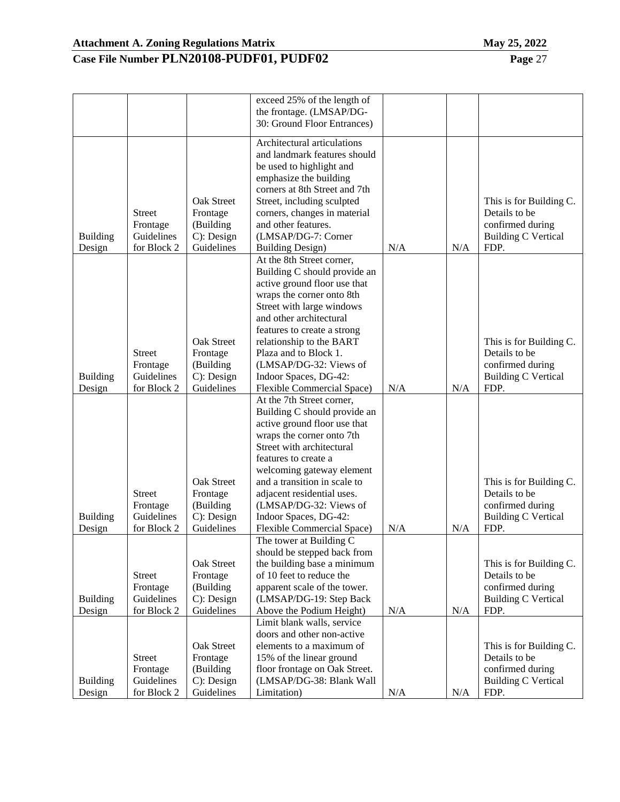| . .<br>. . | . |
|------------|---|
| .          |   |

|                           |                           |                          | exceed 25% of the length of<br>the frontage. (LMSAP/DG-      |     |     |                                    |
|---------------------------|---------------------------|--------------------------|--------------------------------------------------------------|-----|-----|------------------------------------|
|                           |                           |                          | 30: Ground Floor Entrances)                                  |     |     |                                    |
|                           |                           |                          | Architectural articulations<br>and landmark features should  |     |     |                                    |
|                           |                           |                          | be used to highlight and                                     |     |     |                                    |
|                           |                           |                          | emphasize the building                                       |     |     |                                    |
|                           |                           |                          | corners at 8th Street and 7th                                |     |     |                                    |
|                           |                           | <b>Oak Street</b>        | Street, including sculpted                                   |     |     | This is for Building C.            |
|                           | <b>Street</b>             | Frontage                 | corners, changes in material                                 |     |     | Details to be                      |
|                           | Frontage                  | (Building                | and other features.                                          |     |     | confirmed during                   |
| <b>Building</b>           | Guidelines                | C): Design               | (LMSAP/DG-7: Corner                                          |     |     | <b>Building C Vertical</b>         |
| Design                    | for Block 2               | Guidelines               | <b>Building Design)</b>                                      | N/A | N/A | FDP.                               |
|                           |                           |                          | At the 8th Street corner,                                    |     |     |                                    |
|                           |                           |                          | Building C should provide an<br>active ground floor use that |     |     |                                    |
|                           |                           |                          | wraps the corner onto 8th                                    |     |     |                                    |
|                           |                           |                          | Street with large windows                                    |     |     |                                    |
|                           |                           |                          | and other architectural                                      |     |     |                                    |
|                           |                           |                          | features to create a strong                                  |     |     |                                    |
|                           |                           | Oak Street               | relationship to the BART                                     |     |     | This is for Building C.            |
|                           | <b>Street</b>             | Frontage                 | Plaza and to Block 1.                                        |     |     | Details to be                      |
|                           | Frontage                  | (Building                | (LMSAP/DG-32: Views of                                       |     |     | confirmed during                   |
| <b>Building</b>           | Guidelines                | C): Design               | Indoor Spaces, DG-42:                                        |     |     | <b>Building C Vertical</b>         |
| Design                    | for Block 2               | Guidelines               | Flexible Commercial Space)<br>At the 7th Street corner,      | N/A | N/A | FDP.                               |
|                           |                           |                          | Building C should provide an                                 |     |     |                                    |
|                           |                           |                          | active ground floor use that                                 |     |     |                                    |
|                           |                           |                          | wraps the corner onto 7th                                    |     |     |                                    |
|                           |                           |                          | Street with architectural                                    |     |     |                                    |
|                           |                           |                          | features to create a                                         |     |     |                                    |
|                           |                           |                          | welcoming gateway element                                    |     |     |                                    |
|                           |                           | <b>Oak Street</b>        | and a transition in scale to                                 |     |     | This is for Building C.            |
|                           | <b>Street</b>             | Frontage                 | adjacent residential uses.                                   |     |     | Details to be                      |
|                           | Frontage                  | (Building                | (LMSAP/DG-32: Views of                                       |     |     | confirmed during                   |
| <b>Building</b><br>Design | Guidelines<br>for Block 2 | C): Design<br>Guidelines | Indoor Spaces, DG-42:<br>Flexible Commercial Space)          | N/A | N/A | <b>Building C Vertical</b><br>FDP. |
|                           |                           |                          | The tower at Building C                                      |     |     |                                    |
|                           |                           |                          | should be stepped back from                                  |     |     |                                    |
|                           |                           | Oak Street               | the building base a minimum                                  |     |     | This is for Building C.            |
|                           | <b>Street</b>             | Frontage                 | of 10 feet to reduce the                                     |     |     | Details to be                      |
|                           | Frontage                  | (Building                | apparent scale of the tower.                                 |     |     | confirmed during                   |
| <b>Building</b>           | Guidelines                | C): Design               | (LMSAP/DG-19: Step Back                                      |     |     | <b>Building C Vertical</b>         |
| Design                    | for Block 2               | Guidelines               | Above the Podium Height)                                     | N/A | N/A | FDP.                               |
|                           |                           |                          | Limit blank walls, service<br>doors and other non-active     |     |     |                                    |
|                           |                           | Oak Street               | elements to a maximum of                                     |     |     | This is for Building C.            |
|                           | <b>Street</b>             | Frontage                 | 15% of the linear ground                                     |     |     | Details to be                      |
|                           | Frontage                  | (Building                | floor frontage on Oak Street.                                |     |     | confirmed during                   |
| <b>Building</b>           | Guidelines                | C): Design               | (LMSAP/DG-38: Blank Wall                                     |     |     | <b>Building C Vertical</b>         |
| Design                    | for Block 2               | Guidelines               | Limitation)                                                  | N/A | N/A | FDP.                               |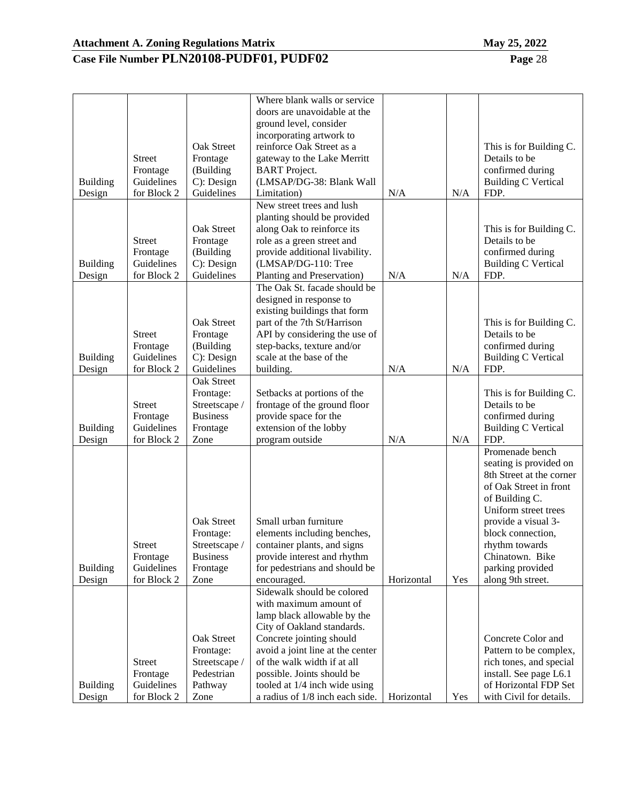|  | Pag |
|--|-----|
|  |     |

|                           |                           |                   | Where blank walls or service                                     |            |     |                                                  |
|---------------------------|---------------------------|-------------------|------------------------------------------------------------------|------------|-----|--------------------------------------------------|
|                           |                           |                   | doors are unavoidable at the                                     |            |     |                                                  |
|                           |                           |                   | ground level, consider                                           |            |     |                                                  |
|                           |                           |                   | incorporating artwork to                                         |            |     |                                                  |
|                           |                           | Oak Street        | reinforce Oak Street as a                                        |            |     | This is for Building C.                          |
|                           | <b>Street</b>             | Frontage          |                                                                  |            |     | Details to be                                    |
|                           |                           |                   | gateway to the Lake Merritt                                      |            |     |                                                  |
|                           | Frontage                  | (Building         | <b>BART</b> Project.                                             |            |     | confirmed during                                 |
| <b>Building</b>           | Guidelines                | C): Design        | (LMSAP/DG-38: Blank Wall                                         |            |     | <b>Building C Vertical</b>                       |
| Design                    | for Block 2               | Guidelines        | Limitation)                                                      | N/A        | N/A | FDP.                                             |
|                           |                           |                   | New street trees and lush                                        |            |     |                                                  |
|                           |                           |                   | planting should be provided                                      |            |     |                                                  |
|                           |                           | <b>Oak Street</b> | along Oak to reinforce its                                       |            |     | This is for Building C.                          |
|                           | <b>Street</b>             | Frontage          | role as a green street and                                       |            |     | Details to be                                    |
|                           | Frontage                  | (Building         | provide additional livability.                                   |            |     | confirmed during                                 |
| <b>Building</b>           | Guidelines                | C): Design        | (LMSAP/DG-110: Tree                                              |            |     | <b>Building C Vertical</b>                       |
| Design                    | for Block 2               | Guidelines        | Planting and Preservation)                                       | N/A        | N/A | FDP.                                             |
|                           |                           |                   | The Oak St. facade should be                                     |            |     |                                                  |
|                           |                           |                   | designed in response to                                          |            |     |                                                  |
|                           |                           |                   | existing buildings that form                                     |            |     |                                                  |
|                           |                           | Oak Street        | part of the 7th St/Harrison                                      |            |     | This is for Building C.                          |
|                           | <b>Street</b>             | Frontage          | API by considering the use of                                    |            |     | Details to be                                    |
|                           |                           |                   |                                                                  |            |     |                                                  |
|                           | Frontage                  | (Building         | step-backs, texture and/or                                       |            |     | confirmed during                                 |
| <b>Building</b>           | Guidelines                | C): Design        | scale at the base of the                                         |            |     | <b>Building C Vertical</b>                       |
| Design                    | for Block 2               | Guidelines        | building.                                                        | N/A        | N/A | FDP.                                             |
|                           |                           | <b>Oak Street</b> |                                                                  |            |     |                                                  |
|                           |                           | Frontage:         | Setbacks at portions of the                                      |            |     | This is for Building C.                          |
|                           | <b>Street</b>             | Streetscape /     | frontage of the ground floor                                     |            |     | Details to be                                    |
|                           | Frontage                  | <b>Business</b>   | provide space for the                                            |            |     | confirmed during                                 |
| <b>Building</b>           | Guidelines                | Frontage          | extension of the lobby                                           |            |     | <b>Building C Vertical</b>                       |
| Design                    | for Block 2               | Zone              | program outside                                                  | N/A        | N/A | FDP.                                             |
|                           |                           |                   |                                                                  |            |     | Promenade bench                                  |
|                           |                           |                   |                                                                  |            |     | seating is provided on                           |
|                           |                           |                   |                                                                  |            |     | 8th Street at the corner                         |
|                           |                           |                   |                                                                  |            |     | of Oak Street in front                           |
|                           |                           |                   |                                                                  |            |     | of Building C.                                   |
|                           |                           |                   |                                                                  |            |     | Uniform street trees                             |
|                           |                           |                   |                                                                  |            |     |                                                  |
|                           |                           | Oak Street        | Small urban furniture                                            |            |     | provide a visual 3-                              |
|                           |                           | Frontage:         | elements including benches,                                      |            |     | block connection,                                |
|                           | <b>Street</b>             | Streetscape /     | container plants, and signs                                      |            |     | rhythm towards                                   |
|                           | Frontage                  | <b>Business</b>   | provide interest and rhythm                                      |            |     | Chinatown. Bike                                  |
| <b>Building</b>           | Guidelines                | Frontage          | for pedestrians and should be                                    |            |     | parking provided                                 |
| Design                    | for Block 2               | Zone              | encouraged.                                                      | Horizontal | Yes | along 9th street.                                |
|                           |                           |                   | Sidewalk should be colored                                       |            |     |                                                  |
|                           |                           |                   | with maximum amount of                                           |            |     |                                                  |
|                           |                           |                   | lamp black allowable by the                                      |            |     |                                                  |
|                           |                           |                   | City of Oakland standards.                                       |            |     |                                                  |
|                           |                           | Oak Street        | Concrete jointing should                                         |            |     | Concrete Color and                               |
|                           |                           | Frontage:         | avoid a joint line at the center                                 |            |     | Pattern to be complex,                           |
|                           | <b>Street</b>             | Streetscape /     | of the walk width if at all                                      |            |     | rich tones, and special                          |
|                           | Frontage                  | Pedestrian        | possible. Joints should be                                       |            |     | install. See page L6.1                           |
|                           |                           |                   |                                                                  |            |     |                                                  |
|                           |                           |                   |                                                                  |            |     |                                                  |
| <b>Building</b><br>Design | Guidelines<br>for Block 2 | Pathway<br>Zone   | tooled at 1/4 inch wide using<br>a radius of 1/8 inch each side. | Horizontal | Yes | of Horizontal FDP Set<br>with Civil for details. |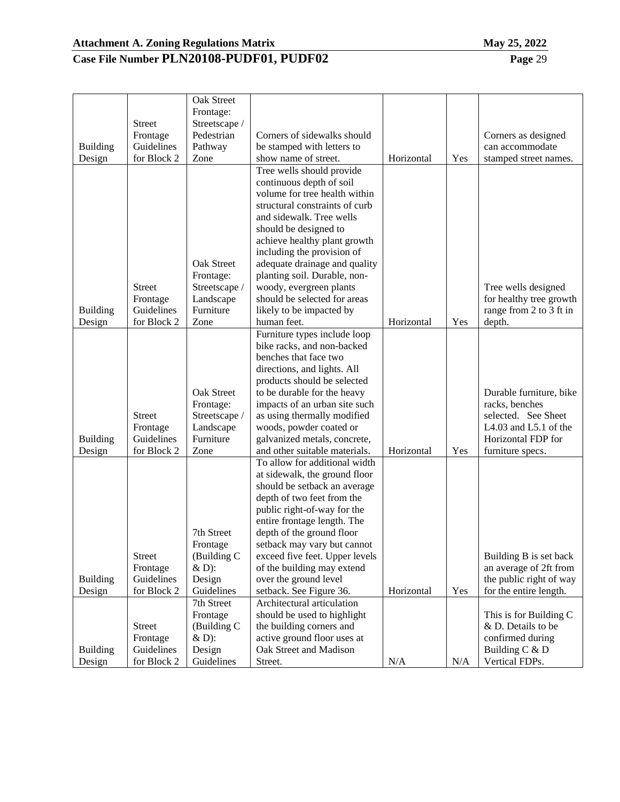|  | 1av 25, 2022 |
|--|--------------|
|  |              |

|                 |               | <b>Oak Street</b> |                                                              |            |     |                         |
|-----------------|---------------|-------------------|--------------------------------------------------------------|------------|-----|-------------------------|
|                 |               | Frontage:         |                                                              |            |     |                         |
|                 | <b>Street</b> | Streetscape /     |                                                              |            |     |                         |
|                 | Frontage      | Pedestrian        | Corners of sidewalks should                                  |            |     | Corners as designed     |
| <b>Building</b> | Guidelines    | Pathway           | be stamped with letters to                                   |            |     | can accommodate         |
| Design          | for Block 2   | Zone              | show name of street.                                         | Horizontal | Yes | stamped street names.   |
|                 |               |                   | Tree wells should provide                                    |            |     |                         |
|                 |               |                   | continuous depth of soil                                     |            |     |                         |
|                 |               |                   | volume for tree health within                                |            |     |                         |
|                 |               |                   | structural constraints of curb                               |            |     |                         |
|                 |               |                   | and sidewalk. Tree wells                                     |            |     |                         |
|                 |               |                   | should be designed to                                        |            |     |                         |
|                 |               |                   | achieve healthy plant growth                                 |            |     |                         |
|                 |               |                   | including the provision of                                   |            |     |                         |
|                 |               | <b>Oak Street</b> | adequate drainage and quality                                |            |     |                         |
|                 |               | Frontage:         | planting soil. Durable, non-                                 |            |     |                         |
|                 | <b>Street</b> | Streetscape /     | woody, evergreen plants                                      |            |     | Tree wells designed     |
|                 | Frontage      | Landscape         | should be selected for areas                                 |            |     | for healthy tree growth |
| <b>Building</b> | Guidelines    | Furniture         | likely to be impacted by                                     |            |     | range from 2 to 3 ft in |
| Design          | for Block 2   | Zone              | human feet.                                                  | Horizontal | Yes | depth.                  |
|                 |               |                   | Furniture types include loop                                 |            |     |                         |
|                 |               |                   | bike racks, and non-backed                                   |            |     |                         |
|                 |               |                   | benches that face two                                        |            |     |                         |
|                 |               |                   | directions, and lights. All                                  |            |     |                         |
|                 |               | <b>Oak Street</b> | products should be selected                                  |            |     | Durable furniture, bike |
|                 |               | Frontage:         | to be durable for the heavy<br>impacts of an urban site such |            |     | racks, benches          |
|                 | <b>Street</b> | Streetscape /     | as using thermally modified                                  |            |     | selected. See Sheet     |
|                 | Frontage      | Landscape         | woods, powder coated or                                      |            |     | L4.03 and L5.1 of the   |
| <b>Building</b> | Guidelines    | Furniture         | galvanized metals, concrete,                                 |            |     | Horizontal FDP for      |
| Design          | for Block 2   | Zone              | and other suitable materials.                                | Horizontal | Yes | furniture specs.        |
|                 |               |                   | To allow for additional width                                |            |     |                         |
|                 |               |                   | at sidewalk, the ground floor                                |            |     |                         |
|                 |               |                   | should be setback an average                                 |            |     |                         |
|                 |               |                   | depth of two feet from the                                   |            |     |                         |
|                 |               |                   | public right-of-way for the                                  |            |     |                         |
|                 |               |                   | entire frontage length. The                                  |            |     |                         |
|                 |               | 7th Street        | depth of the ground floor                                    |            |     |                         |
|                 |               | Frontage          | setback may vary but cannot                                  |            |     |                         |
|                 | <b>Street</b> | (Building C       | exceed five feet. Upper levels                               |            |     | Building B is set back  |
|                 | Frontage      | $&D$ :            | of the building may extend                                   |            |     | an average of 2ft from  |
| <b>Building</b> | Guidelines    | Design            | over the ground level                                        |            |     | the public right of way |
| Design          | for Block 2   | Guidelines        | setback. See Figure 36.                                      | Horizontal | Yes | for the entire length.  |
|                 |               | 7th Street        | Architectural articulation                                   |            |     |                         |
|                 |               | Frontage          | should be used to highlight                                  |            |     | This is for Building C  |
|                 | <b>Street</b> | (Building C       | the building corners and                                     |            |     | & D. Details to be      |
|                 | Frontage      | $&D$ :            | active ground floor uses at                                  |            |     | confirmed during        |
| <b>Building</b> | Guidelines    | Design            | Oak Street and Madison                                       |            |     | Building C & D          |
| Design          | for Block 2   | Guidelines        | Street.                                                      | N/A        | N/A | Vertical FDPs.          |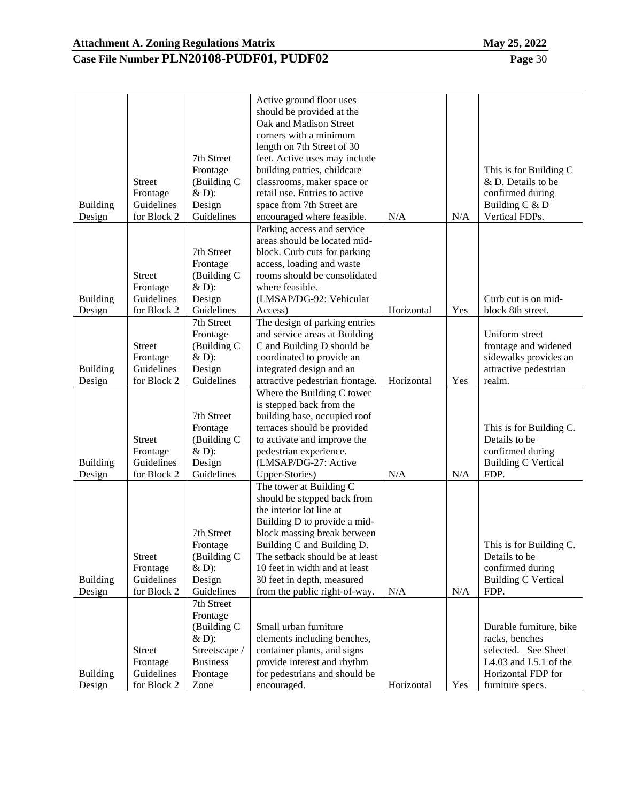# **Case File Number PLN20108-PUDF01, PUDF02 Page** 30

| <b>Building</b><br>Design | <b>Street</b><br>Frontage<br>Guidelines<br>for Block 2 | 7th Street<br>Frontage<br>(Building C<br>$&D$ :<br>Design<br>Guidelines                                 | Active ground floor uses<br>should be provided at the<br>Oak and Madison Street<br>corners with a minimum<br>length on 7th Street of 30<br>feet. Active uses may include<br>building entries, childcare<br>classrooms, maker space or<br>retail use. Entries to active<br>space from 7th Street are<br>encouraged where feasible. | N/A        | N/A | This is for Building C<br>& D. Details to be<br>confirmed during<br>Building C & D<br>Vertical FDPs.                                |
|---------------------------|--------------------------------------------------------|---------------------------------------------------------------------------------------------------------|-----------------------------------------------------------------------------------------------------------------------------------------------------------------------------------------------------------------------------------------------------------------------------------------------------------------------------------|------------|-----|-------------------------------------------------------------------------------------------------------------------------------------|
|                           |                                                        |                                                                                                         | Parking access and service<br>areas should be located mid-                                                                                                                                                                                                                                                                        |            |     |                                                                                                                                     |
|                           | <b>Street</b><br>Frontage                              | 7th Street<br>Frontage<br>(Building C<br>$&D$ :                                                         | block. Curb cuts for parking<br>access, loading and waste<br>rooms should be consolidated<br>where feasible.<br>(LMSAP/DG-92: Vehicular                                                                                                                                                                                           |            |     | Curb cut is on mid-                                                                                                                 |
| <b>Building</b><br>Design | Guidelines<br>for Block 2                              | Design<br>Guidelines                                                                                    | Access)                                                                                                                                                                                                                                                                                                                           | Horizontal | Yes | block 8th street.                                                                                                                   |
| <b>Building</b><br>Design | <b>Street</b><br>Frontage<br>Guidelines<br>for Block 2 | 7th Street<br>Frontage<br>(Building C<br>$&D$ :<br>Design<br>Guidelines                                 | The design of parking entries<br>and service areas at Building<br>C and Building D should be<br>coordinated to provide an<br>integrated design and an<br>attractive pedestrian frontage.                                                                                                                                          | Horizontal | Yes | Uniform street<br>frontage and widened<br>sidewalks provides an<br>attractive pedestrian<br>realm.                                  |
| <b>Building</b><br>Design | <b>Street</b><br>Frontage<br>Guidelines<br>for Block 2 | 7th Street<br>Frontage<br>(Building C<br>$&D$ :<br>Design<br>Guidelines                                 | Where the Building C tower<br>is stepped back from the<br>building base, occupied roof<br>terraces should be provided<br>to activate and improve the<br>pedestrian experience.<br>(LMSAP/DG-27: Active<br>Upper-Stories)                                                                                                          | N/A        | N/A | This is for Building C.<br>Details to be<br>confirmed during<br><b>Building C Vertical</b><br>FDP.                                  |
| <b>Building</b><br>Design | <b>Street</b><br>Frontage<br>Guidelines<br>for Block 2 | 7th Street<br>Frontage<br>(Building C<br>$&D$ :<br>Design<br>Guidelines                                 | The tower at Building C<br>should be stepped back from<br>the interior lot line at<br>Building D to provide a mid-<br>block massing break between<br>Building C and Building D.<br>The setback should be at least<br>10 feet in width and at least<br>30 feet in depth, measured<br>from the public right-of-way.                 | N/A        | N/A | This is for Building C.<br>Details to be<br>confirmed during<br><b>Building C Vertical</b><br>FDP.                                  |
| <b>Building</b><br>Design | <b>Street</b><br>Frontage<br>Guidelines<br>for Block 2 | 7th Street<br>Frontage<br>(Building C<br>$&D$ :<br>Streetscape /<br><b>Business</b><br>Frontage<br>Zone | Small urban furniture<br>elements including benches,<br>container plants, and signs<br>provide interest and rhythm<br>for pedestrians and should be<br>encouraged.                                                                                                                                                                | Horizontal | Yes | Durable furniture, bike<br>racks, benches<br>selected. See Sheet<br>L4.03 and L5.1 of the<br>Horizontal FDP for<br>furniture specs. |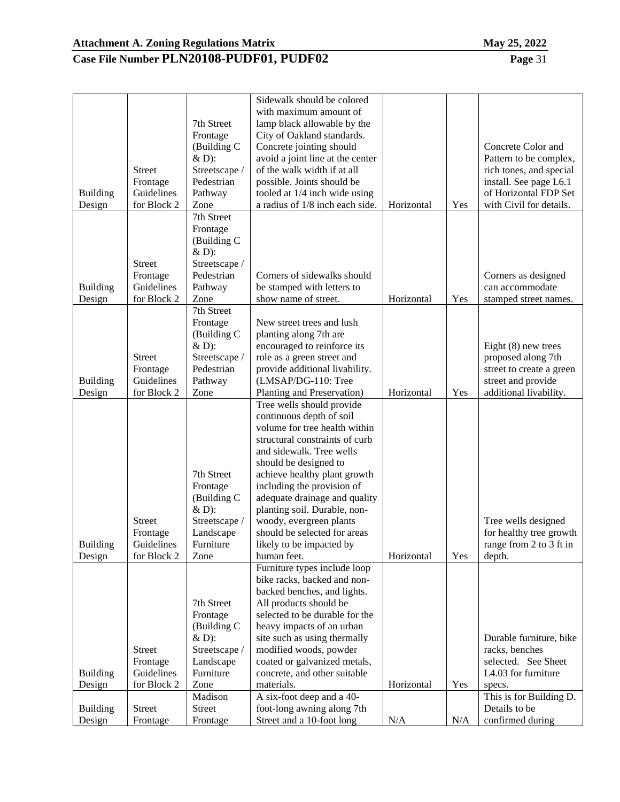|                 |               |               | Sidewalk should be colored       |            |     |                          |
|-----------------|---------------|---------------|----------------------------------|------------|-----|--------------------------|
|                 |               |               | with maximum amount of           |            |     |                          |
|                 |               | 7th Street    | lamp black allowable by the      |            |     |                          |
|                 |               | Frontage      | City of Oakland standards.       |            |     |                          |
|                 |               | (Building C   | Concrete jointing should         |            |     | Concrete Color and       |
|                 |               | $&D$ :        | avoid a joint line at the center |            |     | Pattern to be complex,   |
|                 | <b>Street</b> | Streetscape / | of the walk width if at all      |            |     | rich tones, and special  |
|                 | Frontage      | Pedestrian    | possible. Joints should be       |            |     | install. See page L6.1   |
| <b>Building</b> | Guidelines    | Pathway       | tooled at 1/4 inch wide using    |            |     | of Horizontal FDP Set    |
| Design          | for Block 2   | Zone          | a radius of 1/8 inch each side.  | Horizontal | Yes | with Civil for details.  |
|                 |               | 7th Street    |                                  |            |     |                          |
|                 |               |               |                                  |            |     |                          |
|                 |               | Frontage      |                                  |            |     |                          |
|                 |               | (Building C   |                                  |            |     |                          |
|                 |               | & D):         |                                  |            |     |                          |
|                 | <b>Street</b> | Streetscape / |                                  |            |     |                          |
|                 | Frontage      | Pedestrian    | Corners of sidewalks should      |            |     | Corners as designed      |
| <b>Building</b> | Guidelines    | Pathway       | be stamped with letters to       |            |     | can accommodate          |
| Design          | for Block 2   | Zone          | show name of street.             | Horizontal | Yes | stamped street names.    |
|                 |               | 7th Street    |                                  |            |     |                          |
|                 |               | Frontage      | New street trees and lush        |            |     |                          |
|                 |               | (Building C   | planting along 7th are           |            |     |                          |
|                 |               | $&D$ :        | encouraged to reinforce its      |            |     | Eight $(8)$ new trees    |
|                 | <b>Street</b> | Streetscape / | role as a green street and       |            |     | proposed along 7th       |
|                 | Frontage      | Pedestrian    | provide additional livability.   |            |     | street to create a green |
| <b>Building</b> | Guidelines    | Pathway       | (LMSAP/DG-110: Tree              |            |     | street and provide       |
| Design          | for Block 2   | Zone          | Planting and Preservation)       | Horizontal | Yes | additional livability.   |
|                 |               |               | Tree wells should provide        |            |     |                          |
|                 |               |               | continuous depth of soil         |            |     |                          |
|                 |               |               | volume for tree health within    |            |     |                          |
|                 |               |               | structural constraints of curb   |            |     |                          |
|                 |               |               | and sidewalk. Tree wells         |            |     |                          |
|                 |               |               | should be designed to            |            |     |                          |
|                 |               | 7th Street    | achieve healthy plant growth     |            |     |                          |
|                 |               | Frontage      | including the provision of       |            |     |                          |
|                 |               | (Building C   | adequate drainage and quality    |            |     |                          |
|                 |               | $&D$ :        | planting soil. Durable, non-     |            |     |                          |
|                 | <b>Street</b> | Streetscape / | woody, evergreen plants          |            |     | Tree wells designed      |
|                 | Frontage      | Landscape     | should be selected for areas     |            |     | for healthy tree growth  |
| <b>Building</b> | Guidelines    | Furniture     | likely to be impacted by         |            |     | range from 2 to 3 ft in  |
| Design          | for Block 2   | Zone          | human feet.                      | Horizontal | Yes | depth.                   |
|                 |               |               | Furniture types include loop     |            |     |                          |
|                 |               |               | bike racks, backed and non-      |            |     |                          |
|                 |               |               | backed benches, and lights.      |            |     |                          |
|                 |               | 7th Street    | All products should be           |            |     |                          |
|                 |               | Frontage      | selected to be durable for the   |            |     |                          |
|                 |               | (Building C   | heavy impacts of an urban        |            |     |                          |
|                 |               | $&D$ :        | site such as using thermally     |            |     | Durable furniture, bike  |
|                 | <b>Street</b> | Streetscape / | modified woods, powder           |            |     | racks, benches           |
|                 | Frontage      | Landscape     | coated or galvanized metals,     |            |     | selected. See Sheet      |
| <b>Building</b> | Guidelines    | Furniture     | concrete, and other suitable     |            |     | L4.03 for furniture      |
| Design          | for Block 2   | Zone          | materials.                       | Horizontal | Yes | specs.                   |
|                 |               | Madison       | A six-foot deep and a 40-        |            |     | This is for Building D.  |
| <b>Building</b> | Street        | <b>Street</b> | foot-long awning along 7th       |            |     | Details to be            |
| Design          | Frontage      | Frontage      | Street and a 10-foot long        | N/A        | N/A | confirmed during         |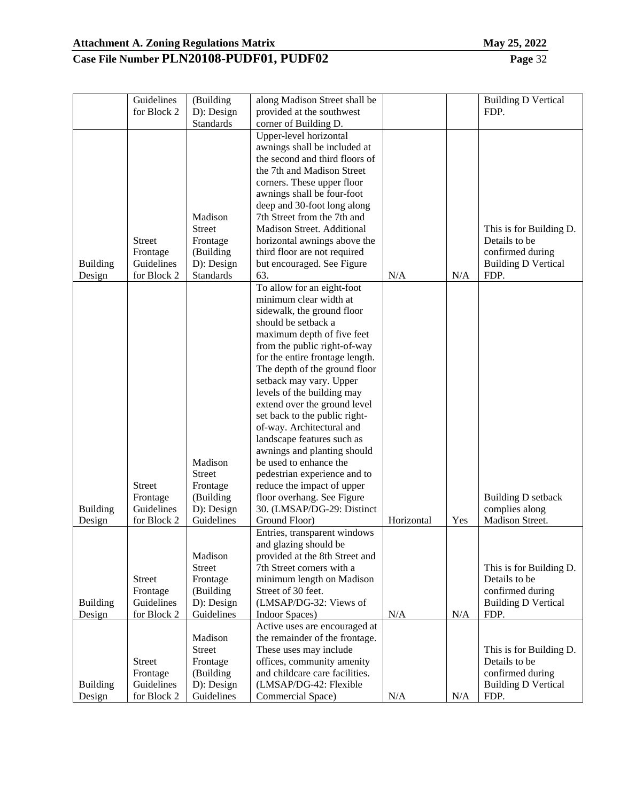|                 | Guidelines<br>for Block 2 | (Building<br>D): Design | along Madison Street shall be<br>provided at the southwest |            |     | <b>Building D Vertical</b><br>FDP.       |
|-----------------|---------------------------|-------------------------|------------------------------------------------------------|------------|-----|------------------------------------------|
|                 |                           | Standards               | corner of Building D.                                      |            |     |                                          |
|                 |                           |                         | Upper-level horizontal                                     |            |     |                                          |
|                 |                           |                         | awnings shall be included at                               |            |     |                                          |
|                 |                           |                         | the second and third floors of                             |            |     |                                          |
|                 |                           |                         | the 7th and Madison Street                                 |            |     |                                          |
|                 |                           |                         | corners. These upper floor                                 |            |     |                                          |
|                 |                           |                         | awnings shall be four-foot                                 |            |     |                                          |
|                 |                           |                         | deep and 30-foot long along                                |            |     |                                          |
|                 |                           | Madison                 | 7th Street from the 7th and                                |            |     |                                          |
|                 |                           | <b>Street</b>           | Madison Street. Additional                                 |            |     | This is for Building D.                  |
|                 | <b>Street</b>             | Frontage                | horizontal awnings above the                               |            |     | Details to be                            |
|                 | Frontage                  | (Building               | third floor are not required                               |            |     | confirmed during                         |
| <b>Building</b> | Guidelines                | D): Design              | but encouraged. See Figure                                 |            |     | <b>Building D Vertical</b>               |
| Design          | for Block 2               | Standards               | 63.                                                        | N/A        | N/A | FDP.                                     |
|                 |                           |                         | To allow for an eight-foot                                 |            |     |                                          |
|                 |                           |                         | minimum clear width at                                     |            |     |                                          |
|                 |                           |                         | sidewalk, the ground floor                                 |            |     |                                          |
|                 |                           |                         | should be setback a                                        |            |     |                                          |
|                 |                           |                         | maximum depth of five feet                                 |            |     |                                          |
|                 |                           |                         | from the public right-of-way                               |            |     |                                          |
|                 |                           |                         | for the entire frontage length.                            |            |     |                                          |
|                 |                           |                         | The depth of the ground floor                              |            |     |                                          |
|                 |                           |                         | setback may vary. Upper                                    |            |     |                                          |
|                 |                           |                         | levels of the building may                                 |            |     |                                          |
|                 |                           |                         | extend over the ground level                               |            |     |                                          |
|                 |                           |                         | set back to the public right-                              |            |     |                                          |
|                 |                           |                         | of-way. Architectural and                                  |            |     |                                          |
|                 |                           |                         | landscape features such as                                 |            |     |                                          |
|                 |                           |                         | awnings and planting should                                |            |     |                                          |
|                 |                           | Madison                 | be used to enhance the                                     |            |     |                                          |
|                 |                           | <b>Street</b>           | pedestrian experience and to                               |            |     |                                          |
|                 | <b>Street</b>             | Frontage                | reduce the impact of upper                                 |            |     |                                          |
|                 | Frontage                  | (Building               | floor overhang. See Figure                                 |            |     | <b>Building D setback</b>                |
| <b>Building</b> | Guidelines                | D): Design              | 30. (LMSAP/DG-29: Distinct                                 |            |     | complies along                           |
| Design          | for Block 2               | Guidelines              | Ground Floor)                                              | Horizontal | Yes | Madison Street.                          |
|                 |                           |                         | Entries, transparent windows                               |            |     |                                          |
|                 |                           |                         | and glazing should be                                      |            |     |                                          |
|                 |                           | Madison                 | provided at the 8th Street and                             |            |     |                                          |
|                 |                           | <b>Street</b>           | 7th Street corners with a                                  |            |     | This is for Building D.<br>Details to be |
|                 | <b>Street</b><br>Frontage | Frontage<br>(Building   | minimum length on Madison<br>Street of 30 feet.            |            |     | confirmed during                         |
| <b>Building</b> | Guidelines                | D): Design              | (LMSAP/DG-32: Views of                                     |            |     | <b>Building D Vertical</b>               |
| Design          | for Block 2               | Guidelines              | Indoor Spaces)                                             | N/A        | N/A | FDP.                                     |
|                 |                           |                         | Active uses are encouraged at                              |            |     |                                          |
|                 |                           | Madison                 | the remainder of the frontage.                             |            |     |                                          |
|                 |                           | <b>Street</b>           | These uses may include                                     |            |     | This is for Building D.                  |
|                 | <b>Street</b>             | Frontage                | offices, community amenity                                 |            |     | Details to be                            |
|                 | Frontage                  | (Building               | and childcare care facilities.                             |            |     | confirmed during                         |
| <b>Building</b> | Guidelines                | D): Design              | (LMSAP/DG-42: Flexible                                     |            |     | <b>Building D Vertical</b>               |
| Design          | for Block 2               | Guidelines              | Commercial Space)                                          | N/A        | N/A | FDP.                                     |
|                 |                           |                         |                                                            |            |     |                                          |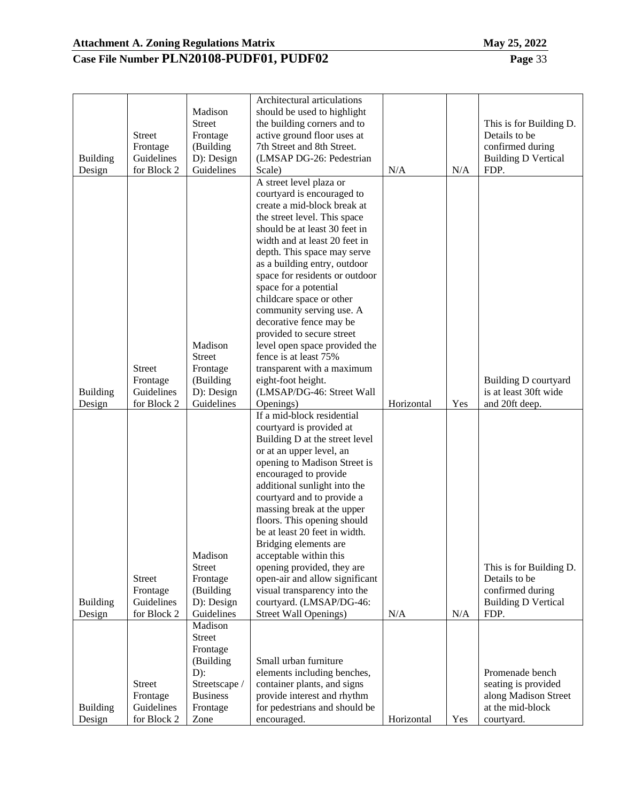| <b>Building</b>           | <b>Street</b><br>Frontage<br>Guidelines                | Madison<br><b>Street</b><br>Frontage<br>(Building<br>D): Design                                   | Architectural articulations<br>should be used to highlight<br>the building corners and to<br>active ground floor uses at<br>7th Street and 8th Street.<br>(LMSAP DG-26: Pedestrian                                                                                                                                                                                                                                                                                                                                                                        |            |     | This is for Building D.<br>Details to be<br>confirmed during<br><b>Building D Vertical</b>         |
|---------------------------|--------------------------------------------------------|---------------------------------------------------------------------------------------------------|-----------------------------------------------------------------------------------------------------------------------------------------------------------------------------------------------------------------------------------------------------------------------------------------------------------------------------------------------------------------------------------------------------------------------------------------------------------------------------------------------------------------------------------------------------------|------------|-----|----------------------------------------------------------------------------------------------------|
| Design                    | for Block 2                                            | Guidelines                                                                                        | Scale)                                                                                                                                                                                                                                                                                                                                                                                                                                                                                                                                                    | N/A        | N/A | FDP.                                                                                               |
|                           |                                                        |                                                                                                   | A street level plaza or<br>courtyard is encouraged to<br>create a mid-block break at<br>the street level. This space<br>should be at least 30 feet in<br>width and at least 20 feet in<br>depth. This space may serve<br>as a building entry, outdoor<br>space for residents or outdoor<br>space for a potential<br>childcare space or other<br>community serving use. A<br>decorative fence may be<br>provided to secure street                                                                                                                          |            |     |                                                                                                    |
|                           |                                                        | Madison                                                                                           | level open space provided the                                                                                                                                                                                                                                                                                                                                                                                                                                                                                                                             |            |     |                                                                                                    |
|                           | <b>Street</b>                                          | <b>Street</b><br>Frontage                                                                         | fence is at least 75%<br>transparent with a maximum                                                                                                                                                                                                                                                                                                                                                                                                                                                                                                       |            |     |                                                                                                    |
|                           | Frontage                                               | (Building                                                                                         | eight-foot height.                                                                                                                                                                                                                                                                                                                                                                                                                                                                                                                                        |            |     | <b>Building D courtyard</b>                                                                        |
| <b>Building</b>           | Guidelines                                             | D): Design                                                                                        | (LMSAP/DG-46: Street Wall                                                                                                                                                                                                                                                                                                                                                                                                                                                                                                                                 |            |     | is at least 30ft wide                                                                              |
| Design                    | for Block 2                                            | Guidelines                                                                                        | Openings)                                                                                                                                                                                                                                                                                                                                                                                                                                                                                                                                                 | Horizontal | Yes | and 20ft deep.                                                                                     |
| <b>Building</b><br>Design | Street<br>Frontage<br>Guidelines<br>for Block 2        | Madison<br><b>Street</b><br>Frontage<br>(Building<br>D): Design<br>Guidelines<br>Madison          | If a mid-block residential<br>courtyard is provided at<br>Building D at the street level<br>or at an upper level, an<br>opening to Madison Street is<br>encouraged to provide<br>additional sunlight into the<br>courtyard and to provide a<br>massing break at the upper<br>floors. This opening should<br>be at least 20 feet in width.<br>Bridging elements are.<br>acceptable within this<br>opening provided, they are<br>open-air and allow significant<br>visual transparency into the<br>courtyard. (LMSAP/DG-46:<br><b>Street Wall Openings)</b> | N/A        | N/A | This is for Building D.<br>Details to be<br>confirmed during<br><b>Building D Vertical</b><br>FDP. |
| <b>Building</b><br>Design | <b>Street</b><br>Frontage<br>Guidelines<br>for Block 2 | Street<br>Frontage<br>(Building<br>$D)$ :<br>Streetscape /<br><b>Business</b><br>Frontage<br>Zone | Small urban furniture<br>elements including benches,<br>container plants, and signs<br>provide interest and rhythm<br>for pedestrians and should be<br>encouraged.                                                                                                                                                                                                                                                                                                                                                                                        | Horizontal | Yes | Promenade bench<br>seating is provided<br>along Madison Street<br>at the mid-block<br>courtyard.   |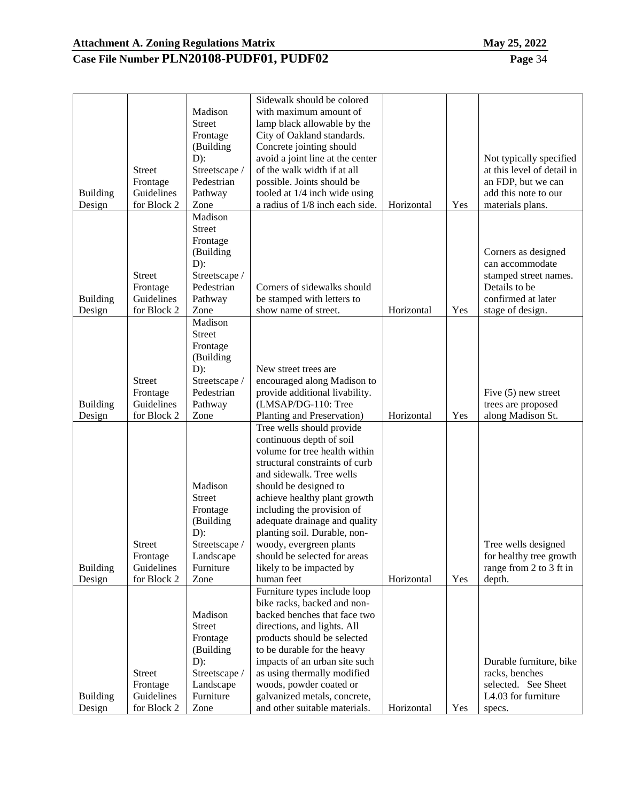Building Design

Street Frontage Guidelines for Block 2

Streetscape / Landscape Furniture Zone

#### **Case File Number PLN20108-PUDF01, PUDF02 Page** 34

|                           |                                                        | Madison<br><b>Street</b><br>Frontage<br>(Building                                                              | Sidewalk should be colored<br>with maximum amount of<br>lamp black allowable by the<br>City of Oakland standards.<br>Concrete jointing should                                                                                                                                                                                                                                                                     |            |     |                                                                                                                            |
|---------------------------|--------------------------------------------------------|----------------------------------------------------------------------------------------------------------------|-------------------------------------------------------------------------------------------------------------------------------------------------------------------------------------------------------------------------------------------------------------------------------------------------------------------------------------------------------------------------------------------------------------------|------------|-----|----------------------------------------------------------------------------------------------------------------------------|
| <b>Building</b>           | <b>Street</b><br>Frontage<br>Guidelines                | $D)$ :<br>Streetscape /<br>Pedestrian<br>Pathway                                                               | avoid a joint line at the center<br>of the walk width if at all<br>possible. Joints should be<br>tooled at 1/4 inch wide using                                                                                                                                                                                                                                                                                    |            |     | Not typically specified<br>at this level of detail in<br>an FDP, but we can<br>add this note to our                        |
| Design                    | for Block 2                                            | Zone                                                                                                           | a radius of $1/8$ inch each side.                                                                                                                                                                                                                                                                                                                                                                                 | Horizontal | Yes | materials plans.                                                                                                           |
| <b>Building</b><br>Design | <b>Street</b><br>Frontage<br>Guidelines<br>for Block 2 | Madison<br><b>Street</b><br>Frontage<br>(Building<br>$D)$ :<br>Streetscape /<br>Pedestrian<br>Pathway<br>Zone  | Corners of sidewalks should<br>be stamped with letters to<br>show name of street.                                                                                                                                                                                                                                                                                                                                 | Horizontal | Yes | Corners as designed<br>can accommodate<br>stamped street names.<br>Details to be<br>confirmed at later<br>stage of design. |
| <b>Building</b><br>Design | <b>Street</b><br>Frontage<br>Guidelines<br>for Block 2 | Madison<br><b>Street</b><br>Frontage<br>(Building<br>$D)$ :<br>Streetscape /<br>Pedestrian<br>Pathway<br>Zone  | New street trees are<br>encouraged along Madison to<br>provide additional livability.<br>(LMSAP/DG-110: Tree<br>Planting and Preservation)                                                                                                                                                                                                                                                                        | Horizontal | Yes | Five $(5)$ new street<br>trees are proposed<br>along Madison St.                                                           |
| <b>Building</b><br>Design | <b>Street</b><br>Frontage<br>Guidelines<br>for Block 2 | Madison<br><b>Street</b><br>Frontage<br>(Building<br>$D)$ :<br>Streetscape /<br>Landscape<br>Furniture<br>Zone | Tree wells should provide<br>continuous depth of soil<br>volume for tree health within<br>structural constraints of curb<br>and sidewalk. Tree wells<br>should be designed to<br>achieve healthy plant growth<br>including the provision of<br>adequate drainage and quality<br>planting soil. Durable, non-<br>woody, evergreen plants<br>should be selected for areas<br>likely to be impacted by<br>human feet | Horizontal | Yes | Tree wells designed<br>for healthy tree growth<br>range from 2 to 3 ft in<br>depth.                                        |
|                           |                                                        | Madison<br><b>Street</b><br>Frontage<br>(Building<br>$D)$ :                                                    | Furniture types include loop<br>bike racks, backed and non-<br>backed benches that face two<br>directions, and lights. All<br>products should be selected<br>to be durable for the heavy<br>impacts of an urban site such                                                                                                                                                                                         |            |     | Durable furniture, bike                                                                                                    |

as using thermally modified woods, powder coated or galvanized metals, concrete,

and other suitable materials. Horizontal Yes

racks, benches selected. See Sheet L4.03 for furniture

specs.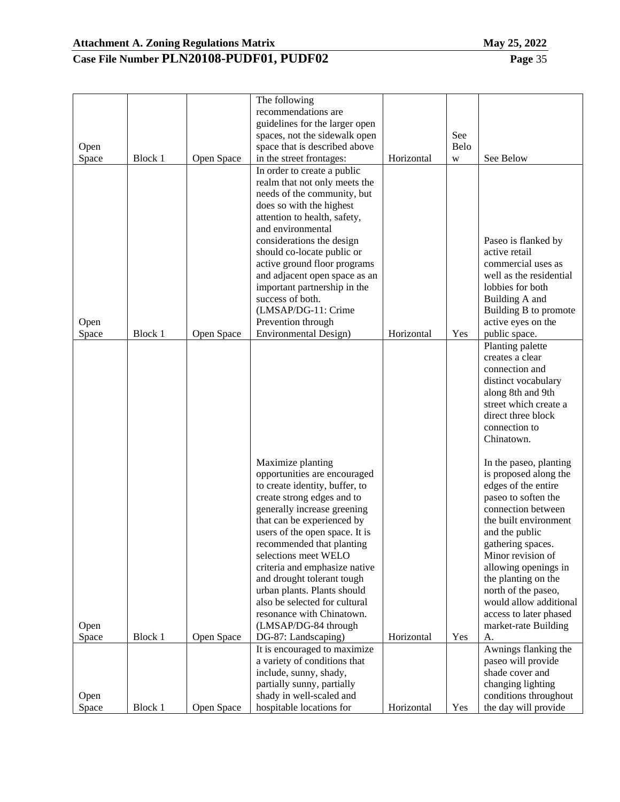| VIAV | 4J, 4U44 |
|------|----------|
|      |          |

|               |         |            | The following<br>recommendations are<br>guidelines for the larger open |            |           |                                               |
|---------------|---------|------------|------------------------------------------------------------------------|------------|-----------|-----------------------------------------------|
|               |         |            | spaces, not the sidewalk open                                          |            | See       |                                               |
| Open<br>Space | Block 1 | Open Space | space that is described above<br>in the street frontages:              | Horizontal | Belo<br>W | See Below                                     |
|               |         |            | In order to create a public                                            |            |           |                                               |
|               |         |            | realm that not only meets the                                          |            |           |                                               |
|               |         |            | needs of the community, but                                            |            |           |                                               |
|               |         |            | does so with the highest<br>attention to health, safety,               |            |           |                                               |
|               |         |            | and environmental                                                      |            |           |                                               |
|               |         |            | considerations the design                                              |            |           | Paseo is flanked by                           |
|               |         |            | should co-locate public or                                             |            |           | active retail                                 |
|               |         |            | active ground floor programs                                           |            |           | commercial uses as<br>well as the residential |
|               |         |            | and adjacent open space as an<br>important partnership in the          |            |           | lobbies for both                              |
|               |         |            | success of both.                                                       |            |           | Building A and                                |
|               |         |            | (LMSAP/DG-11: Crime                                                    |            |           | Building B to promote                         |
| Open          |         |            | Prevention through                                                     |            |           | active eyes on the                            |
| Space         | Block 1 | Open Space | Environmental Design)                                                  | Horizontal | Yes       | public space.                                 |
|               |         |            |                                                                        |            |           | Planting palette<br>creates a clear           |
|               |         |            |                                                                        |            |           | connection and                                |
|               |         |            |                                                                        |            |           | distinct vocabulary                           |
|               |         |            |                                                                        |            |           | along 8th and 9th                             |
|               |         |            |                                                                        |            |           | street which create a                         |
|               |         |            |                                                                        |            |           | direct three block<br>connection to           |
|               |         |            |                                                                        |            |           | Chinatown.                                    |
|               |         |            |                                                                        |            |           |                                               |
|               |         |            | Maximize planting                                                      |            |           | In the paseo, planting                        |
|               |         |            | opportunities are encouraged<br>to create identity, buffer, to         |            |           | is proposed along the<br>edges of the entire  |
|               |         |            | create strong edges and to                                             |            |           | paseo to soften the                           |
|               |         |            | generally increase greening                                            |            |           | connection between                            |
|               |         |            | that can be experienced by                                             |            |           | the built environment                         |
|               |         |            | users of the open space. It is                                         |            |           | and the public                                |
|               |         |            | recommended that planting<br>selections meet WELO                      |            |           | gathering spaces.<br>Minor revision of        |
|               |         |            | criteria and emphasize native                                          |            |           | allowing openings in                          |
|               |         |            | and drought tolerant tough                                             |            |           | the planting on the                           |
|               |         |            | urban plants. Plants should                                            |            |           | north of the paseo,                           |
|               |         |            | also be selected for cultural                                          |            |           | would allow additional                        |
|               |         |            | resonance with Chinatown.                                              |            |           | access to later phased                        |
| Open<br>Space | Block 1 | Open Space | (LMSAP/DG-84 through<br>DG-87: Landscaping)                            | Horizontal | Yes       | market-rate Building<br>A.                    |
|               |         |            | It is encouraged to maximize                                           |            |           | Awnings flanking the                          |
|               |         |            | a variety of conditions that                                           |            |           | paseo will provide                            |
|               |         |            | include, sunny, shady,                                                 |            |           | shade cover and                               |
|               |         |            | partially sunny, partially                                             |            |           | changing lighting                             |
| Open<br>Space | Block 1 | Open Space | shady in well-scaled and<br>hospitable locations for                   | Horizontal | Yes       | conditions throughout<br>the day will provide |
|               |         |            |                                                                        |            |           |                                               |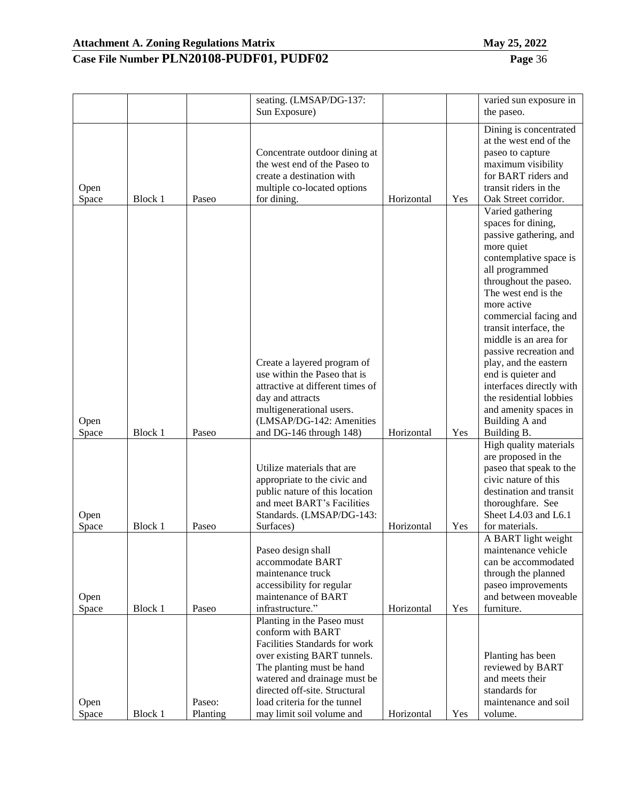| и<br>ı | $-404$ |
|--------|--------|
|        |        |

|       |         |          | seating. (LMSAP/DG-137:          |            |     | varied sun exposure in                       |
|-------|---------|----------|----------------------------------|------------|-----|----------------------------------------------|
|       |         |          | Sun Exposure)                    |            |     | the paseo.                                   |
|       |         |          |                                  |            |     | Dining is concentrated                       |
|       |         |          |                                  |            |     | at the west end of the                       |
|       |         |          | Concentrate outdoor dining at    |            |     | paseo to capture                             |
|       |         |          | the west end of the Paseo to     |            |     | maximum visibility                           |
|       |         |          | create a destination with        |            |     | for BART riders and                          |
|       |         |          |                                  |            |     | transit riders in the                        |
| Open  |         |          | multiple co-located options      |            |     | Oak Street corridor.                         |
| Space | Block 1 | Paseo    | for dining.                      | Horizontal | Yes |                                              |
|       |         |          |                                  |            |     | Varied gathering<br>spaces for dining,       |
|       |         |          |                                  |            |     | passive gathering, and                       |
|       |         |          |                                  |            |     |                                              |
|       |         |          |                                  |            |     | more quiet                                   |
|       |         |          |                                  |            |     | contemplative space is                       |
|       |         |          |                                  |            |     | all programmed                               |
|       |         |          |                                  |            |     | throughout the paseo.<br>The west end is the |
|       |         |          |                                  |            |     | more active                                  |
|       |         |          |                                  |            |     | commercial facing and                        |
|       |         |          |                                  |            |     | transit interface, the                       |
|       |         |          |                                  |            |     | middle is an area for                        |
|       |         |          |                                  |            |     | passive recreation and                       |
|       |         |          | Create a layered program of      |            |     | play, and the eastern                        |
|       |         |          | use within the Paseo that is     |            |     | end is quieter and                           |
|       |         |          | attractive at different times of |            |     | interfaces directly with                     |
|       |         |          | day and attracts                 |            |     | the residential lobbies                      |
|       |         |          | multigenerational users.         |            |     | and amenity spaces in                        |
| Open  |         |          | (LMSAP/DG-142: Amenities         |            |     | Building A and                               |
| Space | Block 1 | Paseo    | and DG-146 through 148)          | Horizontal | Yes | Building B.                                  |
|       |         |          |                                  |            |     | High quality materials                       |
|       |         |          |                                  |            |     | are proposed in the                          |
|       |         |          | Utilize materials that are       |            |     | paseo that speak to the                      |
|       |         |          | appropriate to the civic and     |            |     | civic nature of this                         |
|       |         |          | public nature of this location   |            |     | destination and transit                      |
|       |         |          | and meet BART's Facilities       |            |     | thoroughfare. See                            |
| Open  |         |          | Standards. (LMSAP/DG-143:        |            |     | Sheet L4.03 and L6.1                         |
| Space | Block 1 | Paseo    | Surfaces)                        | Horizontal | Yes | for materials.                               |
|       |         |          |                                  |            |     | A BART light weight                          |
|       |         |          | Paseo design shall               |            |     | maintenance vehicle                          |
|       |         |          | accommodate BART                 |            |     | can be accommodated                          |
|       |         |          | maintenance truck                |            |     | through the planned                          |
|       |         |          | accessibility for regular        |            |     | paseo improvements                           |
| Open  |         |          | maintenance of BART              |            |     | and between moveable                         |
| Space | Block 1 | Paseo    | infrastructure."                 | Horizontal | Yes | furniture.                                   |
|       |         |          | Planting in the Paseo must       |            |     |                                              |
|       |         |          | conform with BART                |            |     |                                              |
|       |         |          | Facilities Standards for work    |            |     |                                              |
|       |         |          | over existing BART tunnels.      |            |     | Planting has been                            |
|       |         |          | The planting must be hand        |            |     | reviewed by BART                             |
|       |         |          | watered and drainage must be     |            |     | and meets their                              |
|       |         |          | directed off-site. Structural    |            |     | standards for                                |
| Open  |         | Paseo:   | load criteria for the tunnel     |            |     | maintenance and soil                         |
| Space | Block 1 | Planting | may limit soil volume and        | Horizontal | Yes | volume.                                      |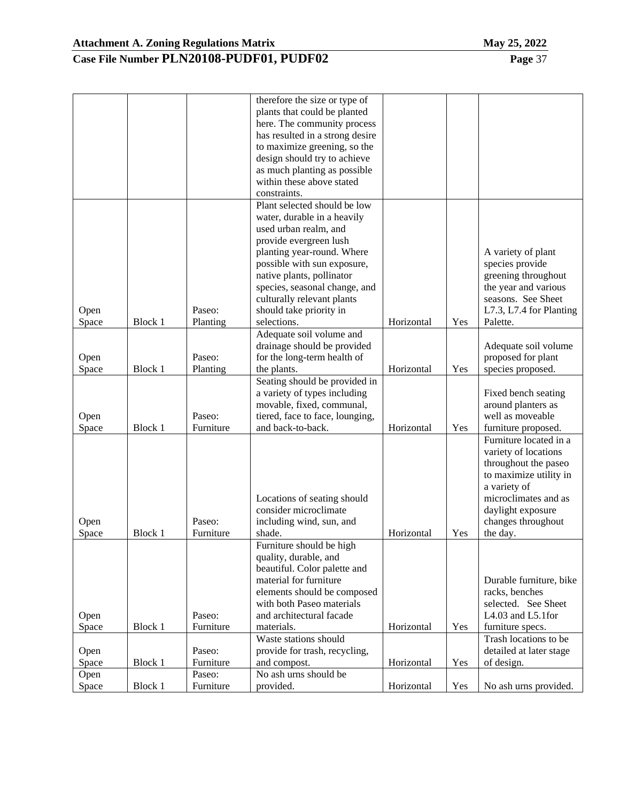|               |         |                     | therefore the size or type of<br>plants that could be planted<br>here. The community process<br>has resulted in a strong desire<br>to maximize greening, so the<br>design should try to achieve |            |     |                                           |
|---------------|---------|---------------------|-------------------------------------------------------------------------------------------------------------------------------------------------------------------------------------------------|------------|-----|-------------------------------------------|
|               |         |                     | as much planting as possible<br>within these above stated                                                                                                                                       |            |     |                                           |
|               |         |                     | constraints.                                                                                                                                                                                    |            |     |                                           |
|               |         |                     | Plant selected should be low                                                                                                                                                                    |            |     |                                           |
|               |         |                     | water, durable in a heavily<br>used urban realm, and                                                                                                                                            |            |     |                                           |
|               |         |                     | provide evergreen lush                                                                                                                                                                          |            |     |                                           |
|               |         |                     | planting year-round. Where                                                                                                                                                                      |            |     | A variety of plant                        |
|               |         |                     | possible with sun exposure,                                                                                                                                                                     |            |     | species provide                           |
|               |         |                     | native plants, pollinator                                                                                                                                                                       |            |     | greening throughout                       |
|               |         |                     | species, seasonal change, and                                                                                                                                                                   |            |     | the year and various                      |
|               |         |                     | culturally relevant plants                                                                                                                                                                      |            |     | seasons. See Sheet                        |
| Open          |         | Paseo:              | should take priority in                                                                                                                                                                         |            |     | L7.3, L7.4 for Planting                   |
| Space         | Block 1 | Planting            | selections.                                                                                                                                                                                     | Horizontal | Yes | Palette.                                  |
|               |         |                     | Adequate soil volume and                                                                                                                                                                        |            |     |                                           |
|               |         | Paseo:              | drainage should be provided                                                                                                                                                                     |            |     | Adequate soil volume                      |
| Open<br>Space | Block 1 | Planting            | for the long-term health of<br>the plants.                                                                                                                                                      | Horizontal | Yes | proposed for plant<br>species proposed.   |
|               |         |                     | Seating should be provided in                                                                                                                                                                   |            |     |                                           |
|               |         |                     | a variety of types including                                                                                                                                                                    |            |     | Fixed bench seating                       |
|               |         |                     | movable, fixed, communal,                                                                                                                                                                       |            |     | around planters as                        |
| Open<br>Space | Block 1 | Paseo:<br>Furniture | tiered, face to face, lounging,<br>and back-to-back.                                                                                                                                            | Horizontal | Yes | well as moveable<br>furniture proposed.   |
|               |         |                     |                                                                                                                                                                                                 |            |     | Furniture located in a                    |
|               |         |                     |                                                                                                                                                                                                 |            |     | variety of locations                      |
|               |         |                     |                                                                                                                                                                                                 |            |     | throughout the paseo                      |
|               |         |                     |                                                                                                                                                                                                 |            |     | to maximize utility in<br>a variety of    |
|               |         |                     | Locations of seating should                                                                                                                                                                     |            |     | microclimates and as                      |
|               |         |                     | consider microclimate                                                                                                                                                                           |            |     | daylight exposure                         |
| Open          |         | Paseo:              | including wind, sun, and                                                                                                                                                                        |            |     | changes throughout                        |
| Space         | Block 1 | Furniture           | shade.                                                                                                                                                                                          | Horizontal | Yes | the day.                                  |
|               |         |                     | Furniture should be high                                                                                                                                                                        |            |     |                                           |
|               |         |                     | quality, durable, and                                                                                                                                                                           |            |     |                                           |
|               |         |                     | beautiful. Color palette and                                                                                                                                                                    |            |     |                                           |
|               |         |                     | material for furniture                                                                                                                                                                          |            |     | Durable furniture, bike                   |
|               |         |                     | elements should be composed                                                                                                                                                                     |            |     | racks, benches                            |
|               |         |                     | with both Paseo materials                                                                                                                                                                       |            |     | selected. See Sheet                       |
| Open          |         | Paseo:              | and architectural facade                                                                                                                                                                        |            |     | L4.03 and L5.1for                         |
| Space         | Block 1 | Furniture           | materials.<br>Waste stations should                                                                                                                                                             | Horizontal | Yes | furniture specs.<br>Trash locations to be |
| Open          |         | Paseo:              | provide for trash, recycling,                                                                                                                                                                   |            |     | detailed at later stage                   |
| Space         | Block 1 | Furniture           | and compost.                                                                                                                                                                                    | Horizontal | Yes | of design.                                |
| Open          |         | Paseo:              | No ash urns should be                                                                                                                                                                           |            |     |                                           |
| Space         | Block 1 | Furniture           | provided.                                                                                                                                                                                       | Horizontal | Yes | No ash urns provided.                     |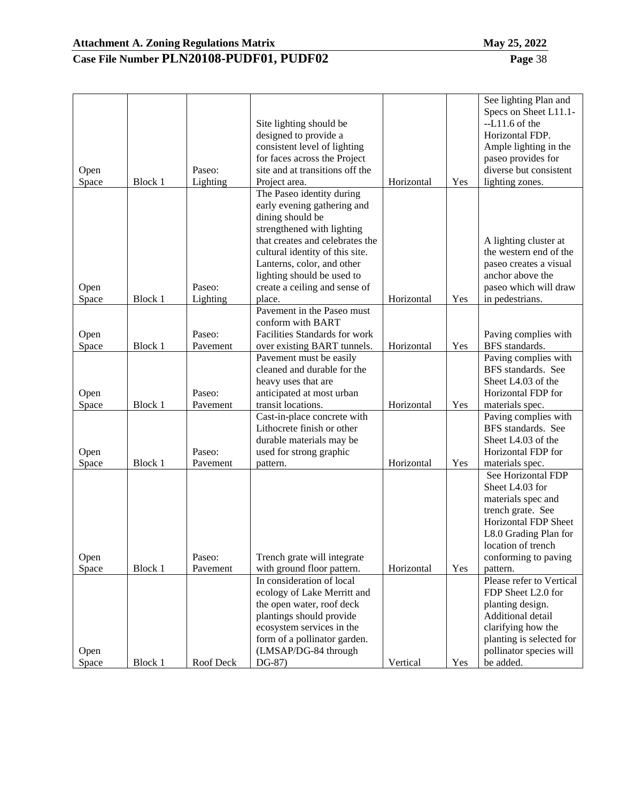| <u> המח</u> |  |
|-------------|--|

|       |         |           |                                         |            |     | See lighting Plan and    |
|-------|---------|-----------|-----------------------------------------|------------|-----|--------------------------|
|       |         |           |                                         |            |     | Specs on Sheet L11.1-    |
|       |         |           | Site lighting should be                 |            |     | $-L11.6$ of the          |
|       |         |           | designed to provide a                   |            |     | Horizontal FDP.          |
|       |         |           | consistent level of lighting            |            |     | Ample lighting in the    |
|       |         |           | for faces across the Project            |            |     | paseo provides for       |
| Open  |         | Paseo:    | site and at transitions off the         |            |     | diverse but consistent   |
| Space | Block 1 | Lighting  | Project area.                           | Horizontal | Yes | lighting zones.          |
|       |         |           | The Paseo identity during               |            |     |                          |
|       |         |           | early evening gathering and             |            |     |                          |
|       |         |           | dining should be                        |            |     |                          |
|       |         |           | strengthened with lighting              |            |     |                          |
|       |         |           | that creates and celebrates the         |            |     | A lighting cluster at    |
|       |         |           | cultural identity of this site.         |            |     | the western end of the   |
|       |         |           | Lanterns, color, and other              |            |     | paseo creates a visual   |
|       |         |           | lighting should be used to              |            |     | anchor above the         |
|       |         | Paseo:    |                                         |            |     | paseo which will draw    |
| Open  |         | Lighting  | create a ceiling and sense of<br>place. |            |     |                          |
| Space | Block 1 |           |                                         | Horizontal | Yes | in pedestrians.          |
|       |         |           | Pavement in the Paseo must              |            |     |                          |
|       |         |           | conform with BART                       |            |     |                          |
| Open  |         | Paseo:    | Facilities Standards for work           |            |     | Paving complies with     |
| Space | Block 1 | Pavement  | over existing BART tunnels.             | Horizontal | Yes | BFS standards.           |
|       |         |           | Pavement must be easily                 |            |     | Paving complies with     |
|       |         |           | cleaned and durable for the             |            |     | BFS standards. See       |
|       |         |           | heavy uses that are                     |            |     | Sheet L4.03 of the       |
| Open  |         | Paseo:    | anticipated at most urban               |            |     | Horizontal FDP for       |
| Space | Block 1 | Pavement  | transit locations.                      | Horizontal | Yes | materials spec.          |
|       |         |           | Cast-in-place concrete with             |            |     | Paving complies with     |
|       |         |           | Lithocrete finish or other              |            |     | BFS standards. See       |
|       |         |           | durable materials may be                |            |     | Sheet L4.03 of the       |
| Open  |         | Paseo:    | used for strong graphic                 |            |     | Horizontal FDP for       |
| Space | Block 1 | Pavement  | pattern.                                | Horizontal | Yes | materials spec.          |
|       |         |           |                                         |            |     | See Horizontal FDP       |
|       |         |           |                                         |            |     | Sheet L4.03 for          |
|       |         |           |                                         |            |     | materials spec and       |
|       |         |           |                                         |            |     | trench grate. See        |
|       |         |           |                                         |            |     | Horizontal FDP Sheet     |
|       |         |           |                                         |            |     | L8.0 Grading Plan for    |
|       |         |           |                                         |            |     | location of trench       |
| Open  |         | Paseo:    | Trench grate will integrate             |            |     | conforming to paving     |
| Space | Block 1 | Pavement  | with ground floor pattern.              | Horizontal | Yes | pattern.                 |
|       |         |           | In consideration of local               |            |     | Please refer to Vertical |
|       |         |           | ecology of Lake Merritt and             |            |     | FDP Sheet L2.0 for       |
|       |         |           | the open water, roof deck               |            |     | planting design.         |
|       |         |           | plantings should provide                |            |     | Additional detail        |
|       |         |           | ecosystem services in the               |            |     | clarifying how the       |
|       |         |           | form of a pollinator garden.            |            |     | planting is selected for |
| Open  |         |           | (LMSAP/DG-84 through                    |            |     | pollinator species will  |
| Space | Block 1 | Roof Deck | DG-87)                                  | Vertical   | Yes | be added.                |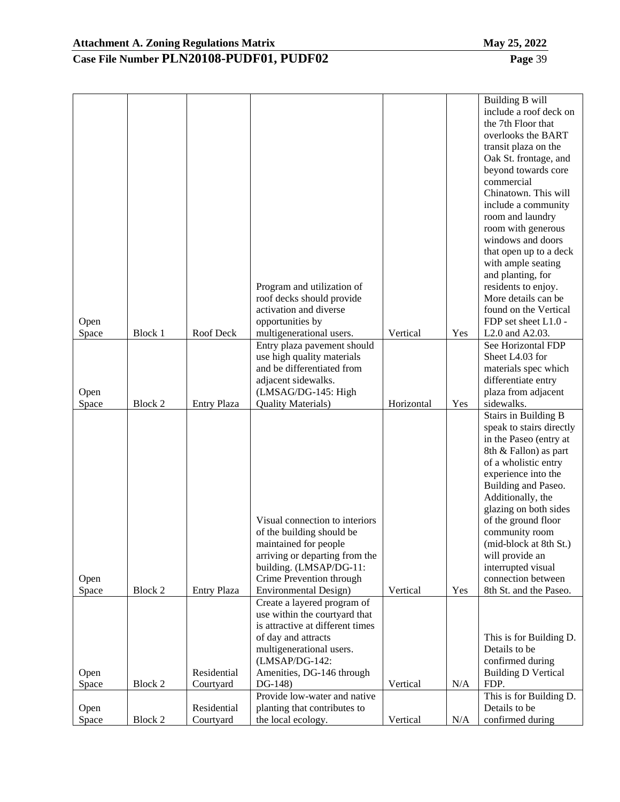|               |         |                    |                                                    |            |     | Building B will<br>include a roof deck on      |
|---------------|---------|--------------------|----------------------------------------------------|------------|-----|------------------------------------------------|
|               |         |                    |                                                    |            |     | the 7th Floor that                             |
|               |         |                    |                                                    |            |     | overlooks the BART                             |
|               |         |                    |                                                    |            |     | transit plaza on the                           |
|               |         |                    |                                                    |            |     | Oak St. frontage, and                          |
|               |         |                    |                                                    |            |     | beyond towards core                            |
|               |         |                    |                                                    |            |     | commercial                                     |
|               |         |                    |                                                    |            |     | Chinatown. This will                           |
|               |         |                    |                                                    |            |     | include a community                            |
|               |         |                    |                                                    |            |     | room and laundry<br>room with generous         |
|               |         |                    |                                                    |            |     | windows and doors                              |
|               |         |                    |                                                    |            |     | that open up to a deck                         |
|               |         |                    |                                                    |            |     | with ample seating                             |
|               |         |                    |                                                    |            |     | and planting, for                              |
|               |         |                    | Program and utilization of                         |            |     | residents to enjoy.                            |
|               |         |                    | roof decks should provide                          |            |     | More details can be                            |
|               |         |                    | activation and diverse                             |            |     | found on the Vertical                          |
| Open          |         |                    | opportunities by                                   |            |     | FDP set sheet L1.0 -                           |
| Space         | Block 1 | Roof Deck          | multigenerational users.                           | Vertical   | Yes | L <sub>2.0</sub> and A <sub>2.03</sub> .       |
|               |         |                    | Entry plaza pavement should                        |            |     | See Horizontal FDP                             |
|               |         |                    | use high quality materials                         |            |     | Sheet L4.03 for                                |
|               |         |                    | and be differentiated from                         |            |     | materials spec which                           |
|               |         |                    | adjacent sidewalks.                                |            |     | differentiate entry<br>plaza from adjacent     |
| Open<br>Space | Block 2 | <b>Entry Plaza</b> | (LMSAG/DG-145: High<br><b>Quality Materials)</b>   | Horizontal | Yes | sidewalks.                                     |
|               |         |                    |                                                    |            |     | <b>Stairs in Building B</b>                    |
|               |         |                    |                                                    |            |     | speak to stairs directly                       |
|               |         |                    |                                                    |            |     | in the Paseo (entry at                         |
|               |         |                    |                                                    |            |     | 8th & Fallon) as part                          |
|               |         |                    |                                                    |            |     | of a wholistic entry                           |
|               |         |                    |                                                    |            |     | experience into the                            |
|               |         |                    |                                                    |            |     | Building and Paseo.                            |
|               |         |                    |                                                    |            |     | Additionally, the                              |
|               |         |                    |                                                    |            |     | glazing on both sides                          |
|               |         |                    | Visual connection to interiors                     |            |     | of the ground floor                            |
|               |         |                    | of the building should be<br>maintained for people |            |     | community room<br>(mid-block at 8th St.)       |
|               |         |                    | arriving or departing from the                     |            |     | will provide an                                |
|               |         |                    | building. (LMSAP/DG-11:                            |            |     | interrupted visual                             |
| Open          |         |                    | Crime Prevention through                           |            |     | connection between                             |
| Space         | Block 2 | <b>Entry Plaza</b> | <b>Environmental Design)</b>                       | Vertical   | Yes | 8th St. and the Paseo.                         |
|               |         |                    | Create a layered program of                        |            |     |                                                |
|               |         |                    | use within the courtyard that                      |            |     |                                                |
|               |         |                    | is attractive at different times                   |            |     |                                                |
|               |         |                    | of day and attracts                                |            |     | This is for Building D.                        |
|               |         |                    | multigenerational users.                           |            |     | Details to be                                  |
| Open          |         | Residential        | (LMSAP/DG-142:<br>Amenities, DG-146 through        |            |     | confirmed during<br><b>Building D Vertical</b> |
| Space         | Block 2 | Courtyard          | DG-148)                                            | Vertical   | N/A | FDP.                                           |
|               |         |                    | Provide low-water and native                       |            |     | This is for Building D.                        |
| Open          |         | Residential        | planting that contributes to                       |            |     | Details to be                                  |
| Space         | Block 2 | Courtyard          | the local ecology.                                 | Vertical   | N/A | confirmed during                               |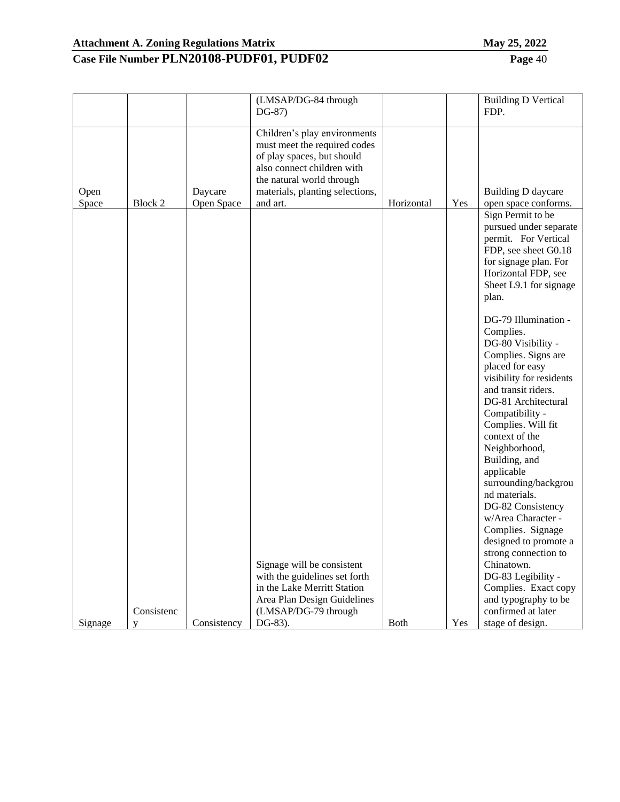| п | 40A |
|---|-----|
|   | -   |

| Children's play environments<br>must meet the required codes<br>of play spaces, but should<br>also connect children with<br>the natural world through<br>materials, planting selections,<br>Daycare<br>Building D daycare<br>Open<br>Block 2<br>Open Space<br>and art.<br>Horizontal<br>Yes<br>open space conforms.<br>Space<br>Sign Permit to be<br>permit. For Vertical<br>FDP, see sheet G0.18<br>for signage plan. For<br>Horizontal FDP, see<br>Sheet L9.1 for signage<br>plan.<br>DG-79 Illumination -<br>Complies.<br>DG-80 Visibility -<br>Complies. Signs are<br>placed for easy<br>visibility for residents<br>and transit riders.<br>DG-81 Architectural<br>Compatibility -<br>Complies. Will fit<br>context of the<br>Neighborhood,<br>Building, and<br>applicable<br>surrounding/backgrou<br>nd materials.<br>DG-82 Consistency<br>w/Area Character -<br>Complies. Signage<br>designed to promote a<br>strong connection to<br>Signage will be consistent<br>Chinatown.<br>with the guidelines set forth<br>DG-83 Legibility -<br>in the Lake Merritt Station<br>Complies. Exact copy<br>and typography to be<br>Area Plan Design Guidelines<br>Consistenc<br>confirmed at later<br>(LMSAP/DG-79 through |         |             | (LMSAP/DG-84 through<br>DG-87) |      |     | <b>Building D Vertical</b><br>FDP.         |
|-----------------------------------------------------------------------------------------------------------------------------------------------------------------------------------------------------------------------------------------------------------------------------------------------------------------------------------------------------------------------------------------------------------------------------------------------------------------------------------------------------------------------------------------------------------------------------------------------------------------------------------------------------------------------------------------------------------------------------------------------------------------------------------------------------------------------------------------------------------------------------------------------------------------------------------------------------------------------------------------------------------------------------------------------------------------------------------------------------------------------------------------------------------------------------------------------------------------------|---------|-------------|--------------------------------|------|-----|--------------------------------------------|
|                                                                                                                                                                                                                                                                                                                                                                                                                                                                                                                                                                                                                                                                                                                                                                                                                                                                                                                                                                                                                                                                                                                                                                                                                       |         |             |                                |      |     |                                            |
| V                                                                                                                                                                                                                                                                                                                                                                                                                                                                                                                                                                                                                                                                                                                                                                                                                                                                                                                                                                                                                                                                                                                                                                                                                     | Signage | Consistency | DG-83).                        | Both | Yes | pursued under separate<br>stage of design. |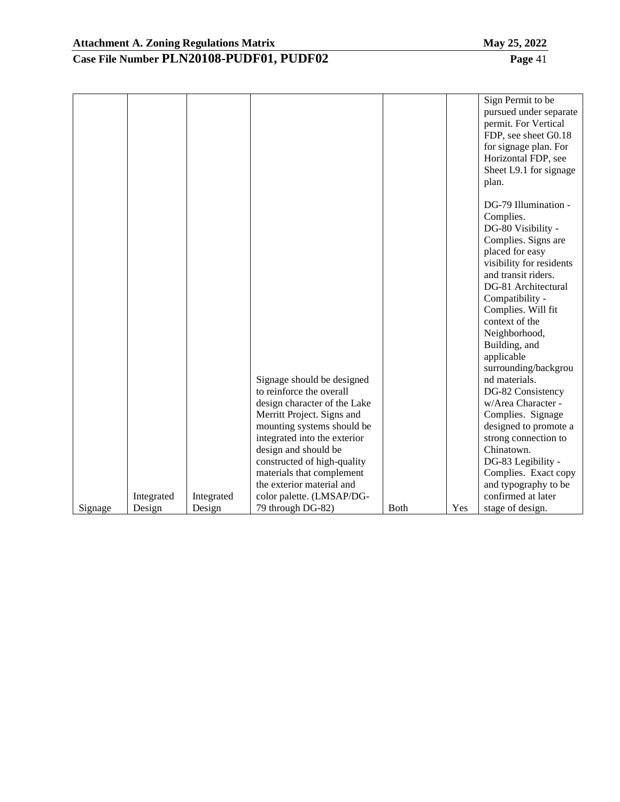|         |            |            |                                                                                                                                                                                                                                                                                                     |              |     | Sign Permit to be<br>pursued under separate<br>permit. For Vertical<br>FDP, see sheet G0.18<br>for signage plan. For<br>Horizontal FDP, see<br>Sheet L9.1 for signage<br>plan.                                                                                                                                                                                                                                                                                                                                                       |
|---------|------------|------------|-----------------------------------------------------------------------------------------------------------------------------------------------------------------------------------------------------------------------------------------------------------------------------------------------------|--------------|-----|--------------------------------------------------------------------------------------------------------------------------------------------------------------------------------------------------------------------------------------------------------------------------------------------------------------------------------------------------------------------------------------------------------------------------------------------------------------------------------------------------------------------------------------|
|         |            |            | Signage should be designed<br>to reinforce the overall<br>design character of the Lake<br>Merritt Project. Signs and<br>mounting systems should be<br>integrated into the exterior<br>design and should be<br>constructed of high-quality<br>materials that complement<br>the exterior material and |              |     | DG-79 Illumination -<br>Complies.<br>DG-80 Visibility -<br>Complies. Signs are<br>placed for easy<br>visibility for residents<br>and transit riders.<br>DG-81 Architectural<br>Compatibility -<br>Complies. Will fit<br>context of the<br>Neighborhood,<br>Building, and<br>applicable<br>surrounding/backgrou<br>nd materials.<br>DG-82 Consistency<br>w/Area Character -<br>Complies. Signage<br>designed to promote a<br>strong connection to<br>Chinatown.<br>DG-83 Legibility -<br>Complies. Exact copy<br>and typography to be |
|         | Integrated | Integrated | color palette. (LMSAP/DG-                                                                                                                                                                                                                                                                           |              |     | confirmed at later                                                                                                                                                                                                                                                                                                                                                                                                                                                                                                                   |
| Signage | Design     | Design     | 79 through DG-82)                                                                                                                                                                                                                                                                                   | <b>B</b> oth | Yes | stage of design.                                                                                                                                                                                                                                                                                                                                                                                                                                                                                                                     |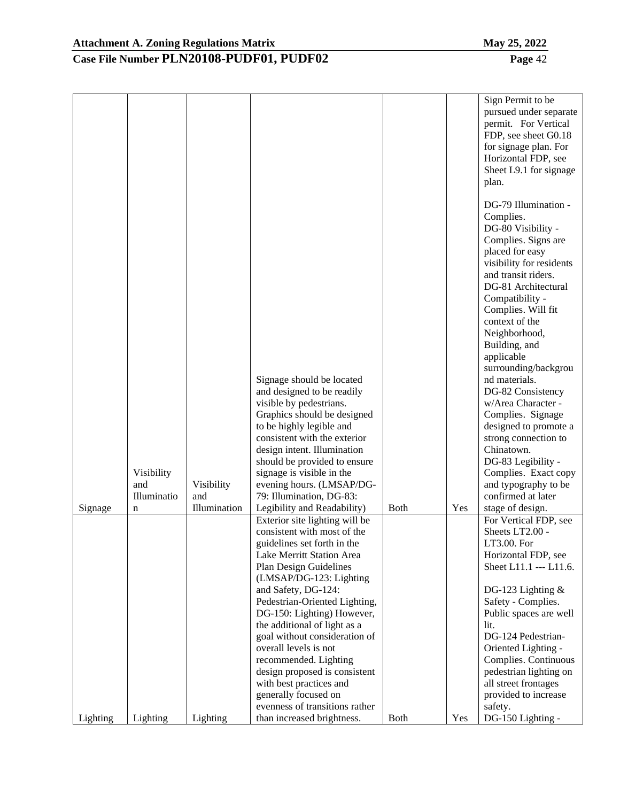|          |             |              |                                                               |              |     | Sign Permit to be<br>pursued under separate<br>permit. For Vertical<br>FDP, see sheet G0.18<br>for signage plan. For<br>Horizontal FDP, see<br>Sheet L9.1 for signage<br>plan.<br>DG-79 Illumination -<br>Complies. |
|----------|-------------|--------------|---------------------------------------------------------------|--------------|-----|---------------------------------------------------------------------------------------------------------------------------------------------------------------------------------------------------------------------|
|          |             |              |                                                               |              |     | DG-80 Visibility -<br>Complies. Signs are<br>placed for easy<br>visibility for residents<br>and transit riders.<br>DG-81 Architectural<br>Compatibility -<br>Complies. Will fit<br>context of the                   |
|          |             |              |                                                               |              |     | Neighborhood,<br>Building, and                                                                                                                                                                                      |
|          |             |              |                                                               |              |     | applicable<br>surrounding/backgrou                                                                                                                                                                                  |
|          |             |              | Signage should be located                                     |              |     | nd materials.                                                                                                                                                                                                       |
|          |             |              | and designed to be readily                                    |              |     | DG-82 Consistency                                                                                                                                                                                                   |
|          |             |              | visible by pedestrians.<br>Graphics should be designed        |              |     | w/Area Character -<br>Complies. Signage                                                                                                                                                                             |
|          |             |              | to be highly legible and                                      |              |     | designed to promote a                                                                                                                                                                                               |
|          |             |              | consistent with the exterior                                  |              |     | strong connection to                                                                                                                                                                                                |
|          |             |              | design intent. Illumination                                   |              |     | Chinatown.                                                                                                                                                                                                          |
|          |             |              | should be provided to ensure                                  |              |     | DG-83 Legibility -                                                                                                                                                                                                  |
|          | Visibility  |              | signage is visible in the                                     |              |     | Complies. Exact copy                                                                                                                                                                                                |
|          | and         | Visibility   | evening hours. (LMSAP/DG-                                     |              |     | and typography to be                                                                                                                                                                                                |
|          | Illuminatio | and          | 79: Illumination, DG-83:                                      |              |     | confirmed at later                                                                                                                                                                                                  |
| Signage  | n           | Illumination | Legibility and Readability)                                   | <b>B</b> oth | Yes | stage of design.                                                                                                                                                                                                    |
|          |             |              | Exterior site lighting will be<br>consistent with most of the |              |     | For Vertical FDP, see<br>Sheets LT2.00 -                                                                                                                                                                            |
|          |             |              | guidelines set forth in the                                   |              |     | LT3.00. For                                                                                                                                                                                                         |
|          |             |              | Lake Merritt Station Area                                     |              |     | Horizontal FDP, see                                                                                                                                                                                                 |
|          |             |              | Plan Design Guidelines                                        |              |     | Sheet L11.1 --- L11.6.                                                                                                                                                                                              |
|          |             |              | (LMSAP/DG-123: Lighting                                       |              |     |                                                                                                                                                                                                                     |
|          |             |              | and Safety, DG-124:                                           |              |     | DG-123 Lighting $&$                                                                                                                                                                                                 |
|          |             |              | Pedestrian-Oriented Lighting,                                 |              |     | Safety - Complies.                                                                                                                                                                                                  |
|          |             |              | DG-150: Lighting) However,                                    |              |     | Public spaces are well<br>lit.                                                                                                                                                                                      |
|          |             |              | the additional of light as a<br>goal without consideration of |              |     | DG-124 Pedestrian-                                                                                                                                                                                                  |
|          |             |              | overall levels is not                                         |              |     | Oriented Lighting -                                                                                                                                                                                                 |
|          |             |              | recommended. Lighting                                         |              |     | Complies. Continuous                                                                                                                                                                                                |
|          |             |              | design proposed is consistent                                 |              |     | pedestrian lighting on                                                                                                                                                                                              |
|          |             |              | with best practices and                                       |              |     | all street frontages                                                                                                                                                                                                |
|          |             |              | generally focused on                                          |              |     | provided to increase                                                                                                                                                                                                |
|          |             |              | evenness of transitions rather                                |              |     | safety.                                                                                                                                                                                                             |
| Lighting | Lighting    | Lighting     | than increased brightness.                                    | <b>Both</b>  | Yes | DG-150 Lighting -                                                                                                                                                                                                   |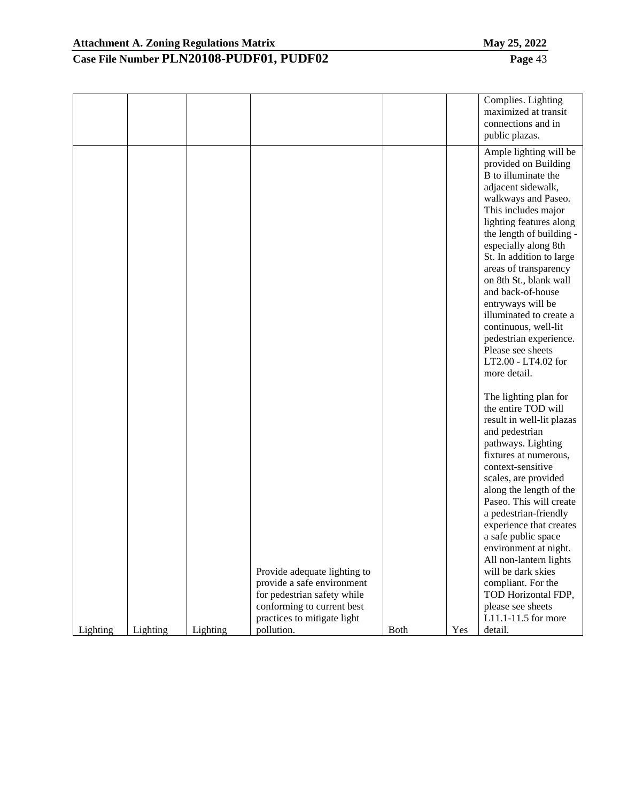|                                                |                                                                                                                                                        |      |     | public plazas.<br>Ample lighting will be<br>provided on Building<br>B to illuminate the<br>adjacent sidewalk,                                                                                                                                                                                                                                                                                                                                                                                         |
|------------------------------------------------|--------------------------------------------------------------------------------------------------------------------------------------------------------|------|-----|-------------------------------------------------------------------------------------------------------------------------------------------------------------------------------------------------------------------------------------------------------------------------------------------------------------------------------------------------------------------------------------------------------------------------------------------------------------------------------------------------------|
|                                                |                                                                                                                                                        |      |     | walkways and Paseo.<br>This includes major<br>lighting features along<br>the length of building -<br>especially along 8th<br>St. In addition to large<br>areas of transparency<br>on 8th St., blank wall<br>and back-of-house<br>entryways will be<br>illuminated to create a<br>continuous, well-lit<br>pedestrian experience.<br>Please see sheets<br>LT2.00 - LT4.02 for<br>more detail.                                                                                                           |
| Lighting<br>pollution.<br>Lighting<br>Lighting | Provide adequate lighting to<br>provide a safe environment<br>for pedestrian safety while<br>conforming to current best<br>practices to mitigate light | Both | Yes | The lighting plan for<br>the entire TOD will<br>result in well-lit plazas<br>and pedestrian<br>pathways. Lighting<br>fixtures at numerous,<br>context-sensitive<br>scales, are provided<br>along the length of the<br>Paseo. This will create<br>a pedestrian-friendly<br>experience that creates<br>a safe public space<br>environment at night.<br>All non-lantern lights<br>will be dark skies<br>compliant. For the<br>TOD Horizontal FDP,<br>please see sheets<br>L11.1-11.5 for more<br>detail. |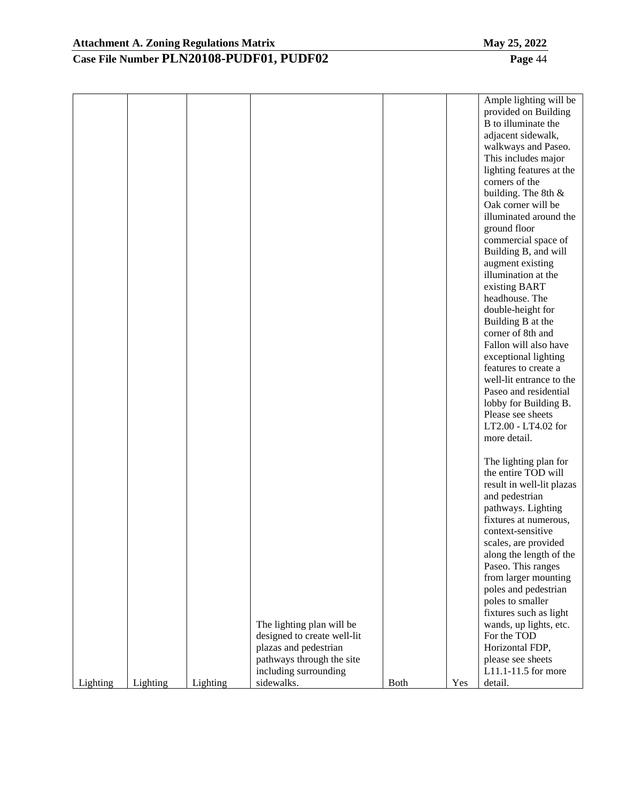|          |          |          |                             |             |     | Ample lighting will be    |
|----------|----------|----------|-----------------------------|-------------|-----|---------------------------|
|          |          |          |                             |             |     | provided on Building      |
|          |          |          |                             |             |     | B to illuminate the       |
|          |          |          |                             |             |     | adjacent sidewalk,        |
|          |          |          |                             |             |     | walkways and Paseo.       |
|          |          |          |                             |             |     | This includes major       |
|          |          |          |                             |             |     | lighting features at the  |
|          |          |          |                             |             |     | corners of the            |
|          |          |          |                             |             |     | building. The 8th &       |
|          |          |          |                             |             |     | Oak corner will be        |
|          |          |          |                             |             |     | illuminated around the    |
|          |          |          |                             |             |     | ground floor              |
|          |          |          |                             |             |     | commercial space of       |
|          |          |          |                             |             |     | Building B, and will      |
|          |          |          |                             |             |     | augment existing          |
|          |          |          |                             |             |     |                           |
|          |          |          |                             |             |     | illumination at the       |
|          |          |          |                             |             |     | existing BART             |
|          |          |          |                             |             |     | headhouse. The            |
|          |          |          |                             |             |     | double-height for         |
|          |          |          |                             |             |     | Building B at the         |
|          |          |          |                             |             |     | corner of 8th and         |
|          |          |          |                             |             |     | Fallon will also have     |
|          |          |          |                             |             |     | exceptional lighting      |
|          |          |          |                             |             |     | features to create a      |
|          |          |          |                             |             |     | well-lit entrance to the  |
|          |          |          |                             |             |     | Paseo and residential     |
|          |          |          |                             |             |     | lobby for Building B.     |
|          |          |          |                             |             |     | Please see sheets         |
|          |          |          |                             |             |     | LT2.00 - LT4.02 for       |
|          |          |          |                             |             |     | more detail.              |
|          |          |          |                             |             |     | The lighting plan for     |
|          |          |          |                             |             |     | the entire TOD will       |
|          |          |          |                             |             |     | result in well-lit plazas |
|          |          |          |                             |             |     | and pedestrian            |
|          |          |          |                             |             |     | pathways. Lighting        |
|          |          |          |                             |             |     | fixtures at numerous,     |
|          |          |          |                             |             |     | context-sensitive         |
|          |          |          |                             |             |     | scales, are provided      |
|          |          |          |                             |             |     | along the length of the   |
|          |          |          |                             |             |     | Paseo. This ranges        |
|          |          |          |                             |             |     | from larger mounting      |
|          |          |          |                             |             |     | poles and pedestrian      |
|          |          |          |                             |             |     | poles to smaller          |
|          |          |          |                             |             |     | fixtures such as light    |
|          |          |          | The lighting plan will be   |             |     | wands, up lights, etc.    |
|          |          |          | designed to create well-lit |             |     | For the TOD               |
|          |          |          | plazas and pedestrian       |             |     | Horizontal FDP,           |
|          |          |          | pathways through the site   |             |     | please see sheets         |
|          |          |          | including surrounding       |             |     | L11.1-11.5 for more       |
| Lighting | Lighting | Lighting | sidewalks.                  | <b>Both</b> | Yes | detail.                   |
|          |          |          |                             |             |     |                           |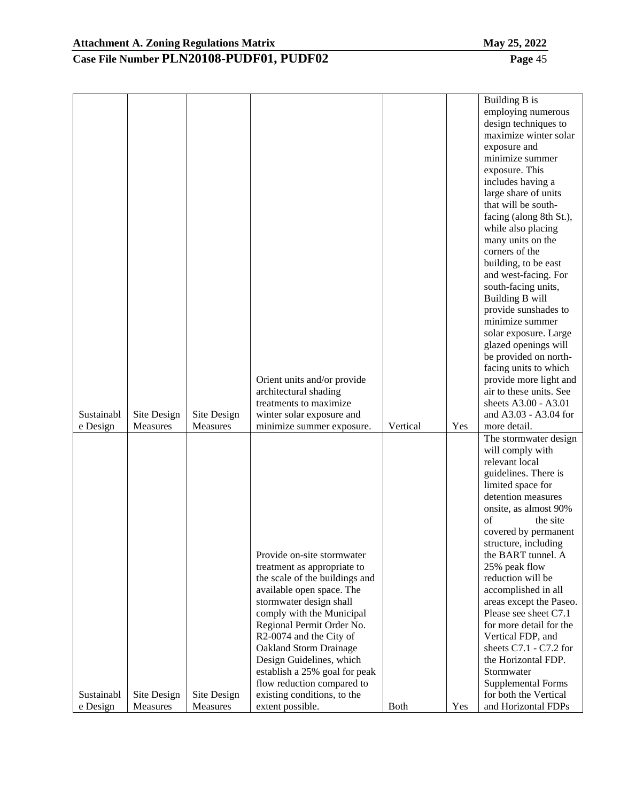|                        |                         |                         |                                                 |             |     | Building B is                                |
|------------------------|-------------------------|-------------------------|-------------------------------------------------|-------------|-----|----------------------------------------------|
|                        |                         |                         |                                                 |             |     | employing numerous                           |
|                        |                         |                         |                                                 |             |     | design techniques to                         |
|                        |                         |                         |                                                 |             |     | maximize winter solar                        |
|                        |                         |                         |                                                 |             |     | exposure and                                 |
|                        |                         |                         |                                                 |             |     | minimize summer                              |
|                        |                         |                         |                                                 |             |     | exposure. This                               |
|                        |                         |                         |                                                 |             |     | includes having a                            |
|                        |                         |                         |                                                 |             |     | large share of units                         |
|                        |                         |                         |                                                 |             |     | that will be south-                          |
|                        |                         |                         |                                                 |             |     | facing (along 8th St.),                      |
|                        |                         |                         |                                                 |             |     | while also placing                           |
|                        |                         |                         |                                                 |             |     | many units on the                            |
|                        |                         |                         |                                                 |             |     | corners of the                               |
|                        |                         |                         |                                                 |             |     | building, to be east                         |
|                        |                         |                         |                                                 |             |     | and west-facing. For                         |
|                        |                         |                         |                                                 |             |     | south-facing units,                          |
|                        |                         |                         |                                                 |             |     | Building B will                              |
|                        |                         |                         |                                                 |             |     | provide sunshades to                         |
|                        |                         |                         |                                                 |             |     | minimize summer                              |
|                        |                         |                         |                                                 |             |     | solar exposure. Large                        |
|                        |                         |                         |                                                 |             |     | glazed openings will                         |
|                        |                         |                         |                                                 |             |     | be provided on north-                        |
|                        |                         |                         |                                                 |             |     | facing units to which                        |
|                        |                         |                         | Orient units and/or provide                     |             |     | provide more light and                       |
|                        |                         |                         | architectural shading                           |             |     | air to these units. See                      |
|                        |                         |                         | treatments to maximize                          |             |     | sheets A3.00 - A3.01                         |
| Sustainabl             | Site Design             | Site Design             | winter solar exposure and                       |             |     | and A3.03 - A3.04 for                        |
| e Design               | Measures                | Measures                | minimize summer exposure.                       | Vertical    | Yes | more detail.                                 |
|                        |                         |                         |                                                 |             |     | The stormwater design                        |
|                        |                         |                         |                                                 |             |     | will comply with                             |
|                        |                         |                         |                                                 |             |     | relevant local                               |
|                        |                         |                         |                                                 |             |     | guidelines. There is                         |
|                        |                         |                         |                                                 |             |     | limited space for                            |
|                        |                         |                         |                                                 |             |     | detention measures                           |
|                        |                         |                         |                                                 |             |     | onsite, as almost 90%                        |
|                        |                         |                         |                                                 |             |     |                                              |
|                        |                         |                         |                                                 |             |     | of<br>the site                               |
|                        |                         |                         |                                                 |             |     | covered by permanent                         |
|                        |                         |                         |                                                 |             |     | structure, including                         |
|                        |                         |                         | Provide on-site stormwater                      |             |     | the BART tunnel. A                           |
|                        |                         |                         | treatment as appropriate to                     |             |     | 25% peak flow                                |
|                        |                         |                         | the scale of the buildings and                  |             |     | reduction will be                            |
|                        |                         |                         | available open space. The                       |             |     | accomplished in all                          |
|                        |                         |                         | stormwater design shall                         |             |     | areas except the Paseo.                      |
|                        |                         |                         | comply with the Municipal                       |             |     | Please see sheet C7.1                        |
|                        |                         |                         | Regional Permit Order No.                       |             |     | for more detail for the                      |
|                        |                         |                         | R2-0074 and the City of                         |             |     | Vertical FDP, and                            |
|                        |                         |                         | <b>Oakland Storm Drainage</b>                   |             |     | sheets $C7.1 - C7.2$ for                     |
|                        |                         |                         | Design Guidelines, which                        |             |     | the Horizontal FDP.                          |
|                        |                         |                         | establish a 25% goal for peak                   |             |     | Stormwater                                   |
|                        |                         |                         | flow reduction compared to                      |             |     | <b>Supplemental Forms</b>                    |
| Sustainabl<br>e Design | Site Design<br>Measures | Site Design<br>Measures | existing conditions, to the<br>extent possible. | <b>Both</b> | Yes | for both the Vertical<br>and Horizontal FDPs |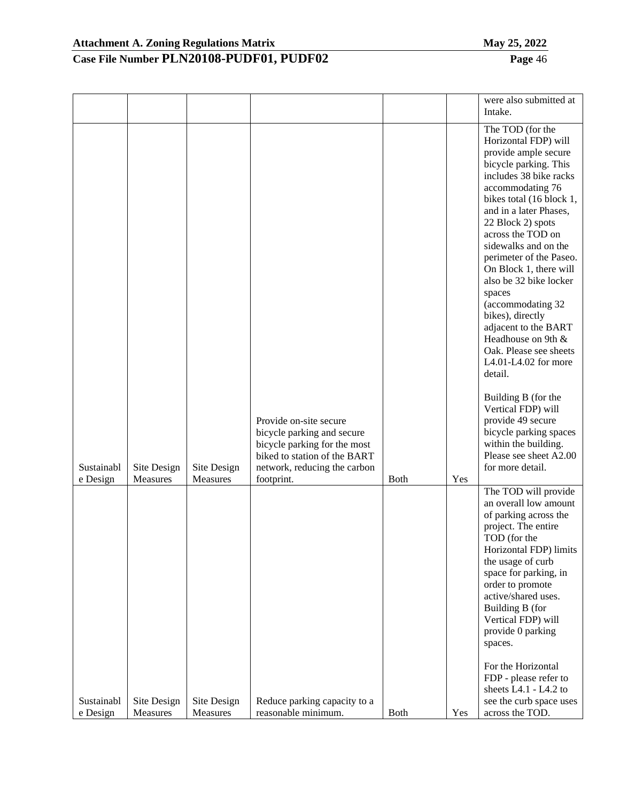|                        |                         |                         |                                                                                                                                                                    |             |     | were also submitted at<br>Intake.                                                                                                                                                                                                                                                                                                                                                                                                                                                                                                                                                                                                                                               |
|------------------------|-------------------------|-------------------------|--------------------------------------------------------------------------------------------------------------------------------------------------------------------|-------------|-----|---------------------------------------------------------------------------------------------------------------------------------------------------------------------------------------------------------------------------------------------------------------------------------------------------------------------------------------------------------------------------------------------------------------------------------------------------------------------------------------------------------------------------------------------------------------------------------------------------------------------------------------------------------------------------------|
| Sustainabl<br>e Design | Site Design<br>Measures | Site Design<br>Measures | Provide on-site secure<br>bicycle parking and secure<br>bicycle parking for the most<br>biked to station of the BART<br>network, reducing the carbon<br>footprint. | <b>Both</b> | Yes | The TOD (for the<br>Horizontal FDP) will<br>provide ample secure<br>bicycle parking. This<br>includes 38 bike racks<br>accommodating 76<br>bikes total (16 block 1,<br>and in a later Phases,<br>22 Block 2) spots<br>across the TOD on<br>sidewalks and on the<br>perimeter of the Paseo.<br>On Block 1, there will<br>also be 32 bike locker<br>spaces<br>(accommodating 32)<br>bikes), directly<br>adjacent to the BART<br>Headhouse on 9th &<br>Oak. Please see sheets<br>L4.01-L4.02 for more<br>detail.<br>Building B (for the<br>Vertical FDP) will<br>provide 49 secure<br>bicycle parking spaces<br>within the building.<br>Please see sheet A2.00<br>for more detail. |
|                        |                         |                         |                                                                                                                                                                    |             |     | The TOD will provide<br>an overall low amount<br>of parking across the<br>project. The entire<br>TOD (for the<br>Horizontal FDP) limits<br>the usage of curb<br>space for parking, in<br>order to promote<br>active/shared uses.<br>Building B (for<br>Vertical FDP) will<br>provide 0 parking<br>spaces.                                                                                                                                                                                                                                                                                                                                                                       |
| Sustainabl<br>e Design | Site Design<br>Measures | Site Design<br>Measures | Reduce parking capacity to a<br>reasonable minimum.                                                                                                                | <b>Both</b> | Yes | For the Horizontal<br>FDP - please refer to<br>sheets L4.1 - L4.2 to<br>see the curb space uses<br>across the TOD.                                                                                                                                                                                                                                                                                                                                                                                                                                                                                                                                                              |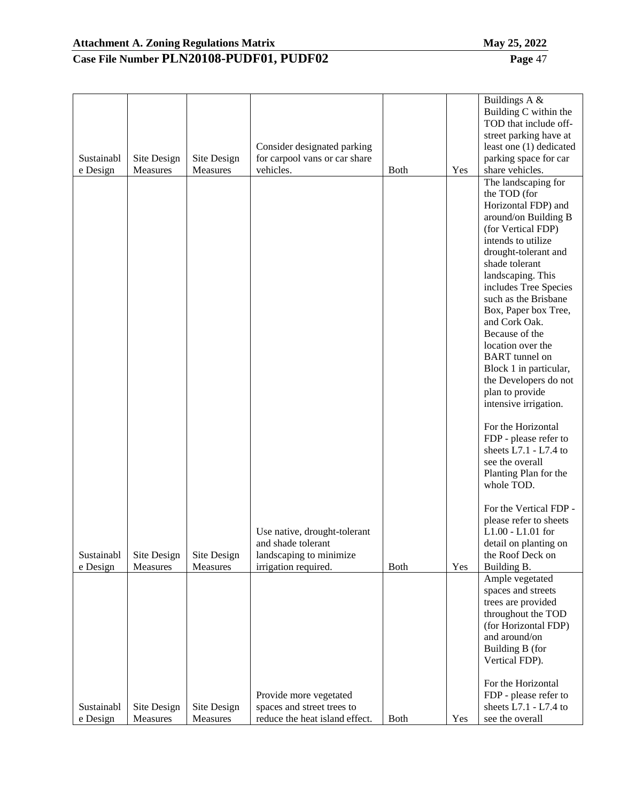# **Case File Number PLN20108-PUDF01, PUDF02 Page** 47

Buildings A &

| Sustainabl             | Site Design             | Site Design             | Consider designated parking<br>for carpool vans or car share                                          |              |     | Building C within the<br>TOD that include off-<br>street parking have at<br>least one (1) dedicated<br>parking space for car                                                                                                                                                                                                                                                                                                                                                                                                                                                                    |
|------------------------|-------------------------|-------------------------|-------------------------------------------------------------------------------------------------------|--------------|-----|-------------------------------------------------------------------------------------------------------------------------------------------------------------------------------------------------------------------------------------------------------------------------------------------------------------------------------------------------------------------------------------------------------------------------------------------------------------------------------------------------------------------------------------------------------------------------------------------------|
|                        | Measures                | Measures                |                                                                                                       | <b>B</b> oth |     |                                                                                                                                                                                                                                                                                                                                                                                                                                                                                                                                                                                                 |
| e Design               |                         |                         | vehicles.                                                                                             |              | Yes | share vehicles.<br>The landscaping for<br>the TOD (for<br>Horizontal FDP) and<br>around/on Building B<br>(for Vertical FDP)<br>intends to utilize<br>drought-tolerant and<br>shade tolerant<br>landscaping. This<br>includes Tree Species<br>such as the Brisbane<br>Box, Paper box Tree,<br>and Cork Oak.<br>Because of the<br>location over the<br><b>BART</b> tunnel on<br>Block 1 in particular,<br>the Developers do not<br>plan to provide<br>intensive irrigation.<br>For the Horizontal<br>FDP - please refer to<br>sheets $L7.1 - L7.4$ to<br>see the overall<br>Planting Plan for the |
| Sustainabl<br>e Design | Site Design<br>Measures | Site Design<br>Measures | Use native, drought-tolerant<br>and shade tolerant<br>landscaping to minimize<br>irrigation required. | <b>Both</b>  | Yes | whole TOD.<br>For the Vertical FDP -<br>please refer to sheets<br>L1.00 - L1.01 for<br>detail on planting on<br>the Roof Deck on<br>Building B.                                                                                                                                                                                                                                                                                                                                                                                                                                                 |
|                        |                         |                         |                                                                                                       |              |     | Ample vegetated<br>spaces and streets<br>trees are provided<br>throughout the TOD<br>(for Horizontal FDP)<br>and around/on<br>Building B (for<br>Vertical FDP).<br>For the Horizontal                                                                                                                                                                                                                                                                                                                                                                                                           |
| Sustainabl             | Site Design             | Site Design             | Provide more vegetated<br>spaces and street trees to                                                  |              |     | FDP - please refer to<br>sheets $L7.1 - L7.4$ to                                                                                                                                                                                                                                                                                                                                                                                                                                                                                                                                                |
| e Design               | Measures                | Measures                | reduce the heat island effect.                                                                        | Both         | Yes | see the overall                                                                                                                                                                                                                                                                                                                                                                                                                                                                                                                                                                                 |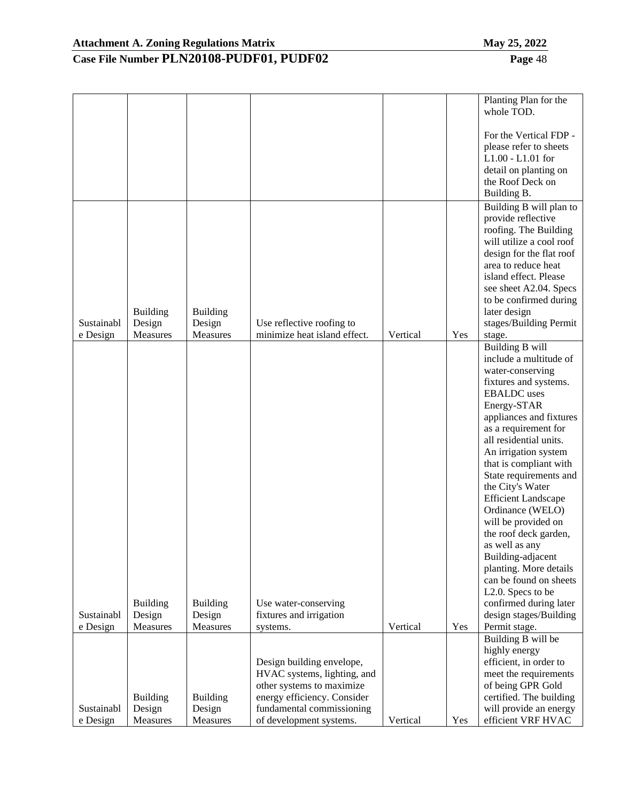|                        |                                       |                                       |                                                           |          |     | Planting Plan for the<br>whole TOD.                                                                                                                                                                                                                                                    |
|------------------------|---------------------------------------|---------------------------------------|-----------------------------------------------------------|----------|-----|----------------------------------------------------------------------------------------------------------------------------------------------------------------------------------------------------------------------------------------------------------------------------------------|
|                        |                                       |                                       |                                                           |          |     | For the Vertical FDP -<br>please refer to sheets<br>$L1.00 - L1.01$ for<br>detail on planting on<br>the Roof Deck on<br>Building B.                                                                                                                                                    |
| Sustainabl<br>e Design | <b>Building</b><br>Design<br>Measures | <b>Building</b><br>Design<br>Measures | Use reflective roofing to<br>minimize heat island effect. | Vertical | Yes | Building B will plan to<br>provide reflective<br>roofing. The Building<br>will utilize a cool roof<br>design for the flat roof<br>area to reduce heat<br>island effect. Please<br>see sheet A2.04. Specs<br>to be confirmed during<br>later design<br>stages/Building Permit<br>stage. |
|                        |                                       |                                       |                                                           |          |     | <b>Building B will</b><br>include a multitude of<br>water-conserving                                                                                                                                                                                                                   |
|                        |                                       |                                       |                                                           |          |     | fixtures and systems.<br><b>EBALDC</b> uses                                                                                                                                                                                                                                            |
|                        |                                       |                                       |                                                           |          |     | Energy-STAR                                                                                                                                                                                                                                                                            |
|                        |                                       |                                       |                                                           |          |     | appliances and fixtures                                                                                                                                                                                                                                                                |
|                        |                                       |                                       |                                                           |          |     | as a requirement for<br>all residential units.                                                                                                                                                                                                                                         |
|                        |                                       |                                       |                                                           |          |     | An irrigation system                                                                                                                                                                                                                                                                   |
|                        |                                       |                                       |                                                           |          |     | that is compliant with                                                                                                                                                                                                                                                                 |
|                        |                                       |                                       |                                                           |          |     | State requirements and                                                                                                                                                                                                                                                                 |
|                        |                                       |                                       |                                                           |          |     | the City's Water                                                                                                                                                                                                                                                                       |
|                        |                                       |                                       |                                                           |          |     | <b>Efficient Landscape</b><br>Ordinance (WELO)                                                                                                                                                                                                                                         |
|                        |                                       |                                       |                                                           |          |     | will be provided on                                                                                                                                                                                                                                                                    |
|                        |                                       |                                       |                                                           |          |     | the roof deck garden,                                                                                                                                                                                                                                                                  |
|                        |                                       |                                       |                                                           |          |     | as well as any<br>Building-adjacent                                                                                                                                                                                                                                                    |
|                        |                                       |                                       |                                                           |          |     | planting. More details                                                                                                                                                                                                                                                                 |
|                        |                                       |                                       |                                                           |          |     | can be found on sheets                                                                                                                                                                                                                                                                 |
|                        |                                       |                                       |                                                           |          |     | L <sub>2</sub> .0. Specs to be                                                                                                                                                                                                                                                         |
| Sustainabl             | <b>Building</b><br>Design             | <b>Building</b><br>Design             | Use water-conserving                                      |          |     | confirmed during later<br>design stages/Building                                                                                                                                                                                                                                       |
| e Design               | Measures                              | Measures                              | fixtures and irrigation<br>systems.                       | Vertical | Yes | Permit stage.                                                                                                                                                                                                                                                                          |
|                        |                                       |                                       |                                                           |          |     | Building B will be                                                                                                                                                                                                                                                                     |
|                        |                                       |                                       |                                                           |          |     | highly energy                                                                                                                                                                                                                                                                          |
|                        |                                       |                                       | Design building envelope,                                 |          |     | efficient, in order to                                                                                                                                                                                                                                                                 |
|                        |                                       |                                       | HVAC systems, lighting, and<br>other systems to maximize  |          |     | meet the requirements<br>of being GPR Gold                                                                                                                                                                                                                                             |
|                        | <b>Building</b>                       | <b>Building</b>                       | energy efficiency. Consider                               |          |     | certified. The building                                                                                                                                                                                                                                                                |
| Sustainabl             | Design                                | Design                                | fundamental commissioning                                 |          |     | will provide an energy                                                                                                                                                                                                                                                                 |
| e Design               | Measures                              | Measures                              | of development systems.                                   | Vertical | Yes | efficient VRF HVAC                                                                                                                                                                                                                                                                     |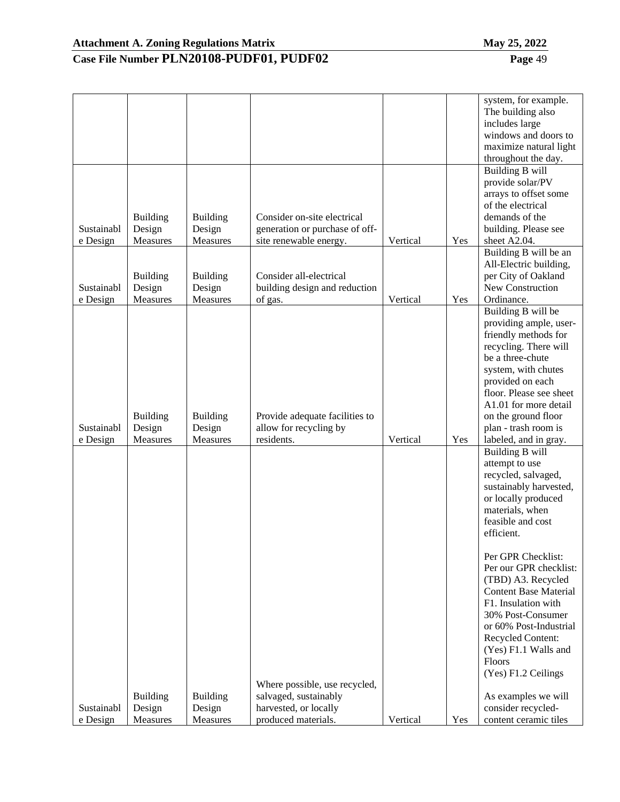|                        |                    |                    |                                              |          |     | system, for example.                        |
|------------------------|--------------------|--------------------|----------------------------------------------|----------|-----|---------------------------------------------|
|                        |                    |                    |                                              |          |     | The building also                           |
|                        |                    |                    |                                              |          |     | includes large                              |
|                        |                    |                    |                                              |          |     | windows and doors to                        |
|                        |                    |                    |                                              |          |     | maximize natural light                      |
|                        |                    |                    |                                              |          |     | throughout the day.                         |
|                        |                    |                    |                                              |          |     | <b>Building B will</b>                      |
|                        |                    |                    |                                              |          |     | provide solar/PV                            |
|                        |                    |                    |                                              |          |     | arrays to offset some                       |
|                        |                    |                    |                                              |          |     | of the electrical                           |
|                        | <b>Building</b>    | <b>Building</b>    | Consider on-site electrical                  |          |     | demands of the                              |
| Sustainabl             | Design             | Design             | generation or purchase of off-               |          |     | building. Please see                        |
| e Design               | Measures           | Measures           | site renewable energy.                       | Vertical | Yes | sheet A2.04.                                |
|                        |                    |                    |                                              |          |     | Building B will be an                       |
|                        |                    |                    |                                              |          |     | All-Electric building,                      |
|                        |                    |                    | Consider all-electrical                      |          |     |                                             |
|                        | <b>Building</b>    | <b>Building</b>    |                                              |          |     | per City of Oakland<br>New Construction     |
| Sustainabl             | Design             | Design             | building design and reduction                |          |     |                                             |
| e Design               | Measures           | Measures           | of gas.                                      | Vertical | Yes | Ordinance.                                  |
|                        |                    |                    |                                              |          |     | Building B will be                          |
|                        |                    |                    |                                              |          |     | providing ample, user-                      |
|                        |                    |                    |                                              |          |     | friendly methods for                        |
|                        |                    |                    |                                              |          |     | recycling. There will                       |
|                        |                    |                    |                                              |          |     | be a three-chute                            |
|                        |                    |                    |                                              |          |     | system, with chutes                         |
|                        |                    |                    |                                              |          |     | provided on each                            |
|                        |                    |                    |                                              |          |     | floor. Please see sheet                     |
|                        |                    |                    |                                              |          |     | A1.01 for more detail                       |
|                        | <b>Building</b>    | <b>Building</b>    | Provide adequate facilities to               |          |     | on the ground floor                         |
| Sustainabl             | Design             | Design             | allow for recycling by                       |          |     | plan - trash room is                        |
| e Design               | Measures           | Measures           | residents.                                   | Vertical | Yes | labeled, and in gray.                       |
|                        |                    |                    |                                              |          |     | <b>Building B will</b>                      |
|                        |                    |                    |                                              |          |     | attempt to use                              |
|                        |                    |                    |                                              |          |     | recycled, salvaged,                         |
|                        |                    |                    |                                              |          |     | sustainably harvested,                      |
|                        |                    |                    |                                              |          |     | or locally produced                         |
|                        |                    |                    |                                              |          |     | materials, when                             |
|                        |                    |                    |                                              |          |     | feasible and cost                           |
|                        |                    |                    |                                              |          |     | efficient.                                  |
|                        |                    |                    |                                              |          |     |                                             |
|                        |                    |                    |                                              |          |     | Per GPR Checklist:                          |
|                        |                    |                    |                                              |          |     | Per our GPR checklist:                      |
|                        |                    |                    |                                              |          |     | (TBD) A3. Recycled                          |
|                        |                    |                    |                                              |          |     | <b>Content Base Material</b>                |
|                        |                    |                    |                                              |          |     | F1. Insulation with                         |
|                        |                    |                    |                                              |          |     |                                             |
|                        |                    |                    |                                              |          |     | 30% Post-Consumer                           |
|                        |                    |                    |                                              |          |     | or 60% Post-Industrial                      |
|                        |                    |                    |                                              |          |     | Recycled Content:                           |
|                        |                    |                    |                                              |          |     | (Yes) F1.1 Walls and                        |
|                        |                    |                    |                                              |          |     | Floors                                      |
|                        |                    |                    |                                              |          |     | (Yes) F1.2 Ceilings                         |
|                        |                    |                    | Where possible, use recycled,                |          |     |                                             |
|                        | <b>Building</b>    | <b>Building</b>    | salvaged, sustainably                        |          |     | As examples we will                         |
|                        |                    |                    |                                              |          |     |                                             |
| Sustainabl<br>e Design | Design<br>Measures | Design<br>Measures | harvested, or locally<br>produced materials. | Vertical | Yes | consider recycled-<br>content ceramic tiles |